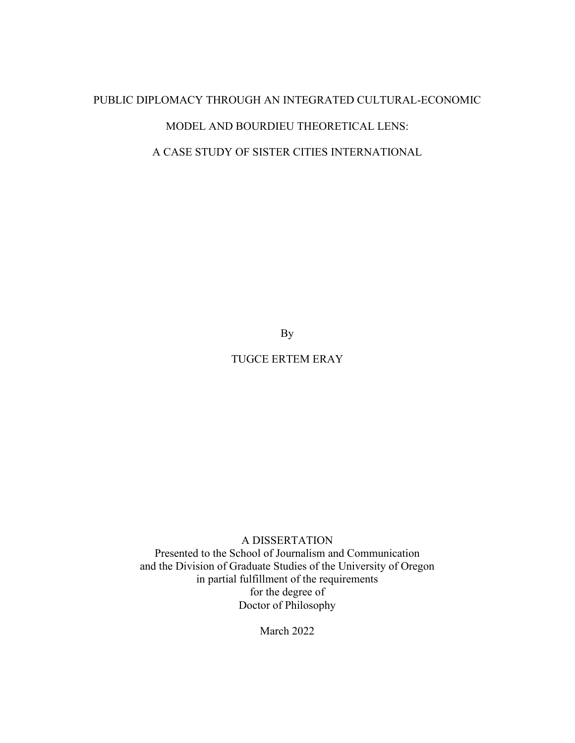# PUBLIC DIPLOMACY THROUGH AN INTEGRATED CULTURAL-ECONOMIC MODEL AND BOURDIEU THEORETICAL LENS: A CASE STUDY OF SISTER CITIES INTERNATIONAL

By

## TUGCE ERTEM ERAY

### A DISSERTATION

Presented to the School of Journalism and Communication and the Division of Graduate Studies of the University of Oregon in partial fulfillment of the requirements for the degree of Doctor of Philosophy

March 2022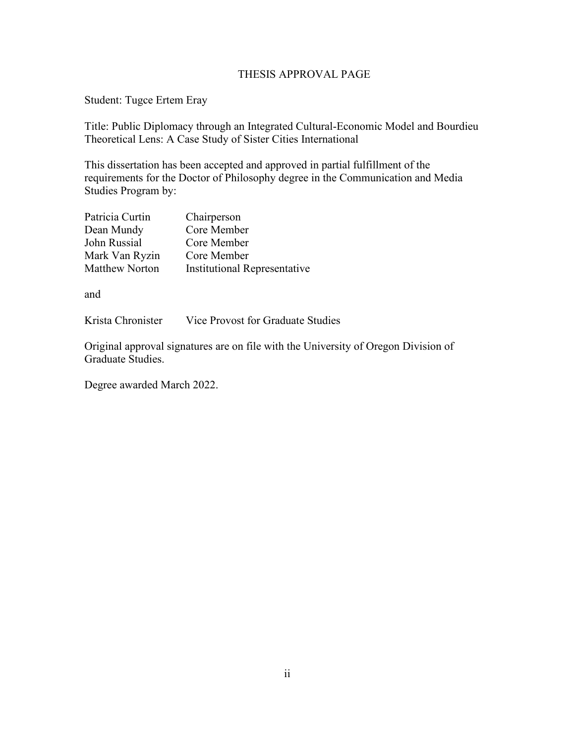### THESIS APPROVAL PAGE

Student: Tugce Ertem Eray

Title: Public Diplomacy through an Integrated Cultural-Economic Model and Bourdieu Theoretical Lens: A Case Study of Sister Cities International

This dissertation has been accepted and approved in partial fulfillment of the requirements for the Doctor of Philosophy degree in the Communication and Media Studies Program by:

| Patricia Curtin       | Chairperson                         |
|-----------------------|-------------------------------------|
| Dean Mundy            | Core Member                         |
| John Russial          | Core Member                         |
| Mark Van Ryzin        | Core Member                         |
| <b>Matthew Norton</b> | <b>Institutional Representative</b> |

and

Krista Chronister Vice Provost for Graduate Studies

Original approval signatures are on file with the University of Oregon Division of Graduate Studies.

Degree awarded March 2022.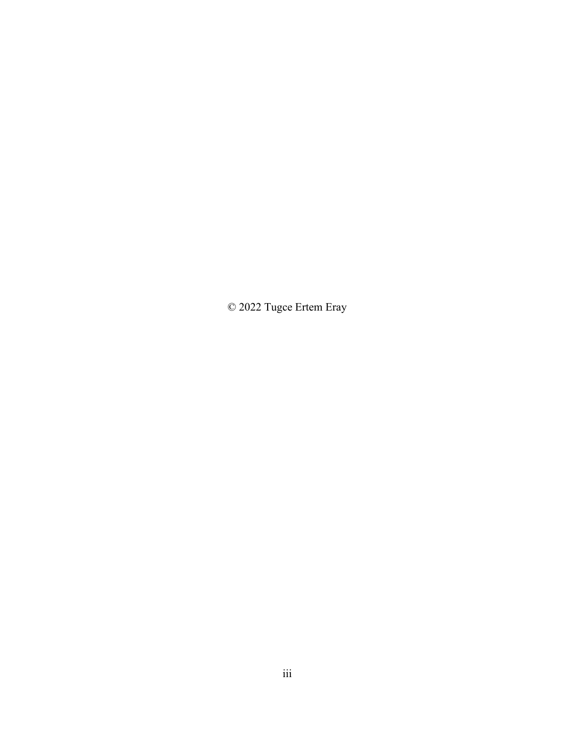© 2022 Tugce Ertem Eray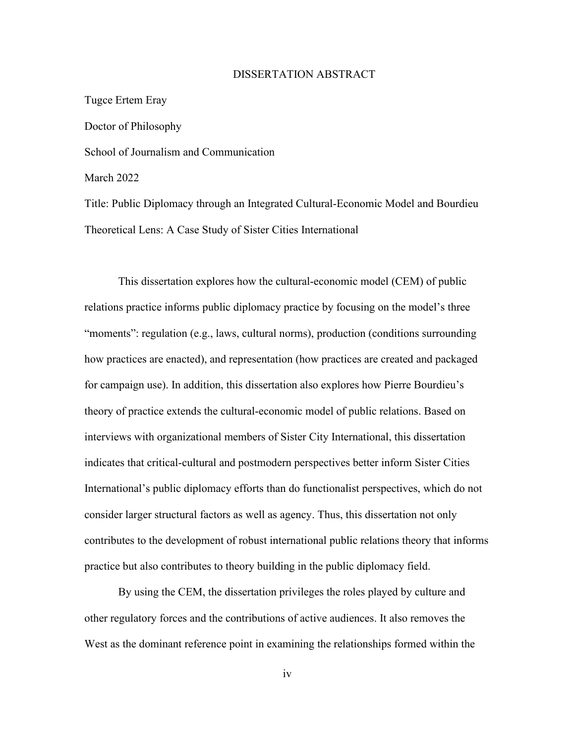#### DISSERTATION ABSTRACT

Tugce Ertem Eray Doctor of Philosophy School of Journalism and Communication March 2022 Title: Public Diplomacy through an Integrated Cultural-Economic Model and Bourdieu

Theoretical Lens: A Case Study of Sister Cities International

This dissertation explores how the cultural-economic model (CEM) of public relations practice informs public diplomacy practice by focusing on the model's three "moments": regulation (e.g., laws, cultural norms), production (conditions surrounding how practices are enacted), and representation (how practices are created and packaged for campaign use). In addition, this dissertation also explores how Pierre Bourdieu's theory of practice extends the cultural-economic model of public relations. Based on interviews with organizational members of Sister City International, this dissertation indicates that critical-cultural and postmodern perspectives better inform Sister Cities International's public diplomacy efforts than do functionalist perspectives, which do not consider larger structural factors as well as agency. Thus, this dissertation not only contributes to the development of robust international public relations theory that informs practice but also contributes to theory building in the public diplomacy field.

By using the CEM, the dissertation privileges the roles played by culture and other regulatory forces and the contributions of active audiences. It also removes the West as the dominant reference point in examining the relationships formed within the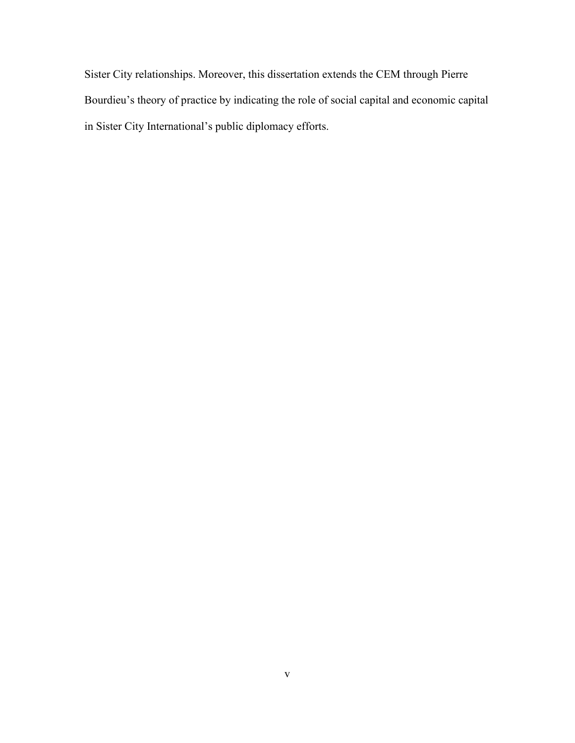Sister City relationships. Moreover, this dissertation extends the CEM through Pierre Bourdieu's theory of practice by indicating the role of social capital and economic capital in Sister City International's public diplomacy efforts.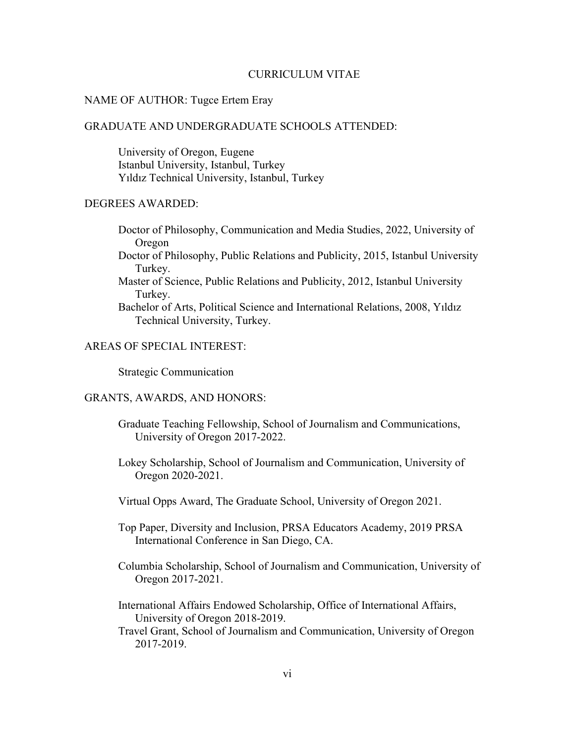### CURRICULUM VITAE

### NAME OF AUTHOR: Tugce Ertem Eray

### GRADUATE AND UNDERGRADUATE SCHOOLS ATTENDED:

University of Oregon, Eugene Istanbul University, Istanbul, Turkey Yıldız Technical University, Istanbul, Turkey

### DEGREES AWARDED:

- Doctor of Philosophy, Communication and Media Studies, 2022, University of Oregon
- Doctor of Philosophy, Public Relations and Publicity, 2015, Istanbul University Turkey.
- Master of Science, Public Relations and Publicity, 2012, Istanbul University Turkey.
- Bachelor of Arts, Political Science and International Relations, 2008, Yıldız Technical University, Turkey.

### AREAS OF SPECIAL INTEREST:

Strategic Communication

### GRANTS, AWARDS, AND HONORS:

- Graduate Teaching Fellowship, School of Journalism and Communications, University of Oregon 2017-2022.
- Lokey Scholarship, School of Journalism and Communication, University of Oregon 2020-2021.
- Virtual Opps Award, The Graduate School, University of Oregon 2021.
- Top Paper, Diversity and Inclusion, PRSA Educators Academy, 2019 PRSA International Conference in San Diego, CA.
- Columbia Scholarship, School of Journalism and Communication, University of Oregon 2017-2021.
- International Affairs Endowed Scholarship, Office of International Affairs, University of Oregon 2018-2019.
- Travel Grant, School of Journalism and Communication, University of Oregon 2017-2019.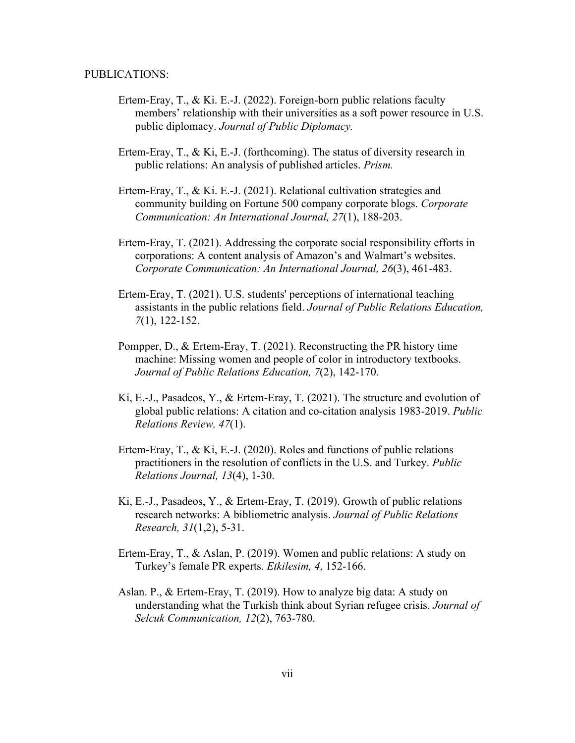#### PUBLICATIONS:

- Ertem-Eray, T., & Ki. E.-J. (2022). Foreign-born public relations faculty members' relationship with their universities as a soft power resource in U.S. public diplomacy. *Journal of Public Diplomacy.*
- Ertem-Eray, T., & Ki, E.-J. (forthcoming). The status of diversity research in public relations: An analysis of published articles. *Prism.*
- Ertem-Eray, T., & Ki. E.-J. (2021). Relational cultivation strategies and community building on Fortune 500 company corporate blogs. *Corporate Communication: An International Journal, 27*(1), 188-203.
- Ertem-Eray, T. (2021). Addressing the corporate social responsibility efforts in corporations: A content analysis of Amazon's and Walmart's websites. *Corporate Communication: An International Journal, 26*(3), 461-483.
- Ertem-Eray, T. (2021). U.S. students' perceptions of international teaching assistants in the public relations field. *Journal of Public Relations Education, 7*(1), 122-152.
- Pompper, D., & Ertem-Eray, T. (2021). Reconstructing the PR history time machine: Missing women and people of color in introductory textbooks. *Journal of Public Relations Education, 7*(2), 142-170.
- Ki, E.-J., Pasadeos, Y., & Ertem-Eray, T. (2021). The structure and evolution of global public relations: A citation and co-citation analysis 1983-2019. *Public Relations Review, 47*(1).
- Ertem-Eray, T., & Ki, E.-J. (2020). Roles and functions of public relations practitioners in the resolution of conflicts in the U.S. and Turkey. *Public Relations Journal, 13*(4), 1-30.
- Ki, E.-J., Pasadeos, Y., & Ertem-Eray, T. (2019). Growth of public relations research networks: A bibliometric analysis. *Journal of Public Relations Research, 31*(1,2), 5-31.
- Ertem-Eray, T., & Aslan, P. (2019). Women and public relations: A study on Turkey's female PR experts. *Etkilesim, 4*, 152-166.
- Aslan. P., & Ertem-Eray, T. (2019). How to analyze big data: A study on understanding what the Turkish think about Syrian refugee crisis. *Journal of Selcuk Communication, 12*(2), 763-780.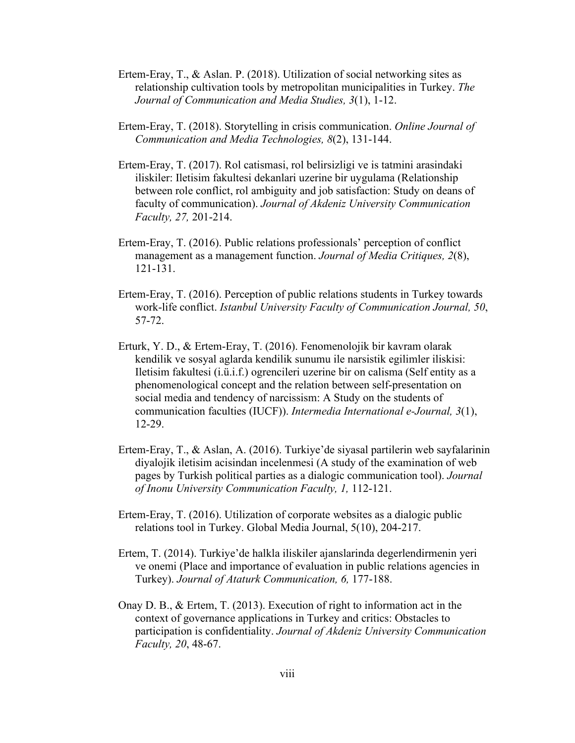- Ertem-Eray, T., & Aslan. P. (2018). Utilization of social networking sites as relationship cultivation tools by metropolitan municipalities in Turkey. *The Journal of Communication and Media Studies, 3*(1), 1-12.
- Ertem-Eray, T. (2018). Storytelling in crisis communication. *Online Journal of Communication and Media Technologies, 8*(2), 131-144.
- Ertem-Eray, T. (2017). Rol catismasi, rol belirsizligi ve is tatmini arasindaki iliskiler: Iletisim fakultesi dekanlari uzerine bir uygulama (Relationship between role conflict, rol ambiguity and job satisfaction: Study on deans of faculty of communication). *Journal of Akdeniz University Communication Faculty, 27,* 201-214.
- Ertem-Eray, T. (2016). Public relations professionals' perception of conflict management as a management function. *Journal of Media Critiques, 2*(8), 121-131.
- Ertem-Eray, T. (2016). Perception of public relations students in Turkey towards work-life conflict. *Istanbul University Faculty of Communication Journal, 50*, 57-72.
- Erturk, Y. D., & Ertem-Eray, T. (2016). Fenomenolojik bir kavram olarak kendilik ve sosyal aglarda kendilik sunumu ile narsistik egilimler iliskisi: Iletisim fakultesi (i.ü.i.f.) ogrencileri uzerine bir on calisma (Self entity as a phenomenological concept and the relation between self-presentation on social media and tendency of narcissism: A Study on the students of communication faculties (IUCF)). *Intermedia International e-Journal, 3*(1), 12-29.
- Ertem-Eray, T., & Aslan, A. (2016). Turkiye'de siyasal partilerin web sayfalarinin diyalojik iletisim acisindan incelenmesi (A study of the examination of web pages by Turkish political parties as a dialogic communication tool). *Journal of Inonu University Communication Faculty, 1,* 112-121.
- Ertem-Eray, T. (2016). Utilization of corporate websites as a dialogic public relations tool in Turkey. Global Media Journal, 5(10), 204-217.
- Ertem, T. (2014). Turkiye'de halkla iliskiler ajanslarinda degerlendirmenin yeri ve onemi (Place and importance of evaluation in public relations agencies in Turkey). *Journal of Ataturk Communication, 6,* 177-188.
- Onay D. B., & Ertem, T. (2013). Execution of right to information act in the context of governance applications in Turkey and critics: Obstacles to participation is confidentiality. *Journal of Akdeniz University Communication Faculty, 20*, 48-67.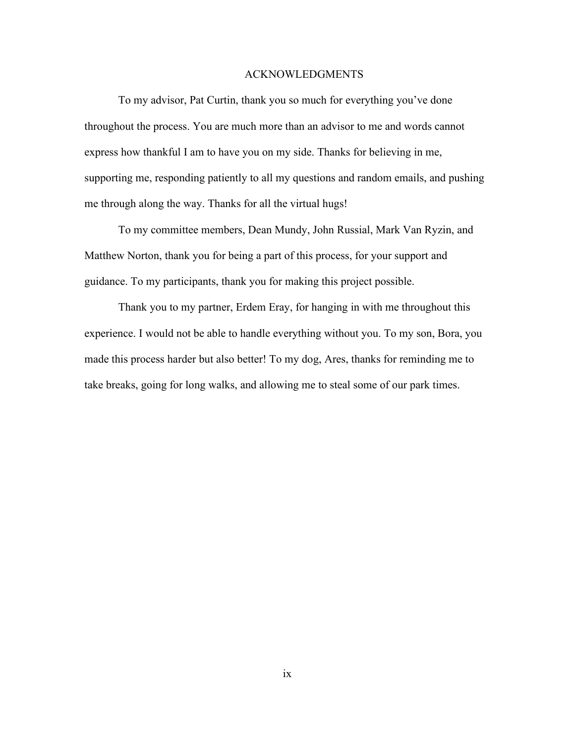#### ACKNOWLEDGMENTS

To my advisor, Pat Curtin, thank you so much for everything you've done throughout the process. You are much more than an advisor to me and words cannot express how thankful I am to have you on my side. Thanks for believing in me, supporting me, responding patiently to all my questions and random emails, and pushing me through along the way. Thanks for all the virtual hugs!

To my committee members, Dean Mundy, John Russial, Mark Van Ryzin, and Matthew Norton, thank you for being a part of this process, for your support and guidance. To my participants, thank you for making this project possible.

Thank you to my partner, Erdem Eray, for hanging in with me throughout this experience. I would not be able to handle everything without you. To my son, Bora, you made this process harder but also better! To my dog, Ares, thanks for reminding me to take breaks, going for long walks, and allowing me to steal some of our park times.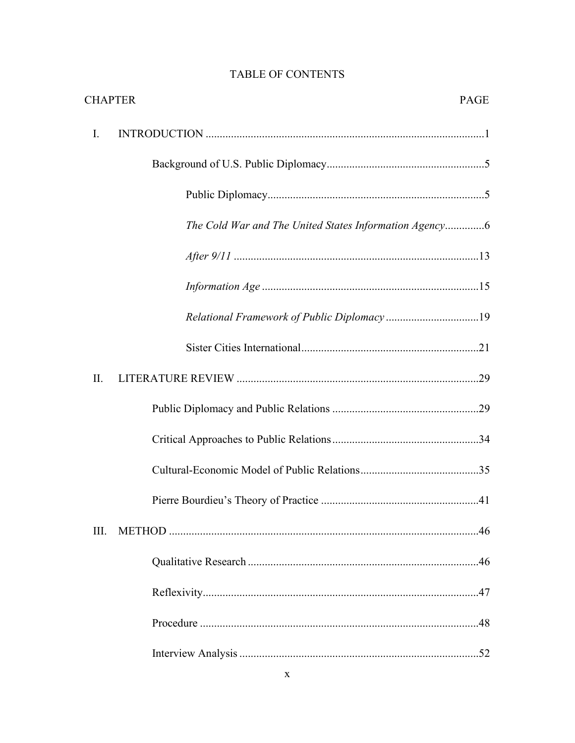|      | <b>CHAPTER</b>                              | <b>PAGE</b> |
|------|---------------------------------------------|-------------|
| Ι.   |                                             |             |
|      |                                             |             |
|      |                                             |             |
|      |                                             |             |
|      |                                             |             |
|      |                                             |             |
|      | Relational Framework of Public Diplomacy 19 |             |
|      |                                             |             |
| Π.   |                                             |             |
|      |                                             |             |
|      |                                             |             |
|      |                                             |             |
|      |                                             |             |
| III. |                                             |             |
|      |                                             |             |
|      |                                             |             |
|      |                                             |             |
|      |                                             |             |

# TABLE OF CONTENTS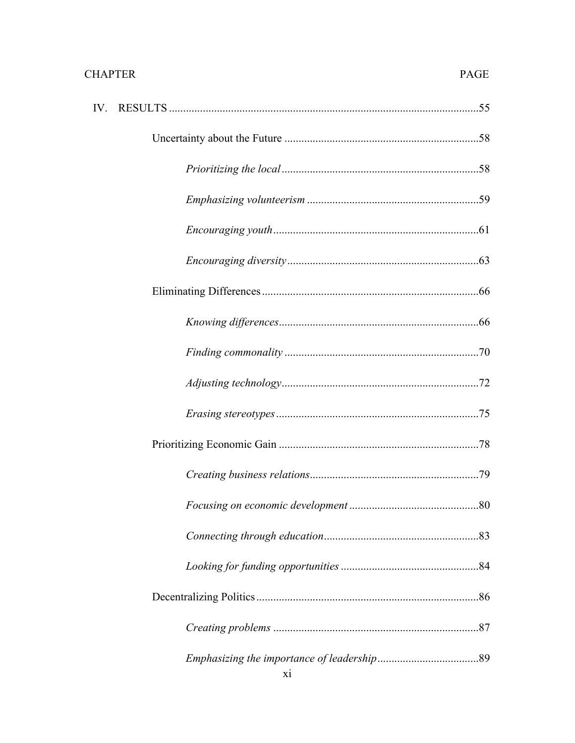# **CHAPTER**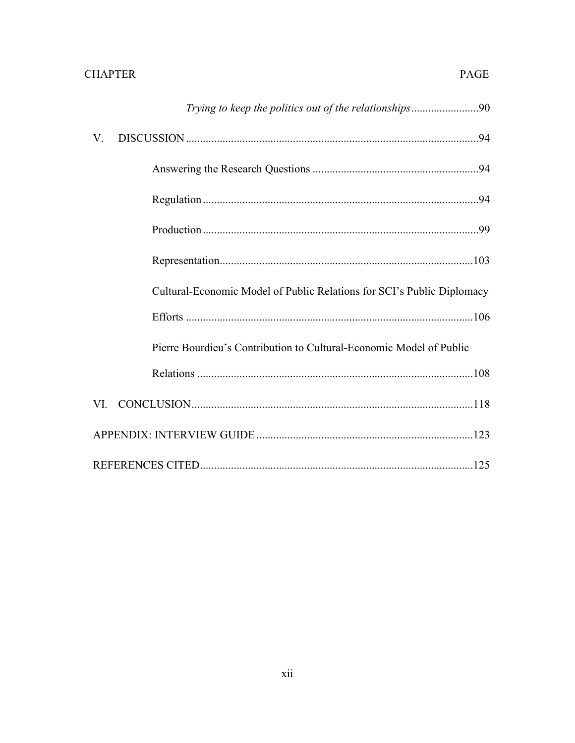| V.  |                                                                        |  |
|-----|------------------------------------------------------------------------|--|
|     |                                                                        |  |
|     |                                                                        |  |
|     |                                                                        |  |
|     |                                                                        |  |
|     | Cultural-Economic Model of Public Relations for SCI's Public Diplomacy |  |
|     |                                                                        |  |
|     | Pierre Bourdieu's Contribution to Cultural-Economic Model of Public    |  |
|     |                                                                        |  |
| VI. |                                                                        |  |
|     |                                                                        |  |
|     |                                                                        |  |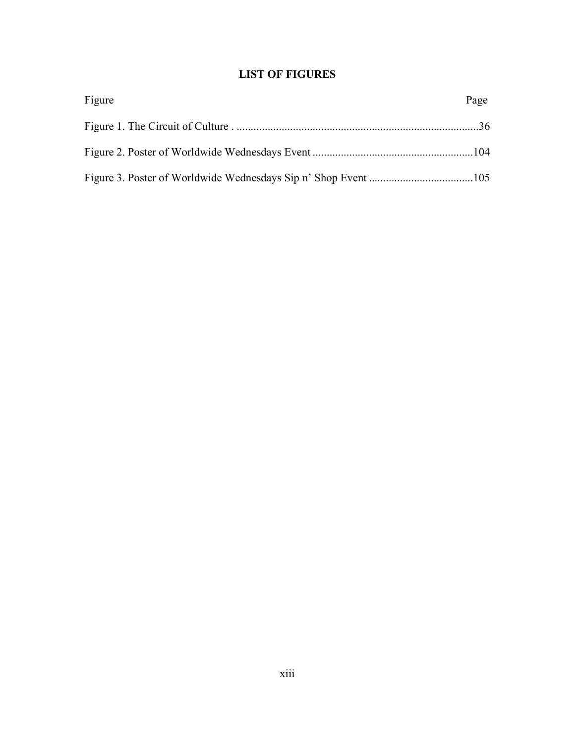# **LIST OF FIGURES**

| Figure | Page |
|--------|------|
|        |      |
|        |      |
|        |      |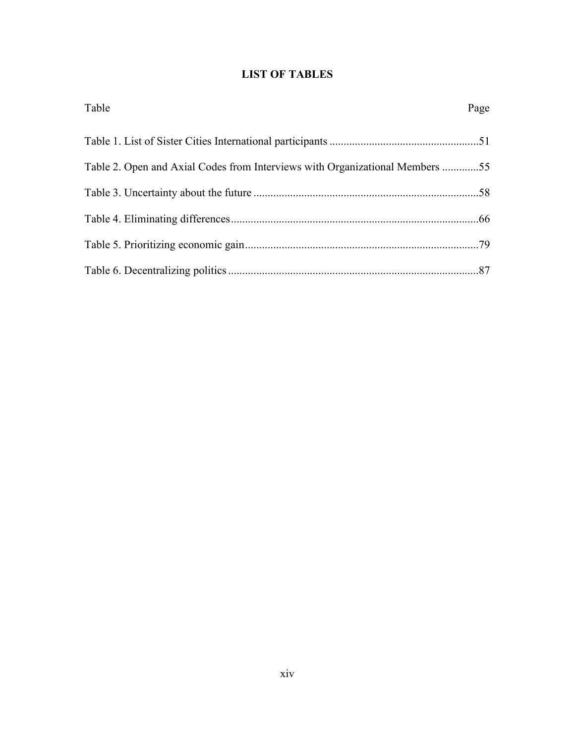# **LIST OF TABLES**

| Table                                                                        | Page |
|------------------------------------------------------------------------------|------|
|                                                                              |      |
| Table 2. Open and Axial Codes from Interviews with Organizational Members 55 |      |
|                                                                              |      |
|                                                                              |      |
|                                                                              |      |
|                                                                              |      |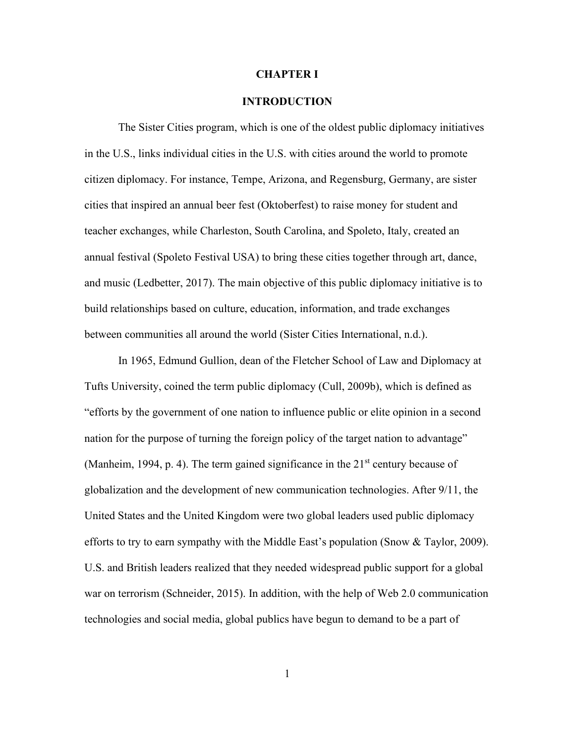#### **CHAPTER I**

### **INTRODUCTION**

<span id="page-14-0"></span>The Sister Cities program, which is one of the oldest public diplomacy initiatives in the U.S., links individual cities in the U.S. with cities around the world to promote citizen diplomacy. For instance, Tempe, Arizona, and Regensburg, Germany, are sister cities that inspired an annual beer fest (Oktoberfest) to raise money for student and teacher exchanges, while Charleston, South Carolina, and Spoleto, Italy, created an annual festival (Spoleto Festival USA) to bring these cities together through art, dance, and music (Ledbetter, 2017). The main objective of this public diplomacy initiative is to build relationships based on culture, education, information, and trade exchanges between communities all around the world (Sister Cities International, n.d.).

In 1965, Edmund Gullion, dean of the Fletcher School of Law and Diplomacy at Tufts University, coined the term public diplomacy (Cull, 2009b), which is defined as "efforts by the government of one nation to influence public or elite opinion in a second nation for the purpose of turning the foreign policy of the target nation to advantage" (Manheim, 1994, p. 4). The term gained significance in the  $21<sup>st</sup>$  century because of globalization and the development of new communication technologies. After 9/11, the United States and the United Kingdom were two global leaders used public diplomacy efforts to try to earn sympathy with the Middle East's population (Snow & Taylor, 2009). U.S. and British leaders realized that they needed widespread public support for a global war on terrorism (Schneider, 2015). In addition, with the help of Web 2.0 communication technologies and social media, global publics have begun to demand to be a part of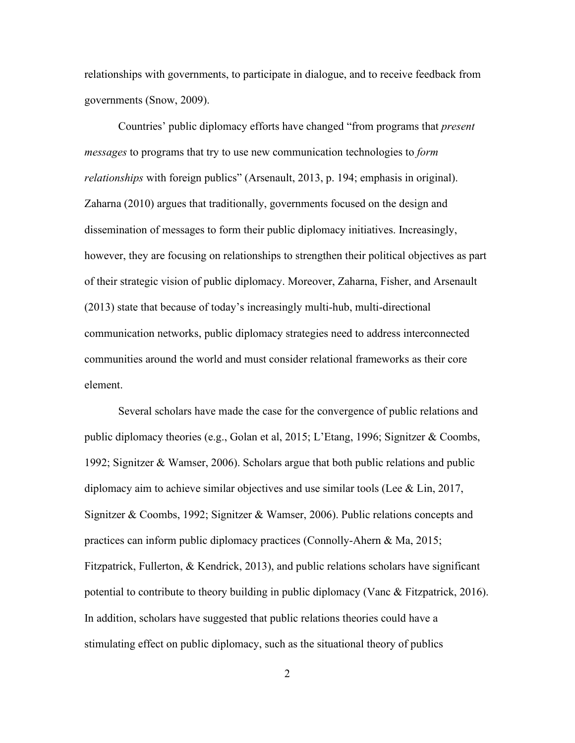relationships with governments, to participate in dialogue, and to receive feedback from governments (Snow, 2009).

Countries' public diplomacy efforts have changed "from programs that *present messages* to programs that try to use new communication technologies to *form relationships* with foreign publics" (Arsenault, 2013, p. 194; emphasis in original). Zaharna (2010) argues that traditionally, governments focused on the design and dissemination of messages to form their public diplomacy initiatives. Increasingly, however, they are focusing on relationships to strengthen their political objectives as part of their strategic vision of public diplomacy. Moreover, Zaharna, Fisher, and Arsenault (2013) state that because of today's increasingly multi-hub, multi-directional communication networks, public diplomacy strategies need to address interconnected communities around the world and must consider relational frameworks as their core element.

Several scholars have made the case for the convergence of public relations and public diplomacy theories (e.g., Golan et al, 2015; L'Etang, 1996; Signitzer & Coombs, 1992; Signitzer & Wamser, 2006). Scholars argue that both public relations and public diplomacy aim to achieve similar objectives and use similar tools (Lee & Lin, 2017, Signitzer & Coombs, 1992; Signitzer & Wamser, 2006). Public relations concepts and practices can inform public diplomacy practices (Connolly-Ahern & Ma, 2015; Fitzpatrick, Fullerton, & Kendrick, 2013), and public relations scholars have significant potential to contribute to theory building in public diplomacy (Vanc & Fitzpatrick, 2016). In addition, scholars have suggested that public relations theories could have a stimulating effect on public diplomacy, such as the situational theory of publics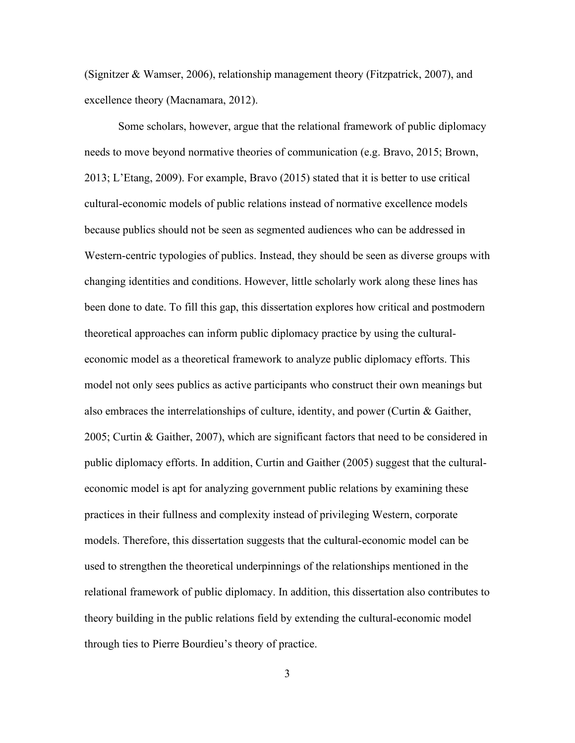(Signitzer & Wamser, 2006), relationship management theory (Fitzpatrick, 2007), and excellence theory (Macnamara, 2012).

Some scholars, however, argue that the relational framework of public diplomacy needs to move beyond normative theories of communication (e.g. Bravo, 2015; Brown, 2013; L'Etang, 2009). For example, Bravo (2015) stated that it is better to use critical cultural-economic models of public relations instead of normative excellence models because publics should not be seen as segmented audiences who can be addressed in Western-centric typologies of publics. Instead, they should be seen as diverse groups with changing identities and conditions. However, little scholarly work along these lines has been done to date. To fill this gap, this dissertation explores how critical and postmodern theoretical approaches can inform public diplomacy practice by using the culturaleconomic model as a theoretical framework to analyze public diplomacy efforts. This model not only sees publics as active participants who construct their own meanings but also embraces the interrelationships of culture, identity, and power (Curtin & Gaither, 2005; Curtin & Gaither, 2007), which are significant factors that need to be considered in public diplomacy efforts. In addition, Curtin and Gaither (2005) suggest that the culturaleconomic model is apt for analyzing government public relations by examining these practices in their fullness and complexity instead of privileging Western, corporate models. Therefore, this dissertation suggests that the cultural-economic model can be used to strengthen the theoretical underpinnings of the relationships mentioned in the relational framework of public diplomacy. In addition, this dissertation also contributes to theory building in the public relations field by extending the cultural-economic model through ties to Pierre Bourdieu's theory of practice.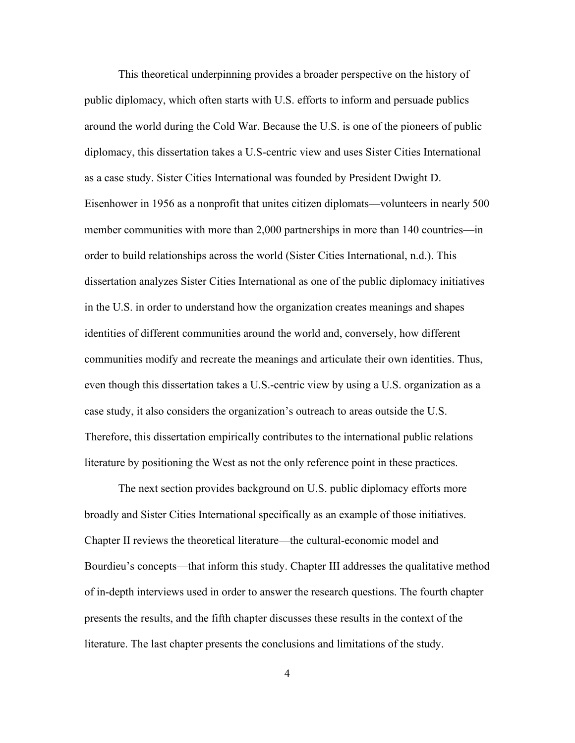This theoretical underpinning provides a broader perspective on the history of public diplomacy, which often starts with U.S. efforts to inform and persuade publics around the world during the Cold War. Because the U.S. is one of the pioneers of public diplomacy, this dissertation takes a U.S-centric view and uses Sister Cities International as a case study. Sister Cities International was founded by President Dwight D. Eisenhower in 1956 as a nonprofit that unites citizen diplomats—volunteers in nearly 500 member communities with more than 2,000 partnerships in more than 140 countries—in order to build relationships across the world (Sister Cities International, n.d.). This dissertation analyzes Sister Cities International as one of the public diplomacy initiatives in the U.S. in order to understand how the organization creates meanings and shapes identities of different communities around the world and, conversely, how different communities modify and recreate the meanings and articulate their own identities. Thus, even though this dissertation takes a U.S.-centric view by using a U.S. organization as a case study, it also considers the organization's outreach to areas outside the U.S. Therefore, this dissertation empirically contributes to the international public relations literature by positioning the West as not the only reference point in these practices.

The next section provides background on U.S. public diplomacy efforts more broadly and Sister Cities International specifically as an example of those initiatives. Chapter II reviews the theoretical literature—the cultural-economic model and Bourdieu's concepts—that inform this study. Chapter III addresses the qualitative method of in-depth interviews used in order to answer the research questions. The fourth chapter presents the results, and the fifth chapter discusses these results in the context of the literature. The last chapter presents the conclusions and limitations of the study.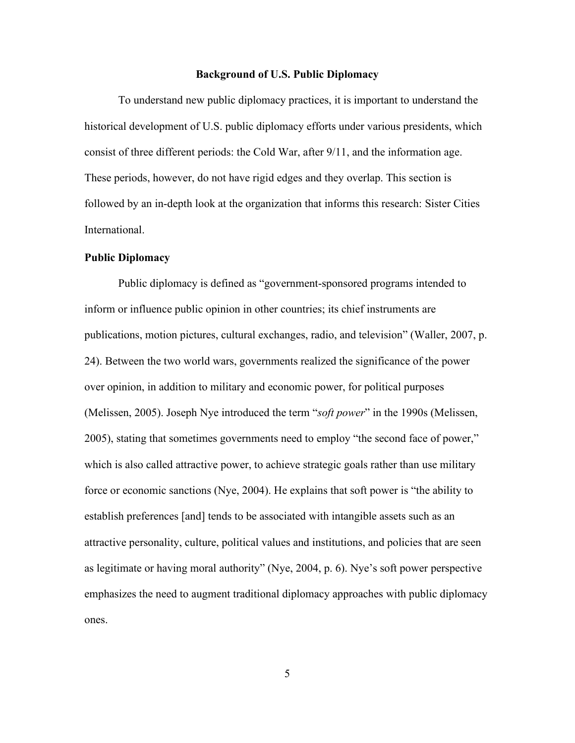### **Background of U.S. Public Diplomacy**

<span id="page-18-0"></span>To understand new public diplomacy practices, it is important to understand the historical development of U.S. public diplomacy efforts under various presidents, which consist of three different periods: the Cold War, after 9/11, and the information age. These periods, however, do not have rigid edges and they overlap. This section is followed by an in-depth look at the organization that informs this research: Sister Cities International.

### <span id="page-18-1"></span>**Public Diplomacy**

Public diplomacy is defined as "government‐sponsored programs intended to inform or influence public opinion in other countries; its chief instruments are publications, motion pictures, cultural exchanges, radio, and television" (Waller, 2007, p. 24). Between the two world wars, governments realized the significance of the power over opinion, in addition to military and economic power, for political purposes (Melissen, 2005). Joseph Nye introduced the term "*soft power*" in the 1990s (Melissen, 2005), stating that sometimes governments need to employ "the second face of power," which is also called attractive power, to achieve strategic goals rather than use military force or economic sanctions (Nye, 2004). He explains that soft power is "the ability to establish preferences [and] tends to be associated with intangible assets such as an attractive personality, culture, political values and institutions, and policies that are seen as legitimate or having moral authority" (Nye, 2004, p. 6). Nye's soft power perspective emphasizes the need to augment traditional diplomacy approaches with public diplomacy ones.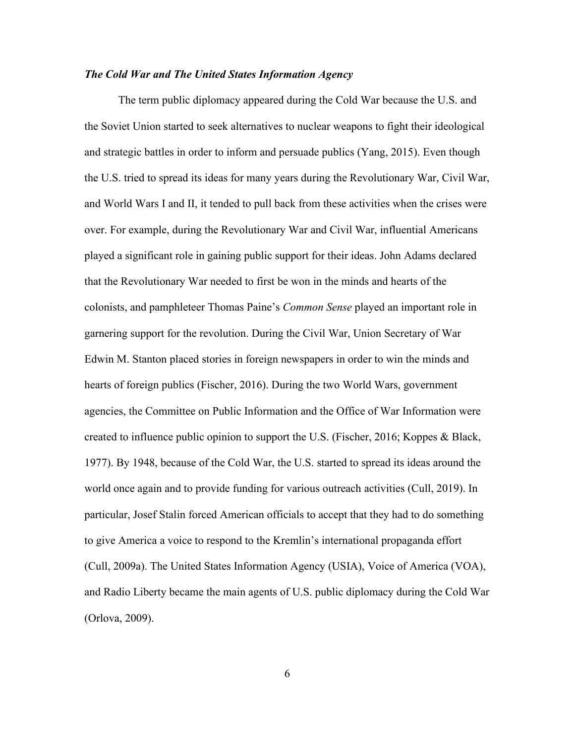### <span id="page-19-0"></span>*The Cold War and The United States Information Agency*

The term public diplomacy appeared during the Cold War because the U.S. and the Soviet Union started to seek alternatives to nuclear weapons to fight their ideological and strategic battles in order to inform and persuade publics (Yang, 2015). Even though the U.S. tried to spread its ideas for many years during the Revolutionary War, Civil War, and World Wars I and II, it tended to pull back from these activities when the crises were over. For example, during the Revolutionary War and Civil War, influential Americans played a significant role in gaining public support for their ideas. John Adams declared that the Revolutionary War needed to first be won in the minds and hearts of the colonists, and pamphleteer Thomas Paine's *Common Sense* played an important role in garnering support for the revolution. During the Civil War, Union Secretary of War Edwin M. Stanton placed stories in foreign newspapers in order to win the minds and hearts of foreign publics (Fischer, 2016). During the two World Wars, government agencies, the Committee on Public Information and the Office of War Information were created to influence public opinion to support the U.S. (Fischer, 2016; Koppes & Black, 1977). By 1948, because of the Cold War, the U.S. started to spread its ideas around the world once again and to provide funding for various outreach activities (Cull, 2019). In particular, Josef Stalin forced American officials to accept that they had to do something to give America a voice to respond to the Kremlin's international propaganda effort (Cull, 2009a). The United States Information Agency (USIA), Voice of America (VOA), and Radio Liberty became the main agents of U.S. public diplomacy during the Cold War (Orlova, 2009).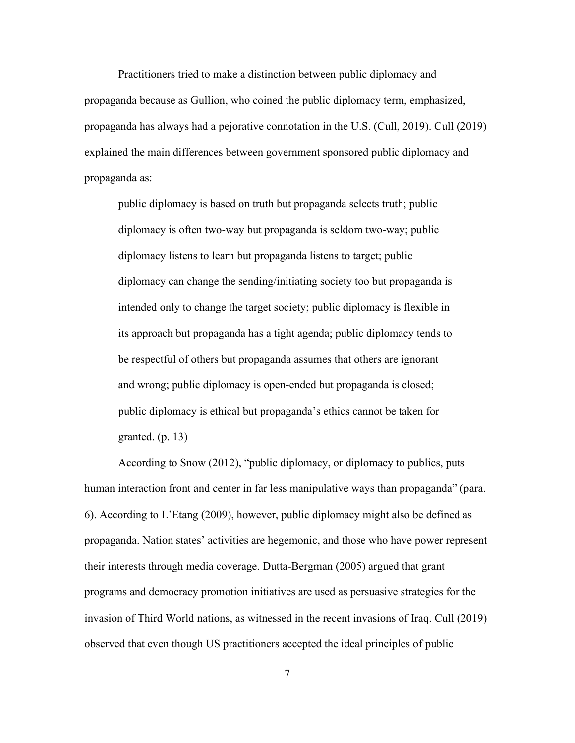Practitioners tried to make a distinction between public diplomacy and propaganda because as Gullion, who coined the public diplomacy term, emphasized, propaganda has always had a pejorative connotation in the U.S. (Cull, 2019). Cull (2019) explained the main differences between government sponsored public diplomacy and propaganda as:

public diplomacy is based on truth but propaganda selects truth; public diplomacy is often two-way but propaganda is seldom two-way; public diplomacy listens to learn but propaganda listens to target; public diplomacy can change the sending/initiating society too but propaganda is intended only to change the target society; public diplomacy is flexible in its approach but propaganda has a tight agenda; public diplomacy tends to be respectful of others but propaganda assumes that others are ignorant and wrong; public diplomacy is open-ended but propaganda is closed; public diplomacy is ethical but propaganda's ethics cannot be taken for granted. (p. 13)

According to Snow (2012), "public diplomacy, or diplomacy to publics, puts human interaction front and center in far less manipulative ways than propaganda" (para. 6). According to L'Etang (2009), however, public diplomacy might also be defined as propaganda. Nation states' activities are hegemonic, and those who have power represent their interests through media coverage. Dutta-Bergman (2005) argued that grant programs and democracy promotion initiatives are used as persuasive strategies for the invasion of Third World nations, as witnessed in the recent invasions of Iraq. Cull (2019) observed that even though US practitioners accepted the ideal principles of public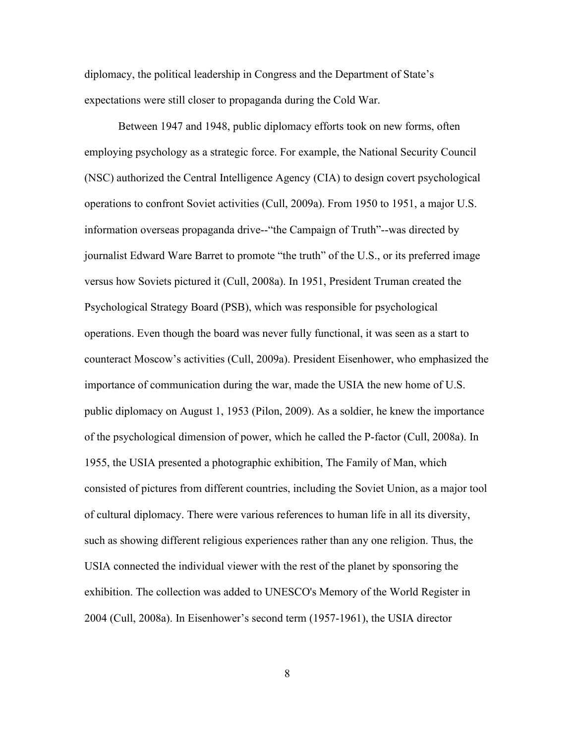diplomacy, the political leadership in Congress and the Department of State's expectations were still closer to propaganda during the Cold War.

Between 1947 and 1948, public diplomacy efforts took on new forms, often employing psychology as a strategic force. For example, the National Security Council (NSC) authorized the Central Intelligence Agency (CIA) to design covert psychological operations to confront Soviet activities (Cull, 2009a). From 1950 to 1951, a major U.S. information overseas propaganda drive--"the Campaign of Truth"--was directed by journalist Edward Ware Barret to promote "the truth" of the U.S., or its preferred image versus how Soviets pictured it (Cull, 2008a). In 1951, President Truman created the Psychological Strategy Board (PSB), which was responsible for psychological operations. Even though the board was never fully functional, it was seen as a start to counteract Moscow's activities (Cull, 2009a). President Eisenhower, who emphasized the importance of communication during the war, made the USIA the new home of U.S. public diplomacy on August 1, 1953 (Pilon, 2009). As a soldier, he knew the importance of the psychological dimension of power, which he called the P-factor (Cull, 2008a). In 1955, the USIA presented a photographic exhibition, The Family of Man, which consisted of pictures from different countries, including the Soviet Union, as a major tool of cultural diplomacy. There were various references to human life in all its diversity, such as showing different religious experiences rather than any one religion. Thus, the USIA connected the individual viewer with the rest of the planet by sponsoring the exhibition. The collection was added to UNESCO's Memory of the World Register in 2004 (Cull, 2008a). In Eisenhower's second term (1957-1961), the USIA director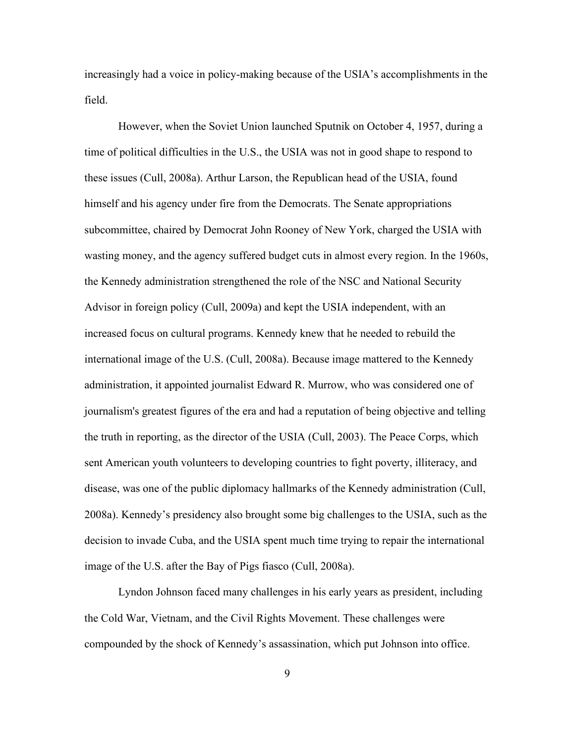increasingly had a voice in policy-making because of the USIA's accomplishments in the field.

However, when the Soviet Union launched Sputnik on October 4, 1957, during a time of political difficulties in the U.S., the USIA was not in good shape to respond to these issues (Cull, 2008a). Arthur Larson, the Republican head of the USIA, found himself and his agency under fire from the Democrats. The Senate appropriations subcommittee, chaired by Democrat John Rooney of New York, charged the USIA with wasting money, and the agency suffered budget cuts in almost every region. In the 1960s, the Kennedy administration strengthened the role of the NSC and National Security Advisor in foreign policy (Cull, 2009a) and kept the USIA independent, with an increased focus on cultural programs. Kennedy knew that he needed to rebuild the international image of the U.S. (Cull, 2008a). Because image mattered to the Kennedy administration, it appointed journalist Edward R. Murrow, who was considered one of journalism's greatest figures of the era and had a reputation of being objective and telling the truth in reporting, as the director of the USIA (Cull, 2003). The Peace Corps, which sent American youth volunteers to developing countries to fight poverty, illiteracy, and disease, was one of the public diplomacy hallmarks of the Kennedy administration (Cull, 2008a). Kennedy's presidency also brought some big challenges to the USIA, such as the decision to invade Cuba, and the USIA spent much time trying to repair the international image of the U.S. after the Bay of Pigs fiasco (Cull, 2008a).

Lyndon Johnson faced many challenges in his early years as president, including the Cold War, Vietnam, and the Civil Rights Movement. These challenges were compounded by the shock of Kennedy's assassination, which put Johnson into office.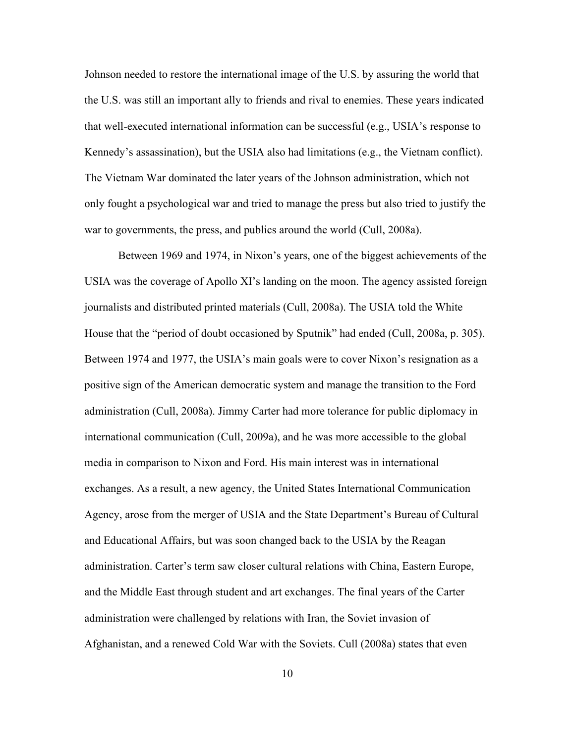Johnson needed to restore the international image of the U.S. by assuring the world that the U.S. was still an important ally to friends and rival to enemies. These years indicated that well-executed international information can be successful (e.g., USIA's response to Kennedy's assassination), but the USIA also had limitations (e.g., the Vietnam conflict). The Vietnam War dominated the later years of the Johnson administration, which not only fought a psychological war and tried to manage the press but also tried to justify the war to governments, the press, and publics around the world (Cull, 2008a).

Between 1969 and 1974, in Nixon's years, one of the biggest achievements of the USIA was the coverage of Apollo XI's landing on the moon. The agency assisted foreign journalists and distributed printed materials (Cull, 2008a). The USIA told the White House that the "period of doubt occasioned by Sputnik" had ended (Cull, 2008a, p. 305). Between 1974 and 1977, the USIA's main goals were to cover Nixon's resignation as a positive sign of the American democratic system and manage the transition to the Ford administration (Cull, 2008a). Jimmy Carter had more tolerance for public diplomacy in international communication (Cull, 2009a), and he was more accessible to the global media in comparison to Nixon and Ford. His main interest was in international exchanges. As a result, a new agency, the United States International Communication Agency, arose from the merger of USIA and the State Department's Bureau of Cultural and Educational Affairs, but was soon changed back to the USIA by the Reagan administration. Carter's term saw closer cultural relations with China, Eastern Europe, and the Middle East through student and art exchanges. The final years of the Carter administration were challenged by relations with Iran, the Soviet invasion of Afghanistan, and a renewed Cold War with the Soviets. Cull (2008a) states that even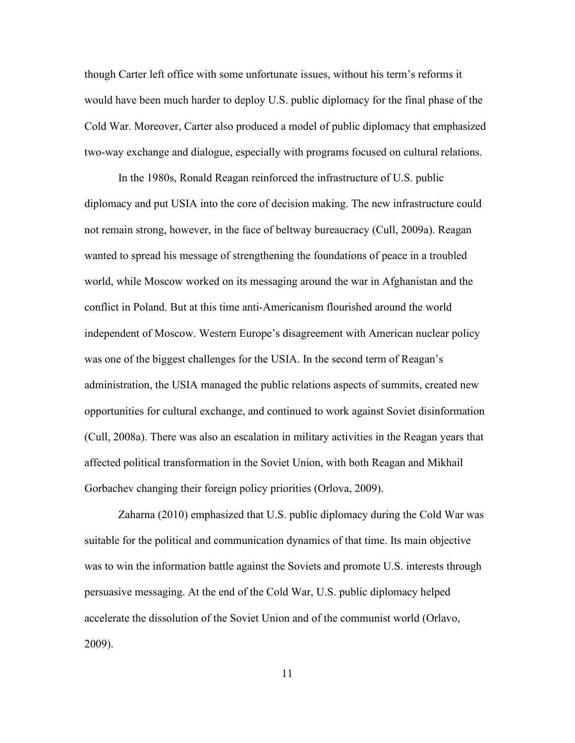though Carter left office with some unfortunate issues, without his term's reforms it would have been much harder to deploy U.S. public diplomacy for the final phase of the Cold War. Moreover, Carter also produced a model of public diplomacy that emphasized two-way exchange and dialogue, especially with programs focused on cultural relations.

In the 1980s, Ronald Reagan reinforced the infrastructure of U.S. public diplomacy and put USIA into the core of decision making. The new infrastructure could not remain strong, however, in the face of beltway bureaucracy (Cull, 2009a). Reagan wanted to spread his message of strengthening the foundations of peace in a troubled world, while Moscow worked on its messaging around the war in Afghanistan and the conflict in Poland. But at this time anti-Americanism flourished around the world independent of Moscow. Western Europe's disagreement with American nuclear policy was one of the biggest challenges for the USIA. In the second term of Reagan's administration, the USIA managed the public relations aspects of summits, created new opportunities for cultural exchange, and continued to work against Soviet disinformation (Cull, 2008a). There was also an escalation in military activities in the Reagan years that affected political transformation in the Soviet Union, with both Reagan and Mikhail Gorbachev changing their foreign policy priorities (Orlova, 2009).

Zaharna (2010) emphasized that U.S. public diplomacy during the Cold War was suitable for the political and communication dynamics of that time. Its main objective was to win the information battle against the Soviets and promote U.S. interests through persuasive messaging. At the end of the Cold War, U.S. public diplomacy helped accelerate the dissolution of the Soviet Union and of the communist world (Orlavo, 2009).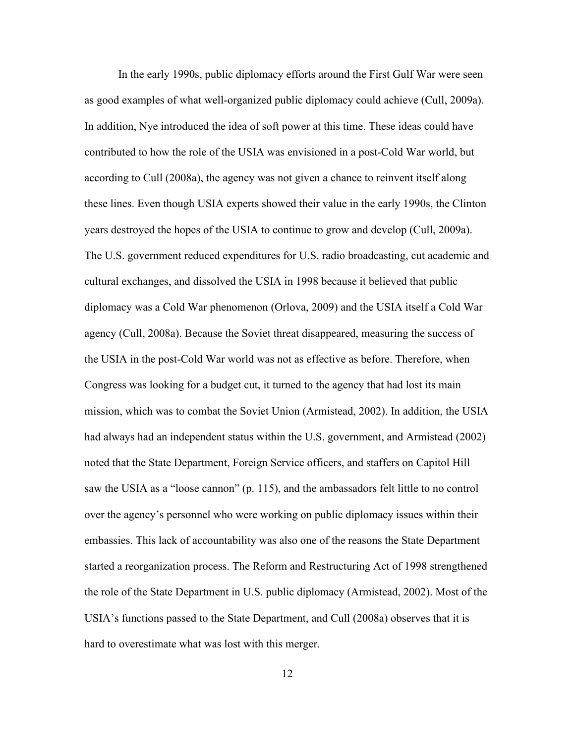In the early 1990s, public diplomacy efforts around the First Gulf War were seen as good examples of what well-organized public diplomacy could achieve (Cull, 2009a). In addition, Nye introduced the idea of soft power at this time. These ideas could have contributed to how the role of the USIA was envisioned in a post-Cold War world, but according to Cull (2008a), the agency was not given a chance to reinvent itself along these lines. Even though USIA experts showed their value in the early 1990s, the Clinton years destroyed the hopes of the USIA to continue to grow and develop (Cull, 2009a). The U.S. government reduced expenditures for U.S. radio broadcasting, cut academic and cultural exchanges, and dissolved the USIA in 1998 because it believed that public diplomacy was a Cold War phenomenon (Orlova, 2009) and the USIA itself a Cold War agency (Cull, 2008a). Because the Soviet threat disappeared, measuring the success of the USIA in the post-Cold War world was not as effective as before. Therefore, when Congress was looking for a budget cut, it turned to the agency that had lost its main mission, which was to combat the Soviet Union (Armistead, 2002). In addition, the USIA had always had an independent status within the U.S. government, and Armistead (2002) noted that the State Department, Foreign Service officers, and staffers on Capitol Hill saw the USIA as a "loose cannon" (p. 115), and the ambassadors felt little to no control over the agency's personnel who were working on public diplomacy issues within their embassies. This lack of accountability was also one of the reasons the State Department started a reorganization process. The Reform and Restructuring Act of 1998 strengthened the role of the State Department in U.S. public diplomacy (Armistead, 2002). Most of the USIA's functions passed to the State Department, and Cull (2008a) observes that it is hard to overestimate what was lost with this merger.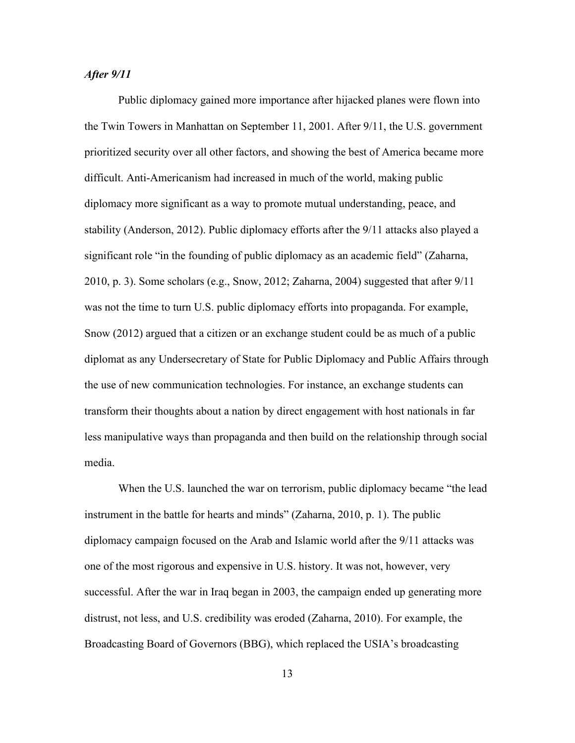### <span id="page-26-0"></span>*After 9/11*

Public diplomacy gained more importance after hijacked planes were flown into the Twin Towers in Manhattan on September 11, 2001. After 9/11, the U.S. government prioritized security over all other factors, and showing the best of America became more difficult. Anti-Americanism had increased in much of the world, making public diplomacy more significant as a way to promote mutual understanding, peace, and stability (Anderson, 2012). Public diplomacy efforts after the 9/11 attacks also played a significant role "in the founding of public diplomacy as an academic field" (Zaharna, 2010, p. 3). Some scholars (e.g., Snow, 2012; Zaharna, 2004) suggested that after 9/11 was not the time to turn U.S. public diplomacy efforts into propaganda. For example, Snow (2012) argued that a citizen or an exchange student could be as much of a public diplomat as any Undersecretary of State for Public Diplomacy and Public Affairs through the use of new communication technologies. For instance, an exchange students can transform their thoughts about a nation by direct engagement with host nationals in far less manipulative ways than propaganda and then build on the relationship through social media.

When the U.S. launched the war on terrorism, public diplomacy became "the lead instrument in the battle for hearts and minds" (Zaharna, 2010, p. 1). The public diplomacy campaign focused on the Arab and Islamic world after the 9/11 attacks was one of the most rigorous and expensive in U.S. history. It was not, however, very successful. After the war in Iraq began in 2003, the campaign ended up generating more distrust, not less, and U.S. credibility was eroded (Zaharna, 2010). For example, the Broadcasting Board of Governors (BBG), which replaced the USIA's broadcasting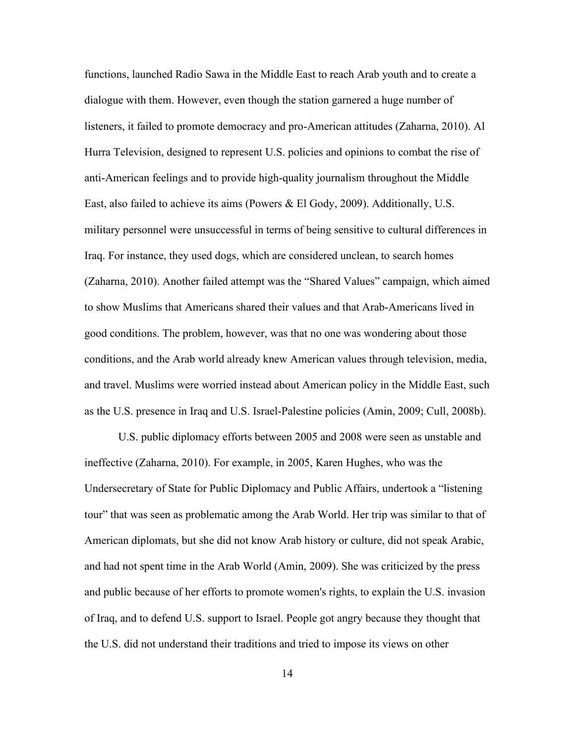functions, launched Radio Sawa in the Middle East to reach Arab youth and to create a dialogue with them. However, even though the station garnered a huge number of listeners, it failed to promote democracy and pro-American attitudes (Zaharna, 2010). Al Hurra Television, designed to represent U.S. policies and opinions to combat the rise of anti-American feelings and to provide high-quality journalism throughout the Middle East, also failed to achieve its aims (Powers & El Gody, 2009). Additionally, U.S. military personnel were unsuccessful in terms of being sensitive to cultural differences in Iraq. For instance, they used dogs, which are considered unclean, to search homes (Zaharna, 2010). Another failed attempt was the "Shared Values" campaign, which aimed to show Muslims that Americans shared their values and that Arab-Americans lived in good conditions. The problem, however, was that no one was wondering about those conditions, and the Arab world already knew American values through television, media, and travel. Muslims were worried instead about American policy in the Middle East, such as the U.S. presence in Iraq and U.S. Israel-Palestine policies (Amin, 2009; Cull, 2008b).

U.S. public diplomacy efforts between 2005 and 2008 were seen as unstable and ineffective (Zaharna, 2010). For example, in 2005, Karen Hughes, who was the Undersecretary of State for Public Diplomacy and Public Affairs, undertook a "listening tour" that was seen as problematic among the Arab World. Her trip was similar to that of American diplomats, but she did not know Arab history or culture, did not speak Arabic, and had not spent time in the Arab World (Amin, 2009). She was criticized by the press and public because of her efforts to promote women's rights, to explain the U.S. invasion of Iraq, and to defend U.S. support to Israel. People got angry because they thought that the U.S. did not understand their traditions and tried to impose its views on other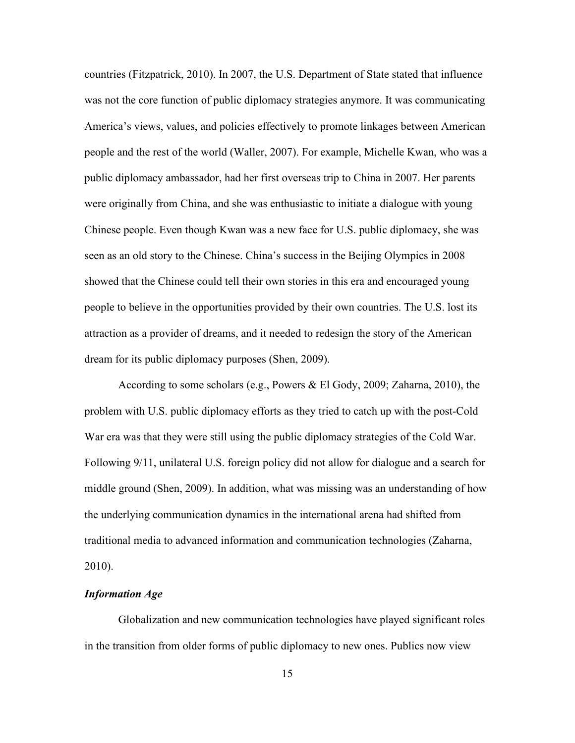countries (Fitzpatrick, 2010). In 2007, the U.S. Department of State stated that influence was not the core function of public diplomacy strategies anymore. It was communicating America's views, values, and policies effectively to promote linkages between American people and the rest of the world (Waller, 2007). For example, Michelle Kwan, who was a public diplomacy ambassador, had her first overseas trip to China in 2007. Her parents were originally from China, and she was enthusiastic to initiate a dialogue with young Chinese people. Even though Kwan was a new face for U.S. public diplomacy, she was seen as an old story to the Chinese. China's success in the Beijing Olympics in 2008 showed that the Chinese could tell their own stories in this era and encouraged young people to believe in the opportunities provided by their own countries. The U.S. lost its attraction as a provider of dreams, and it needed to redesign the story of the American dream for its public diplomacy purposes (Shen, 2009).

According to some scholars (e.g., Powers & El Gody, 2009; Zaharna, 2010), the problem with U.S. public diplomacy efforts as they tried to catch up with the post-Cold War era was that they were still using the public diplomacy strategies of the Cold War. Following 9/11, unilateral U.S. foreign policy did not allow for dialogue and a search for middle ground (Shen, 2009). In addition, what was missing was an understanding of how the underlying communication dynamics in the international arena had shifted from traditional media to advanced information and communication technologies (Zaharna, 2010).

### <span id="page-28-0"></span>*Information Age*

Globalization and new communication technologies have played significant roles in the transition from older forms of public diplomacy to new ones. Publics now view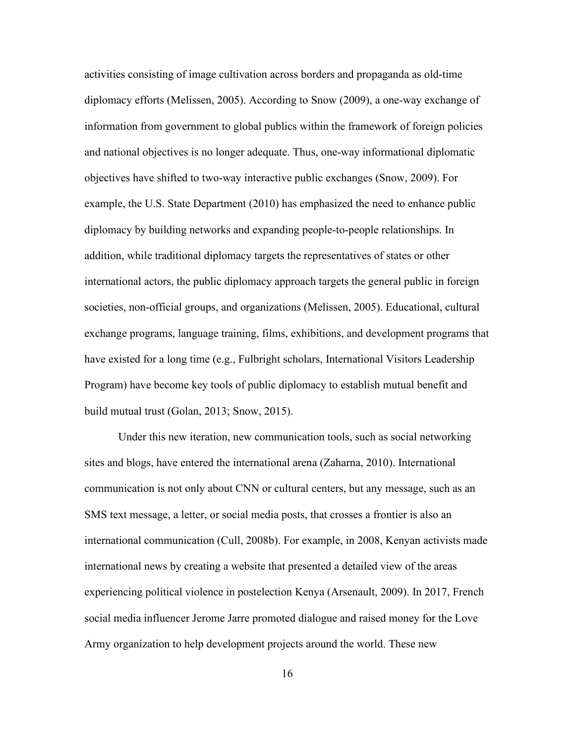activities consisting of image cultivation across borders and propaganda as old-time diplomacy efforts (Melissen, 2005). According to Snow (2009), a one-way exchange of information from government to global publics within the framework of foreign policies and national objectives is no longer adequate. Thus, one-way informational diplomatic objectives have shifted to two-way interactive public exchanges (Snow, 2009). For example, the U.S. State Department (2010) has emphasized the need to enhance public diplomacy by building networks and expanding people-to-people relationships. In addition, while traditional diplomacy targets the representatives of states or other international actors, the public diplomacy approach targets the general public in foreign societies, non-official groups, and organizations (Melissen, 2005). Educational, cultural exchange programs, language training, films, exhibitions, and development programs that have existed for a long time (e.g., Fulbright scholars, International Visitors Leadership Program) have become key tools of public diplomacy to establish mutual benefit and build mutual trust (Golan, 2013; Snow, 2015).

Under this new iteration, new communication tools, such as social networking sites and blogs, have entered the international arena (Zaharna, 2010). International communication is not only about CNN or cultural centers, but any message, such as an SMS text message, a letter, or social media posts, that crosses a frontier is also an international communication (Cull, 2008b). For example, in 2008, Kenyan activists made international news by creating a website that presented a detailed view of the areas experiencing political violence in postelection Kenya (Arsenault, 2009). In 2017, French social media influencer Jerome Jarre promoted dialogue and raised money for the Love Army organization to help development projects around the world. These new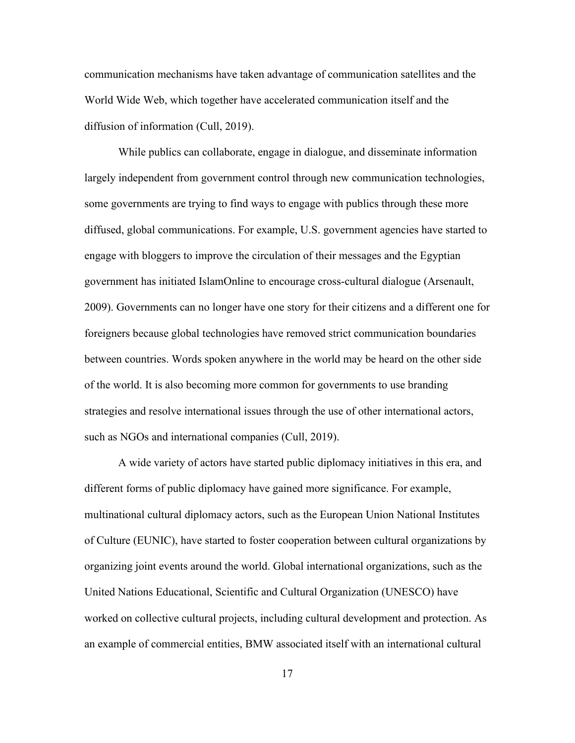communication mechanisms have taken advantage of communication satellites and the World Wide Web, which together have accelerated communication itself and the diffusion of information (Cull, 2019).

While publics can collaborate, engage in dialogue, and disseminate information largely independent from government control through new communication technologies, some governments are trying to find ways to engage with publics through these more diffused, global communications. For example, U.S. government agencies have started to engage with bloggers to improve the circulation of their messages and the Egyptian government has initiated IslamOnline to encourage cross-cultural dialogue (Arsenault, 2009). Governments can no longer have one story for their citizens and a different one for foreigners because global technologies have removed strict communication boundaries between countries. Words spoken anywhere in the world may be heard on the other side of the world. It is also becoming more common for governments to use branding strategies and resolve international issues through the use of other international actors, such as NGOs and international companies (Cull, 2019).

A wide variety of actors have started public diplomacy initiatives in this era, and different forms of public diplomacy have gained more significance. For example, multinational cultural diplomacy actors, such as the European Union National Institutes of Culture (EUNIC), have started to foster cooperation between cultural organizations by organizing joint events around the world. Global international organizations, such as the United Nations Educational, Scientific and Cultural Organization (UNESCO) have worked on collective cultural projects, including cultural development and protection. As an example of commercial entities, BMW associated itself with an international cultural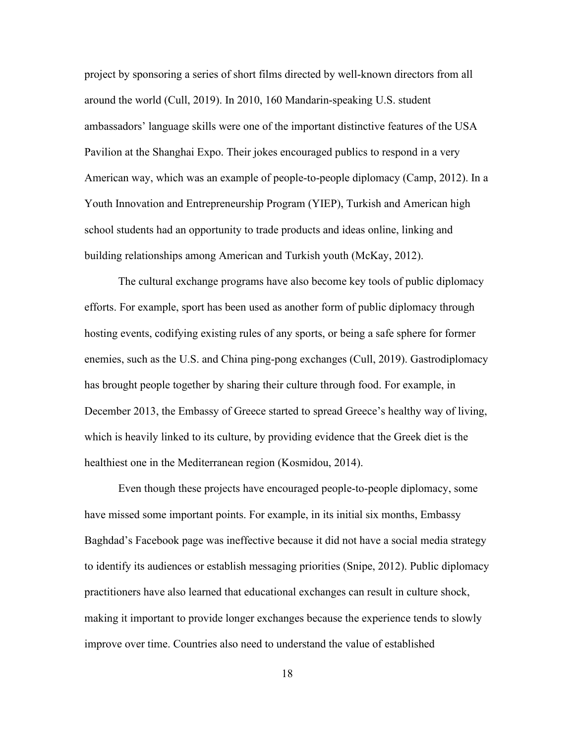project by sponsoring a series of short films directed by well-known directors from all around the world (Cull, 2019). In 2010, 160 Mandarin-speaking U.S. student ambassadors' language skills were one of the important distinctive features of the USA Pavilion at the Shanghai Expo. Their jokes encouraged publics to respond in a very American way, which was an example of people-to-people diplomacy (Camp, 2012). In a Youth Innovation and Entrepreneurship Program (YIEP), Turkish and American high school students had an opportunity to trade products and ideas online, linking and building relationships among American and Turkish youth (McKay, 2012).

The cultural exchange programs have also become key tools of public diplomacy efforts. For example, sport has been used as another form of public diplomacy through hosting events, codifying existing rules of any sports, or being a safe sphere for former enemies, such as the U.S. and China ping-pong exchanges (Cull, 2019). Gastrodiplomacy has brought people together by sharing their culture through food. For example, in December 2013, the Embassy of Greece started to spread Greece's healthy way of living, which is heavily linked to its culture, by providing evidence that the Greek diet is the healthiest one in the Mediterranean region (Kosmidou, 2014).

Even though these projects have encouraged people-to-people diplomacy, some have missed some important points. For example, in its initial six months, Embassy Baghdad's Facebook page was ineffective because it did not have a social media strategy to identify its audiences or establish messaging priorities (Snipe, 2012). Public diplomacy practitioners have also learned that educational exchanges can result in culture shock, making it important to provide longer exchanges because the experience tends to slowly improve over time. Countries also need to understand the value of established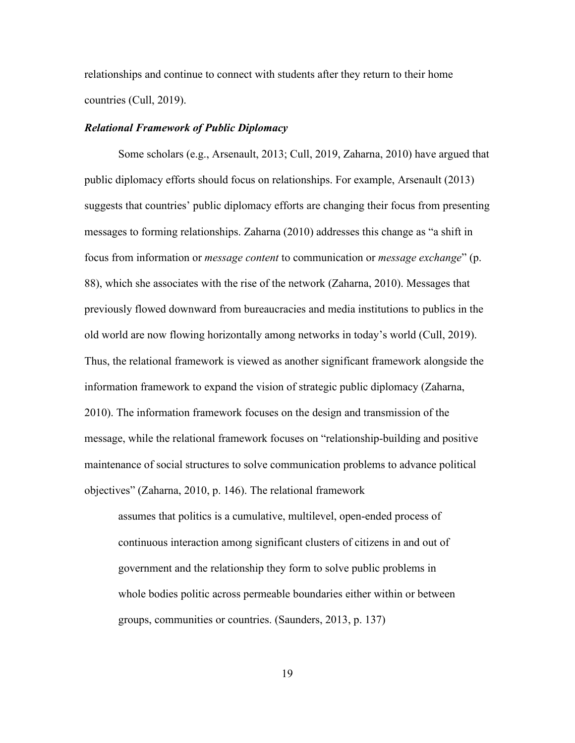relationships and continue to connect with students after they return to their home countries (Cull, 2019).

#### <span id="page-32-0"></span>*Relational Framework of Public Diplomacy*

Some scholars (e.g., Arsenault, 2013; Cull, 2019, Zaharna, 2010) have argued that public diplomacy efforts should focus on relationships. For example, Arsenault (2013) suggests that countries' public diplomacy efforts are changing their focus from presenting messages to forming relationships. Zaharna (2010) addresses this change as "a shift in focus from information or *message content* to communication or *message exchange*" (p. 88), which she associates with the rise of the network (Zaharna, 2010). Messages that previously flowed downward from bureaucracies and media institutions to publics in the old world are now flowing horizontally among networks in today's world (Cull, 2019). Thus, the relational framework is viewed as another significant framework alongside the information framework to expand the vision of strategic public diplomacy (Zaharna, 2010). The information framework focuses on the design and transmission of the message, while the relational framework focuses on "relationship-building and positive maintenance of social structures to solve communication problems to advance political objectives" (Zaharna, 2010, p. 146). The relational framework

assumes that politics is a cumulative, multilevel, open-ended process of continuous interaction among significant clusters of citizens in and out of government and the relationship they form to solve public problems in whole bodies politic across permeable boundaries either within or between groups, communities or countries. (Saunders, 2013, p. 137)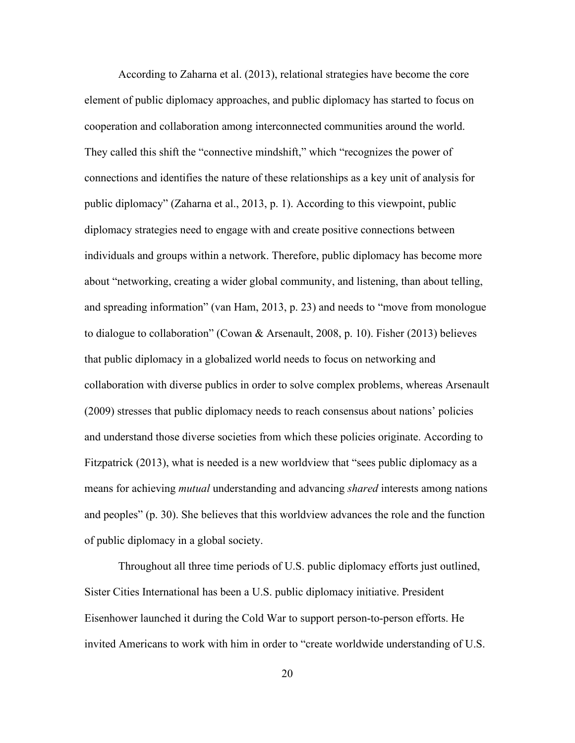According to Zaharna et al. (2013), relational strategies have become the core element of public diplomacy approaches, and public diplomacy has started to focus on cooperation and collaboration among interconnected communities around the world. They called this shift the "connective mindshift," which "recognizes the power of connections and identifies the nature of these relationships as a key unit of analysis for public diplomacy" (Zaharna et al., 2013, p. 1). According to this viewpoint, public diplomacy strategies need to engage with and create positive connections between individuals and groups within a network. Therefore, public diplomacy has become more about "networking, creating a wider global community, and listening, than about telling, and spreading information" (van Ham, 2013, p. 23) and needs to "move from monologue to dialogue to collaboration" (Cowan & Arsenault, 2008, p. 10). Fisher (2013) believes that public diplomacy in a globalized world needs to focus on networking and collaboration with diverse publics in order to solve complex problems, whereas Arsenault (2009) stresses that public diplomacy needs to reach consensus about nations' policies and understand those diverse societies from which these policies originate. According to Fitzpatrick (2013), what is needed is a new worldview that "sees public diplomacy as a means for achieving *mutual* understanding and advancing *shared* interests among nations and peoples" (p. 30). She believes that this worldview advances the role and the function of public diplomacy in a global society.

Throughout all three time periods of U.S. public diplomacy efforts just outlined, Sister Cities International has been a U.S. public diplomacy initiative. President Eisenhower launched it during the Cold War to support person-to-person efforts. He invited Americans to work with him in order to "create worldwide understanding of U.S.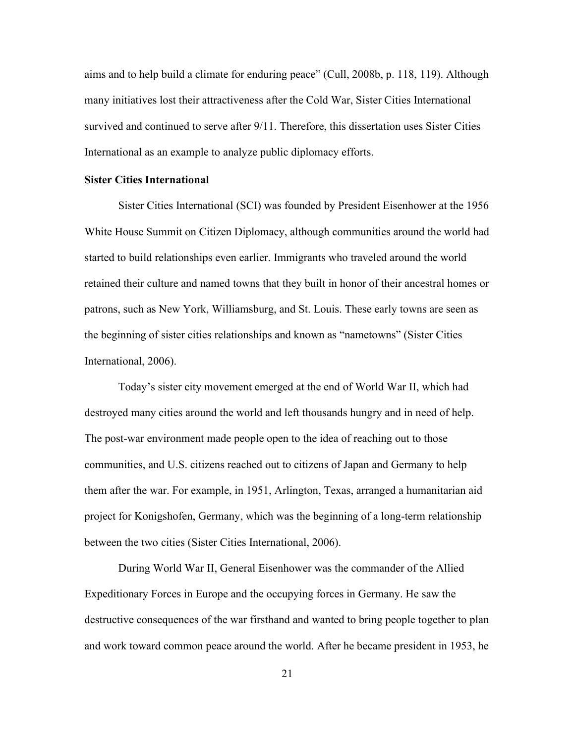aims and to help build a climate for enduring peace" (Cull, 2008b, p. 118, 119). Although many initiatives lost their attractiveness after the Cold War, Sister Cities International survived and continued to serve after 9/11. Therefore, this dissertation uses Sister Cities International as an example to analyze public diplomacy efforts.

### <span id="page-34-0"></span>**Sister Cities International**

Sister Cities International (SCI) was founded by President Eisenhower at the 1956 White House Summit on Citizen Diplomacy, although communities around the world had started to build relationships even earlier. Immigrants who traveled around the world retained their culture and named towns that they built in honor of their ancestral homes or patrons, such as New York, Williamsburg, and St. Louis. These early towns are seen as the beginning of sister cities relationships and known as "nametowns" (Sister Cities International, 2006).

Today's sister city movement emerged at the end of World War II, which had destroyed many cities around the world and left thousands hungry and in need of help. The post-war environment made people open to the idea of reaching out to those communities, and U.S. citizens reached out to citizens of Japan and Germany to help them after the war. For example, in 1951, Arlington, Texas, arranged a humanitarian aid project for Konigshofen, Germany, which was the beginning of a long-term relationship between the two cities (Sister Cities International, 2006).

During World War II, General Eisenhower was the commander of the Allied Expeditionary Forces in Europe and the occupying forces in Germany. He saw the destructive consequences of the war firsthand and wanted to bring people together to plan and work toward common peace around the world. After he became president in 1953, he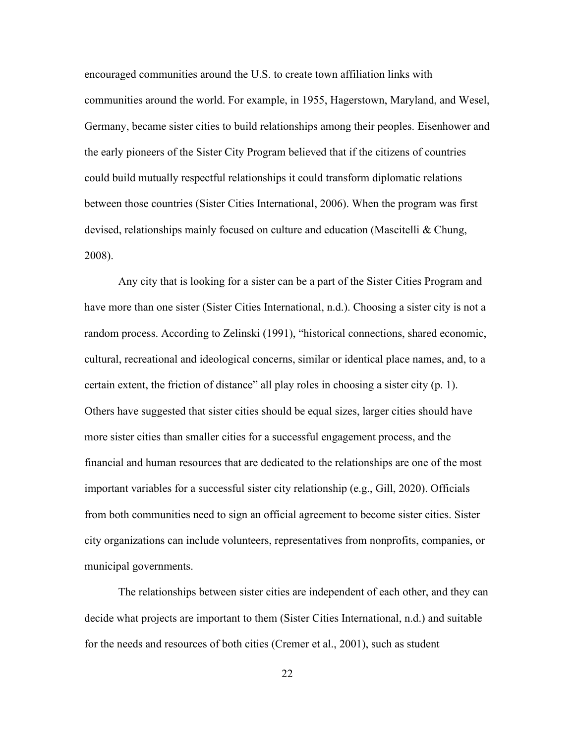encouraged communities around the U.S. to create town affiliation links with communities around the world. For example, in 1955, Hagerstown, Maryland, and Wesel, Germany, became sister cities to build relationships among their peoples. Eisenhower and the early pioneers of the Sister City Program believed that if the citizens of countries could build mutually respectful relationships it could transform diplomatic relations between those countries (Sister Cities International, 2006). When the program was first devised, relationships mainly focused on culture and education (Mascitelli & Chung, 2008).

Any city that is looking for a sister can be a part of the Sister Cities Program and have more than one sister (Sister Cities International, n.d.). Choosing a sister city is not a random process. According to Zelinski (1991), "historical connections, shared economic, cultural, recreational and ideological concerns, similar or identical place names, and, to a certain extent, the friction of distance" all play roles in choosing a sister city (p. 1). Others have suggested that sister cities should be equal sizes, larger cities should have more sister cities than smaller cities for a successful engagement process, and the financial and human resources that are dedicated to the relationships are one of the most important variables for a successful sister city relationship (e.g., Gill, 2020). Officials from both communities need to sign an official agreement to become sister cities. Sister city organizations can include volunteers, representatives from nonprofits, companies, or municipal governments.

The relationships between sister cities are independent of each other, and they can decide what projects are important to them (Sister Cities International, n.d.) and suitable for the needs and resources of both cities (Cremer et al., 2001), such as student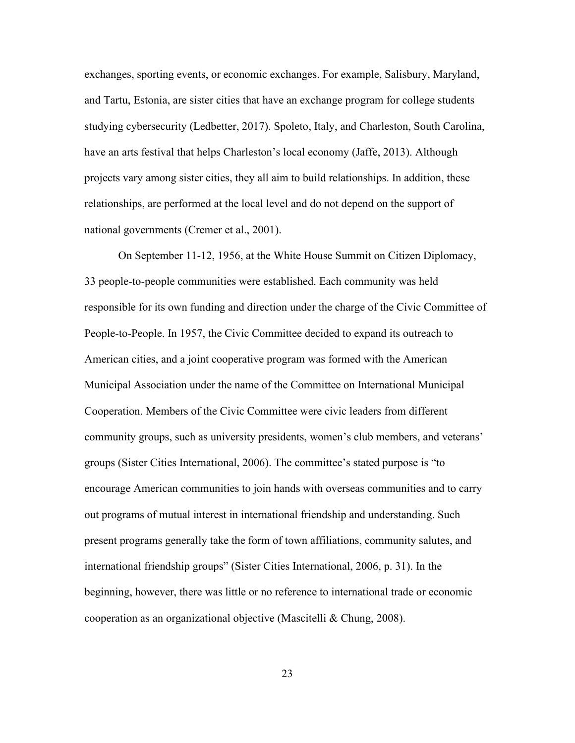exchanges, sporting events, or economic exchanges. For example, Salisbury, Maryland, and Tartu, Estonia, are sister cities that have an exchange program for college students studying cybersecurity (Ledbetter, 2017). Spoleto, Italy, and Charleston, South Carolina, have an arts festival that helps Charleston's local economy (Jaffe, 2013). Although projects vary among sister cities, they all aim to build relationships. In addition, these relationships, are performed at the local level and do not depend on the support of national governments (Cremer et al., 2001).

On September 11-12, 1956, at the White House Summit on Citizen Diplomacy, 33 people-to-people communities were established. Each community was held responsible for its own funding and direction under the charge of the Civic Committee of People-to-People. In 1957, the Civic Committee decided to expand its outreach to American cities, and a joint cooperative program was formed with the American Municipal Association under the name of the Committee on International Municipal Cooperation. Members of the Civic Committee were civic leaders from different community groups, such as university presidents, women's club members, and veterans' groups (Sister Cities International, 2006). The committee's stated purpose is "to encourage American communities to join hands with overseas communities and to carry out programs of mutual interest in international friendship and understanding. Such present programs generally take the form of town affiliations, community salutes, and international friendship groups" (Sister Cities International, 2006, p. 31). In the beginning, however, there was little or no reference to international trade or economic cooperation as an organizational objective (Mascitelli & Chung, 2008).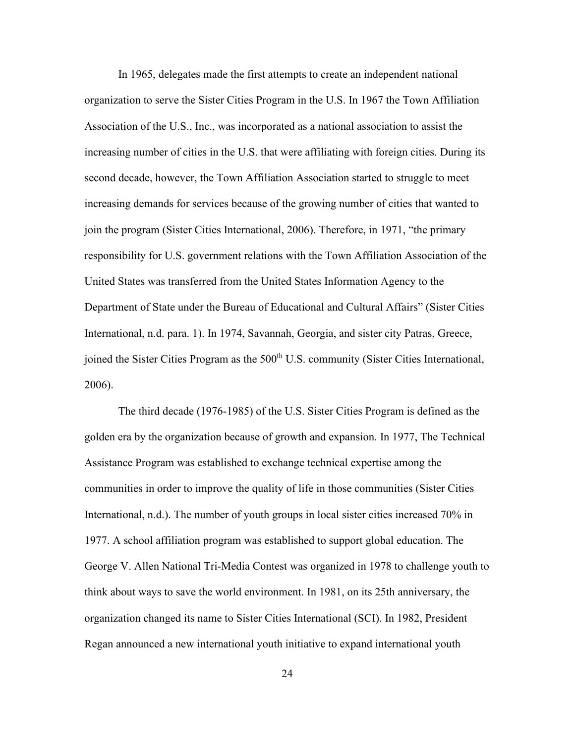In 1965, delegates made the first attempts to create an independent national organization to serve the Sister Cities Program in the U.S. In 1967 the Town Affiliation Association of the U.S., Inc., was incorporated as a national association to assist the increasing number of cities in the U.S. that were affiliating with foreign cities. During its second decade, however, the Town Affiliation Association started to struggle to meet increasing demands for services because of the growing number of cities that wanted to join the program (Sister Cities International, 2006). Therefore, in 1971, "the primary responsibility for U.S. government relations with the Town Affiliation Association of the United States was transferred from the United States Information Agency to the Department of State under the Bureau of Educational and Cultural Affairs" (Sister Cities International, n.d. para. 1). In 1974, Savannah, Georgia, and sister city Patras, Greece, joined the Sister Cities Program as the 500<sup>th</sup> U.S. community (Sister Cities International, 2006).

The third decade (1976-1985) of the U.S. Sister Cities Program is defined as the golden era by the organization because of growth and expansion. In 1977, The Technical Assistance Program was established to exchange technical expertise among the communities in order to improve the quality of life in those communities (Sister Cities International, n.d.). The number of youth groups in local sister cities increased 70% in 1977. A school affiliation program was established to support global education. The George V. Allen National Tri-Media Contest was organized in 1978 to challenge youth to think about ways to save the world environment. In 1981, on its 25th anniversary, the organization changed its name to Sister Cities International (SCI). In 1982, President Regan announced a new international youth initiative to expand international youth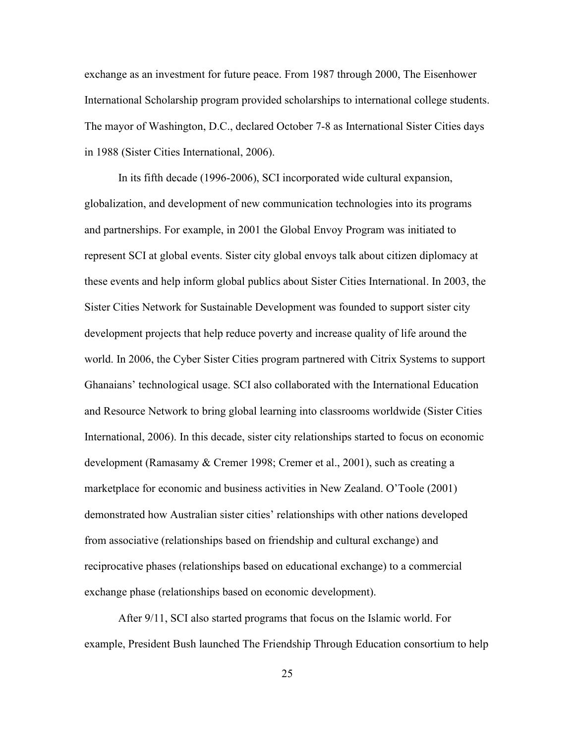exchange as an investment for future peace. From 1987 through 2000, The Eisenhower International Scholarship program provided scholarships to international college students. The mayor of Washington, D.C., declared October 7-8 as International Sister Cities days in 1988 (Sister Cities International, 2006).

In its fifth decade (1996-2006), SCI incorporated wide cultural expansion, globalization, and development of new communication technologies into its programs and partnerships. For example, in 2001 the Global Envoy Program was initiated to represent SCI at global events. Sister city global envoys talk about citizen diplomacy at these events and help inform global publics about Sister Cities International. In 2003, the Sister Cities Network for Sustainable Development was founded to support sister city development projects that help reduce poverty and increase quality of life around the world. In 2006, the Cyber Sister Cities program partnered with Citrix Systems to support Ghanaians' technological usage. SCI also collaborated with the International Education and Resource Network to bring global learning into classrooms worldwide (Sister Cities International, 2006). In this decade, sister city relationships started to focus on economic development (Ramasamy & Cremer 1998; Cremer et al., 2001), such as creating a marketplace for economic and business activities in New Zealand. O'Toole (2001) demonstrated how Australian sister cities' relationships with other nations developed from associative (relationships based on friendship and cultural exchange) and reciprocative phases (relationships based on educational exchange) to a commercial exchange phase (relationships based on economic development).

After 9/11, SCI also started programs that focus on the Islamic world. For example, President Bush launched The Friendship Through Education consortium to help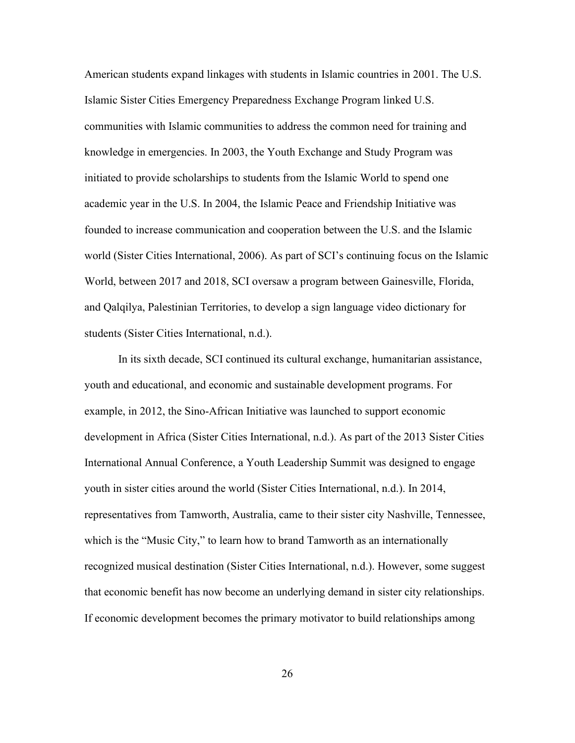American students expand linkages with students in Islamic countries in 2001. The U.S. Islamic Sister Cities Emergency Preparedness Exchange Program linked U.S. communities with Islamic communities to address the common need for training and knowledge in emergencies. In 2003, the Youth Exchange and Study Program was initiated to provide scholarships to students from the Islamic World to spend one academic year in the U.S. In 2004, the Islamic Peace and Friendship Initiative was founded to increase communication and cooperation between the U.S. and the Islamic world (Sister Cities International, 2006). As part of SCI's continuing focus on the Islamic World, between 2017 and 2018, SCI oversaw a program between Gainesville, Florida, and Qalqilya, Palestinian Territories, to develop a sign language video dictionary for students (Sister Cities International, n.d.).

In its sixth decade, SCI continued its cultural exchange, humanitarian assistance, youth and educational, and economic and sustainable development programs. For example, in 2012, the Sino-African Initiative was launched to support economic development in Africa (Sister Cities International, n.d.). As part of the 2013 Sister Cities International Annual Conference, a Youth Leadership Summit was designed to engage youth in sister cities around the world (Sister Cities International, n.d.). In 2014, representatives from Tamworth, Australia, came to their sister city Nashville, Tennessee, which is the "Music City," to learn how to brand Tamworth as an internationally recognized musical destination (Sister Cities International, n.d.). However, some suggest that economic benefit has now become an underlying demand in sister city relationships. If economic development becomes the primary motivator to build relationships among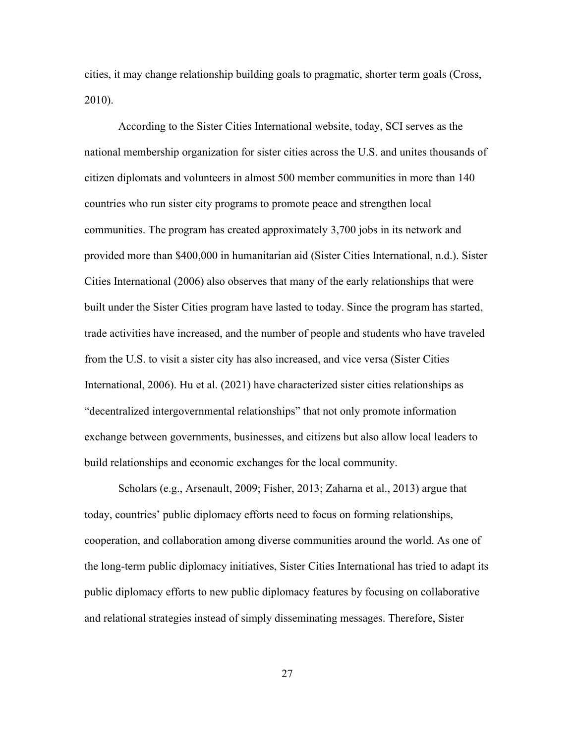cities, it may change relationship building goals to pragmatic, shorter term goals (Cross, 2010).

According to the Sister Cities International website, today, SCI serves as the national membership organization for sister cities across the U.S. and unites thousands of citizen diplomats and volunteers in almost 500 member communities in more than 140 countries who run sister city programs to promote peace and strengthen local communities. The program has created approximately 3,700 jobs in its network and provided more than \$400,000 in humanitarian aid (Sister Cities International, n.d.). Sister Cities International (2006) also observes that many of the early relationships that were built under the Sister Cities program have lasted to today. Since the program has started, trade activities have increased, and the number of people and students who have traveled from the U.S. to visit a sister city has also increased, and vice versa (Sister Cities International, 2006). Hu et al. (2021) have characterized sister cities relationships as "decentralized intergovernmental relationships" that not only promote information exchange between governments, businesses, and citizens but also allow local leaders to build relationships and economic exchanges for the local community.

Scholars (e.g., Arsenault, 2009; Fisher, 2013; Zaharna et al., 2013) argue that today, countries' public diplomacy efforts need to focus on forming relationships, cooperation, and collaboration among diverse communities around the world. As one of the long-term public diplomacy initiatives, Sister Cities International has tried to adapt its public diplomacy efforts to new public diplomacy features by focusing on collaborative and relational strategies instead of simply disseminating messages. Therefore, Sister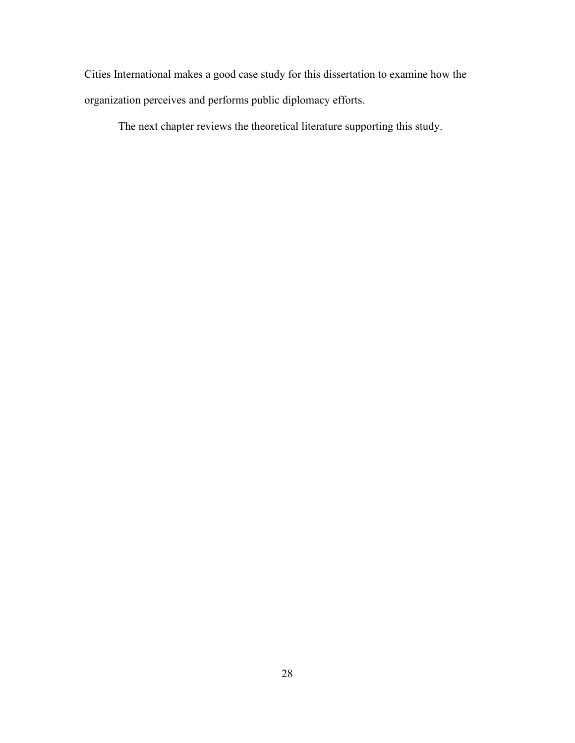Cities International makes a good case study for this dissertation to examine how the organization perceives and performs public diplomacy efforts.

The next chapter reviews the theoretical literature supporting this study.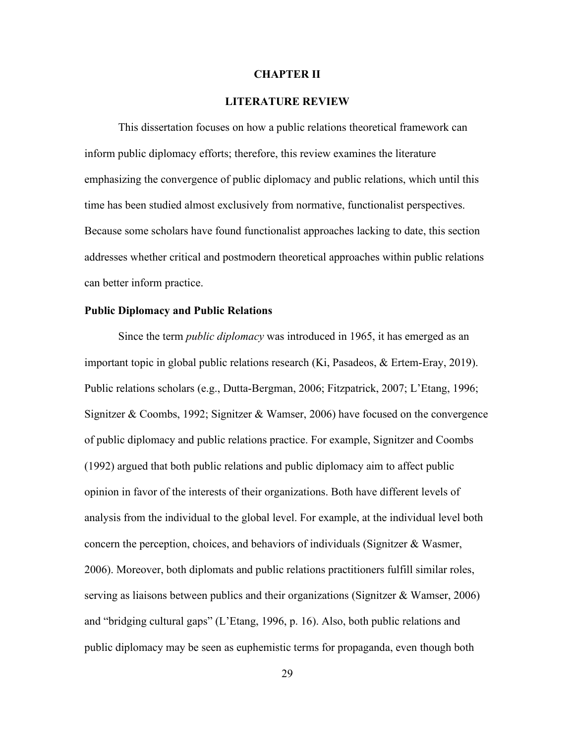#### **CHAPTER II**

## **LITERATURE REVIEW**

This dissertation focuses on how a public relations theoretical framework can inform public diplomacy efforts; therefore, this review examines the literature emphasizing the convergence of public diplomacy and public relations, which until this time has been studied almost exclusively from normative, functionalist perspectives. Because some scholars have found functionalist approaches lacking to date, this section addresses whether critical and postmodern theoretical approaches within public relations can better inform practice.

#### **Public Diplomacy and Public Relations**

Since the term *public diplomacy* was introduced in 1965, it has emerged as an important topic in global public relations research (Ki, Pasadeos, & Ertem-Eray, 2019). Public relations scholars (e.g., Dutta-Bergman, 2006; Fitzpatrick, 2007; L'Etang, 1996; Signitzer & Coombs, 1992; Signitzer & Wamser, 2006) have focused on the convergence of public diplomacy and public relations practice. For example, Signitzer and Coombs (1992) argued that both public relations and public diplomacy aim to affect public opinion in favor of the interests of their organizations. Both have different levels of analysis from the individual to the global level. For example, at the individual level both concern the perception, choices, and behaviors of individuals (Signitzer & Wasmer, 2006). Moreover, both diplomats and public relations practitioners fulfill similar roles, serving as liaisons between publics and their organizations (Signitzer & Wamser, 2006) and "bridging cultural gaps" (L'Etang, 1996, p. 16). Also, both public relations and public diplomacy may be seen as euphemistic terms for propaganda, even though both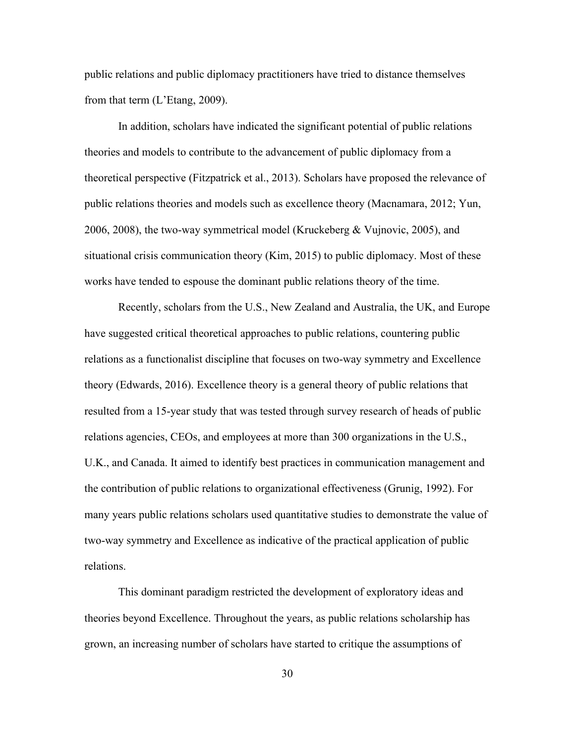public relations and public diplomacy practitioners have tried to distance themselves from that term (L'Etang, 2009).

In addition, scholars have indicated the significant potential of public relations theories and models to contribute to the advancement of public diplomacy from a theoretical perspective (Fitzpatrick et al., 2013). Scholars have proposed the relevance of public relations theories and models such as excellence theory (Macnamara, 2012; Yun, 2006, 2008), the two-way symmetrical model (Kruckeberg & Vujnovic, 2005), and situational crisis communication theory (Kim, 2015) to public diplomacy. Most of these works have tended to espouse the dominant public relations theory of the time.

Recently, scholars from the U.S., New Zealand and Australia, the UK, and Europe have suggested critical theoretical approaches to public relations, countering public relations as a functionalist discipline that focuses on two-way symmetry and Excellence theory (Edwards, 2016). Excellence theory is a general theory of public relations that resulted from a 15-year study that was tested through survey research of heads of public relations agencies, CEOs, and employees at more than 300 organizations in the U.S., U.K., and Canada. It aimed to identify best practices in communication management and the contribution of public relations to organizational effectiveness (Grunig, 1992). For many years public relations scholars used quantitative studies to demonstrate the value of two-way symmetry and Excellence as indicative of the practical application of public relations.

This dominant paradigm restricted the development of exploratory ideas and theories beyond Excellence. Throughout the years, as public relations scholarship has grown, an increasing number of scholars have started to critique the assumptions of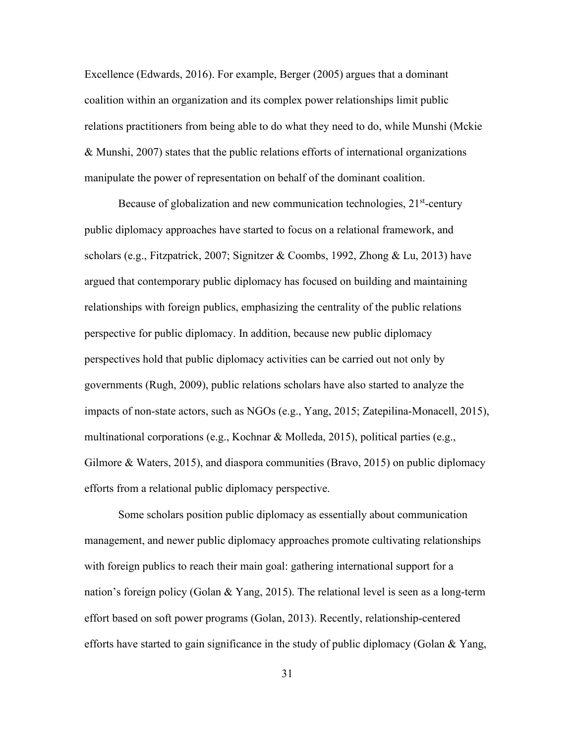Excellence (Edwards, 2016). For example, Berger (2005) argues that a dominant coalition within an organization and its complex power relationships limit public relations practitioners from being able to do what they need to do, while Munshi (Mckie & Munshi, 2007) states that the public relations efforts of international organizations manipulate the power of representation on behalf of the dominant coalition.

Because of globalization and new communication technologies,  $21<sup>st</sup>$ -century public diplomacy approaches have started to focus on a relational framework, and scholars (e.g., Fitzpatrick, 2007; Signitzer & Coombs, 1992, Zhong & Lu, 2013) have argued that contemporary public diplomacy has focused on building and maintaining relationships with foreign publics, emphasizing the centrality of the public relations perspective for public diplomacy. In addition, because new public diplomacy perspectives hold that public diplomacy activities can be carried out not only by governments (Rugh, 2009), public relations scholars have also started to analyze the impacts of non-state actors, such as NGOs (e.g., Yang, 2015; Zatepilina-Monacell, 2015), multinational corporations (e.g., Kochnar & Molleda, 2015), political parties (e.g., Gilmore & Waters, 2015), and diaspora communities (Bravo, 2015) on public diplomacy efforts from a relational public diplomacy perspective.

Some scholars position public diplomacy as essentially about communication management, and newer public diplomacy approaches promote cultivating relationships with foreign publics to reach their main goal: gathering international support for a nation's foreign policy (Golan & Yang, 2015). The relational level is seen as a long-term effort based on soft power programs (Golan, 2013). Recently, relationship-centered efforts have started to gain significance in the study of public diplomacy (Golan  $&$  Yang,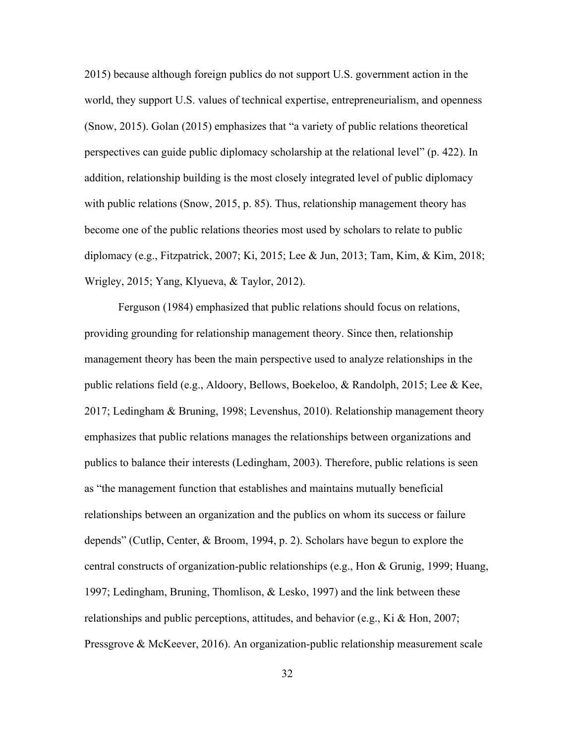2015) because although foreign publics do not support U.S. government action in the world, they support U.S. values of technical expertise, entrepreneurialism, and openness (Snow, 2015). Golan (2015) emphasizes that "a variety of public relations theoretical perspectives can guide public diplomacy scholarship at the relational level" (p. 422). In addition, relationship building is the most closely integrated level of public diplomacy with public relations (Snow, 2015, p. 85). Thus, relationship management theory has become one of the public relations theories most used by scholars to relate to public diplomacy (e.g., Fitzpatrick, 2007; Ki, 2015; Lee & Jun, 2013; Tam, Kim, & Kim, 2018; Wrigley, 2015; Yang, Klyueva, & Taylor, 2012).

Ferguson (1984) emphasized that public relations should focus on relations, providing grounding for relationship management theory. Since then, relationship management theory has been the main perspective used to analyze relationships in the public relations field (e.g., Aldoory, Bellows, Boekeloo, & Randolph, 2015; Lee & Kee, 2017; Ledingham & Bruning, 1998; Levenshus, 2010). Relationship management theory emphasizes that public relations manages the relationships between organizations and publics to balance their interests (Ledingham, 2003). Therefore, public relations is seen as "the management function that establishes and maintains mutually beneficial relationships between an organization and the publics on whom its success or failure depends" (Cutlip, Center, & Broom, 1994, p. 2). Scholars have begun to explore the central constructs of organization-public relationships (e.g., Hon & Grunig, 1999; Huang, 1997; Ledingham, Bruning, Thomlison, & Lesko, 1997) and the link between these relationships and public perceptions, attitudes, and behavior (e.g., Ki & Hon, 2007; Pressgrove & McKeever, 2016). An organization-public relationship measurement scale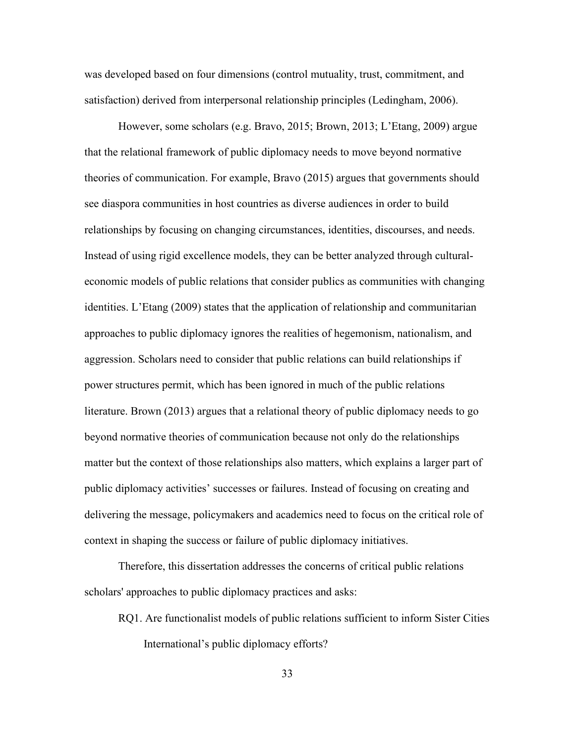was developed based on four dimensions (control mutuality, trust, commitment, and satisfaction) derived from interpersonal relationship principles (Ledingham, 2006).

However, some scholars (e.g. Bravo, 2015; Brown, 2013; L'Etang, 2009) argue that the relational framework of public diplomacy needs to move beyond normative theories of communication. For example, Bravo (2015) argues that governments should see diaspora communities in host countries as diverse audiences in order to build relationships by focusing on changing circumstances, identities, discourses, and needs. Instead of using rigid excellence models, they can be better analyzed through culturaleconomic models of public relations that consider publics as communities with changing identities. L'Etang (2009) states that the application of relationship and communitarian approaches to public diplomacy ignores the realities of hegemonism, nationalism, and aggression. Scholars need to consider that public relations can build relationships if power structures permit, which has been ignored in much of the public relations literature. Brown (2013) argues that a relational theory of public diplomacy needs to go beyond normative theories of communication because not only do the relationships matter but the context of those relationships also matters, which explains a larger part of public diplomacy activities' successes or failures. Instead of focusing on creating and delivering the message, policymakers and academics need to focus on the critical role of context in shaping the success or failure of public diplomacy initiatives.

Therefore, this dissertation addresses the concerns of critical public relations scholars' approaches to public diplomacy practices and asks:

RQ1. Are functionalist models of public relations sufficient to inform Sister Cities International's public diplomacy efforts?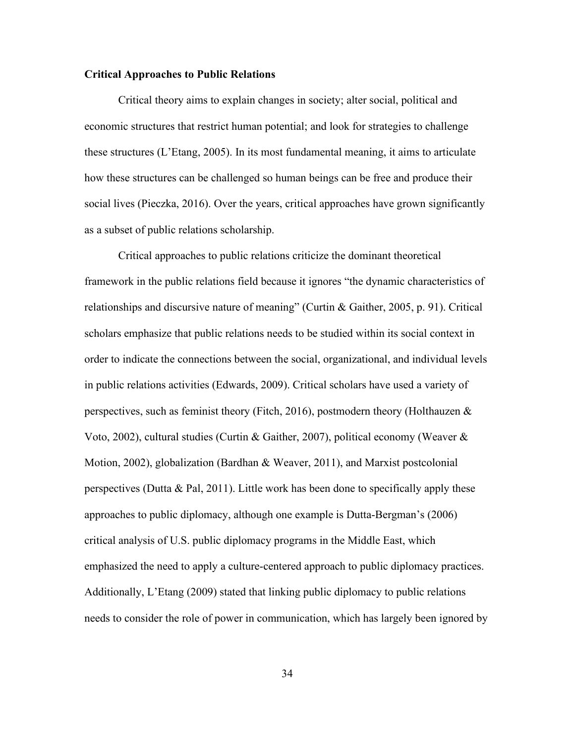#### **Critical Approaches to Public Relations**

Critical theory aims to explain changes in society; alter social, political and economic structures that restrict human potential; and look for strategies to challenge these structures (L'Etang, 2005). In its most fundamental meaning, it aims to articulate how these structures can be challenged so human beings can be free and produce their social lives (Pieczka, 2016). Over the years, critical approaches have grown significantly as a subset of public relations scholarship.

Critical approaches to public relations criticize the dominant theoretical framework in the public relations field because it ignores "the dynamic characteristics of relationships and discursive nature of meaning" (Curtin & Gaither, 2005, p. 91). Critical scholars emphasize that public relations needs to be studied within its social context in order to indicate the connections between the social, organizational, and individual levels in public relations activities (Edwards, 2009). Critical scholars have used a variety of perspectives, such as feminist theory (Fitch, 2016), postmodern theory (Holthauzen  $\&$ Voto, 2002), cultural studies (Curtin & Gaither, 2007), political economy (Weaver & Motion, 2002), globalization (Bardhan & Weaver, 2011), and Marxist postcolonial perspectives (Dutta & Pal, 2011). Little work has been done to specifically apply these approaches to public diplomacy, although one example is Dutta-Bergman's (2006) critical analysis of U.S. public diplomacy programs in the Middle East, which emphasized the need to apply a culture-centered approach to public diplomacy practices. Additionally, L'Etang (2009) stated that linking public diplomacy to public relations needs to consider the role of power in communication, which has largely been ignored by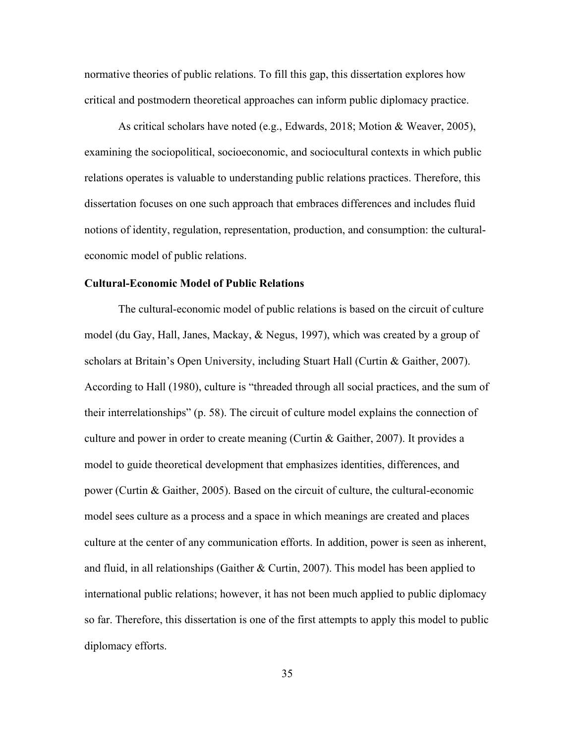normative theories of public relations. To fill this gap, this dissertation explores how critical and postmodern theoretical approaches can inform public diplomacy practice.

As critical scholars have noted (e.g., Edwards, 2018; Motion & Weaver, 2005), examining the sociopolitical, socioeconomic, and sociocultural contexts in which public relations operates is valuable to understanding public relations practices. Therefore, this dissertation focuses on one such approach that embraces differences and includes fluid notions of identity, regulation, representation, production, and consumption: the culturaleconomic model of public relations.

#### **Cultural-Economic Model of Public Relations**

The cultural-economic model of public relations is based on the circuit of culture model (du Gay, Hall, Janes, Mackay, & Negus, 1997), which was created by a group of scholars at Britain's Open University, including Stuart Hall (Curtin & Gaither, 2007). According to Hall (1980), culture is "threaded through all social practices, and the sum of their interrelationships" (p. 58). The circuit of culture model explains the connection of culture and power in order to create meaning (Curtin & Gaither, 2007). It provides a model to guide theoretical development that emphasizes identities, differences, and power (Curtin & Gaither, 2005). Based on the circuit of culture, the cultural-economic model sees culture as a process and a space in which meanings are created and places culture at the center of any communication efforts. In addition, power is seen as inherent, and fluid, in all relationships (Gaither  $&$  Curtin, 2007). This model has been applied to international public relations; however, it has not been much applied to public diplomacy so far. Therefore, this dissertation is one of the first attempts to apply this model to public diplomacy efforts.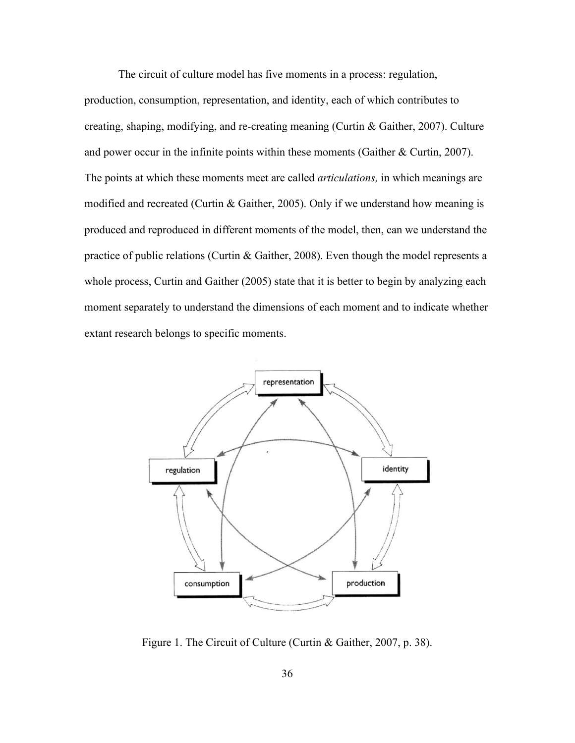The circuit of culture model has five moments in a process: regulation,

production, consumption, representation, and identity, each of which contributes to creating, shaping, modifying, and re-creating meaning (Curtin & Gaither, 2007). Culture and power occur in the infinite points within these moments (Gaither & Curtin, 2007). The points at which these moments meet are called *articulations,* in which meanings are modified and recreated (Curtin & Gaither, 2005). Only if we understand how meaning is produced and reproduced in different moments of the model, then, can we understand the practice of public relations (Curtin & Gaither, 2008). Even though the model represents a whole process, Curtin and Gaither (2005) state that it is better to begin by analyzing each moment separately to understand the dimensions of each moment and to indicate whether extant research belongs to specific moments.



Figure 1. The Circuit of Culture (Curtin & Gaither, 2007, p. 38).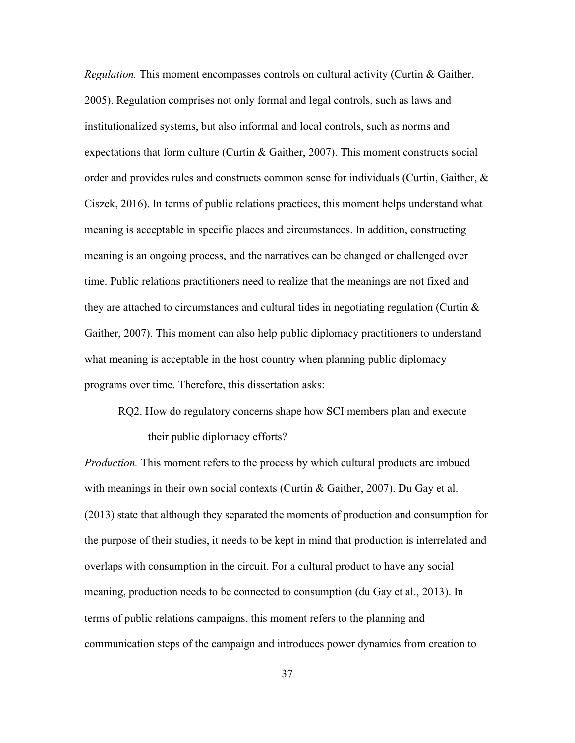*Regulation.* This moment encompasses controls on cultural activity (Curtin & Gaither, 2005). Regulation comprises not only formal and legal controls, such as laws and institutionalized systems, but also informal and local controls, such as norms and expectations that form culture (Curtin & Gaither, 2007). This moment constructs social order and provides rules and constructs common sense for individuals (Curtin, Gaither, & Ciszek, 2016). In terms of public relations practices, this moment helps understand what meaning is acceptable in specific places and circumstances. In addition, constructing meaning is an ongoing process, and the narratives can be changed or challenged over time. Public relations practitioners need to realize that the meanings are not fixed and they are attached to circumstances and cultural tides in negotiating regulation (Curtin  $\&$ Gaither, 2007). This moment can also help public diplomacy practitioners to understand what meaning is acceptable in the host country when planning public diplomacy programs over time. Therefore, this dissertation asks:

RQ2. How do regulatory concerns shape how SCI members plan and execute their public diplomacy efforts?

*Production.* This moment refers to the process by which cultural products are imbued with meanings in their own social contexts (Curtin & Gaither, 2007). Du Gay et al. (2013) state that although they separated the moments of production and consumption for the purpose of their studies, it needs to be kept in mind that production is interrelated and overlaps with consumption in the circuit. For a cultural product to have any social meaning, production needs to be connected to consumption (du Gay et al., 2013). In terms of public relations campaigns, this moment refers to the planning and communication steps of the campaign and introduces power dynamics from creation to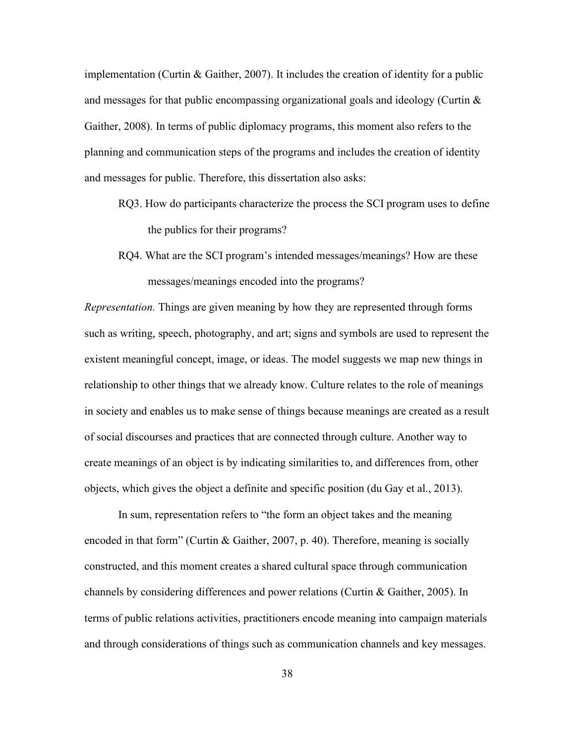implementation (Curtin & Gaither, 2007). It includes the creation of identity for a public and messages for that public encompassing organizational goals and ideology (Curtin  $\&$ Gaither, 2008). In terms of public diplomacy programs, this moment also refers to the planning and communication steps of the programs and includes the creation of identity and messages for public. Therefore, this dissertation also asks:

- RQ3. How do participants characterize the process the SCI program uses to define the publics for their programs?
- RQ4. What are the SCI program's intended messages/meanings? How are these messages/meanings encoded into the programs?

*Representation.* Things are given meaning by how they are represented through forms such as writing, speech, photography, and art; signs and symbols are used to represent the existent meaningful concept, image, or ideas. The model suggests we map new things in relationship to other things that we already know. Culture relates to the role of meanings in society and enables us to make sense of things because meanings are created as a result of social discourses and practices that are connected through culture. Another way to create meanings of an object is by indicating similarities to, and differences from, other objects, which gives the object a definite and specific position (du Gay et al., 2013).

In sum, representation refers to "the form an object takes and the meaning encoded in that form" (Curtin & Gaither, 2007, p. 40). Therefore, meaning is socially constructed, and this moment creates a shared cultural space through communication channels by considering differences and power relations (Curtin & Gaither, 2005). In terms of public relations activities, practitioners encode meaning into campaign materials and through considerations of things such as communication channels and key messages.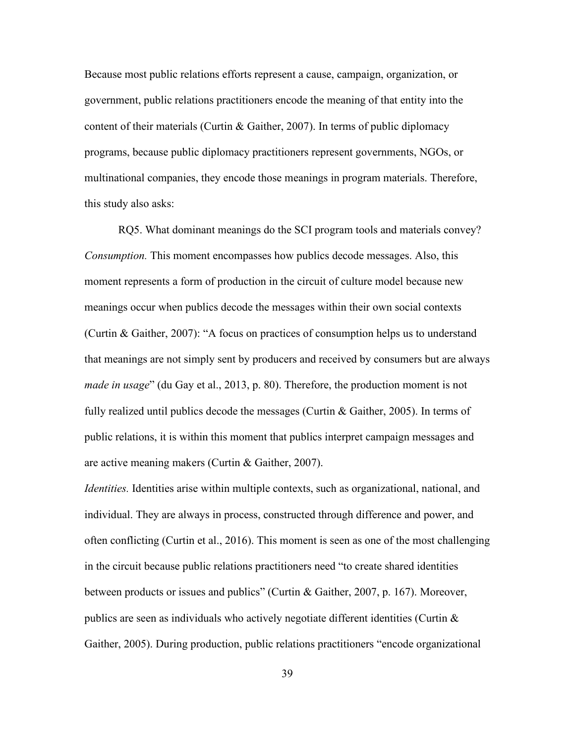Because most public relations efforts represent a cause, campaign, organization, or government, public relations practitioners encode the meaning of that entity into the content of their materials (Curtin & Gaither, 2007). In terms of public diplomacy programs, because public diplomacy practitioners represent governments, NGOs, or multinational companies, they encode those meanings in program materials. Therefore, this study also asks:

RQ5. What dominant meanings do the SCI program tools and materials convey? *Consumption.* This moment encompasses how publics decode messages. Also, this moment represents a form of production in the circuit of culture model because new meanings occur when publics decode the messages within their own social contexts (Curtin & Gaither, 2007): "A focus on practices of consumption helps us to understand that meanings are not simply sent by producers and received by consumers but are always *made in usage*" (du Gay et al., 2013, p. 80). Therefore, the production moment is not fully realized until publics decode the messages (Curtin & Gaither, 2005). In terms of public relations, it is within this moment that publics interpret campaign messages and are active meaning makers (Curtin & Gaither, 2007).

*Identities.* Identities arise within multiple contexts, such as organizational, national, and individual. They are always in process, constructed through difference and power, and often conflicting (Curtin et al., 2016). This moment is seen as one of the most challenging in the circuit because public relations practitioners need "to create shared identities between products or issues and publics" (Curtin & Gaither, 2007, p. 167). Moreover, publics are seen as individuals who actively negotiate different identities (Curtin & Gaither, 2005). During production, public relations practitioners "encode organizational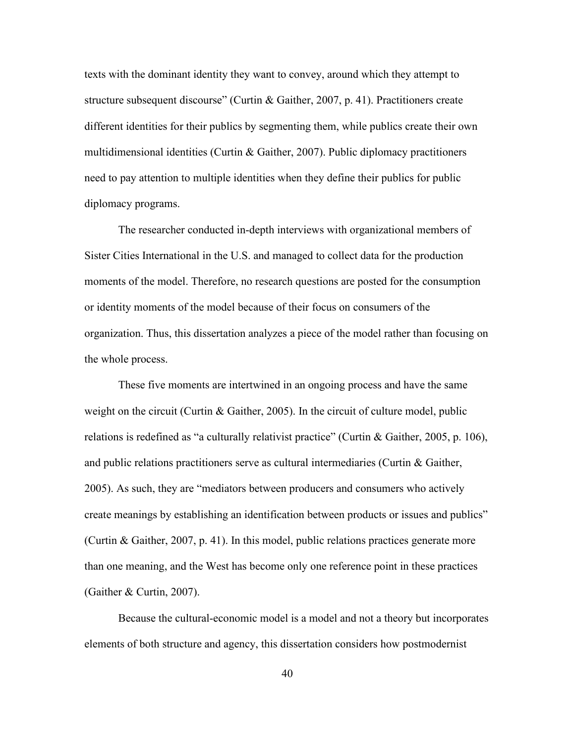texts with the dominant identity they want to convey, around which they attempt to structure subsequent discourse" (Curtin & Gaither, 2007, p. 41). Practitioners create different identities for their publics by segmenting them, while publics create their own multidimensional identities (Curtin & Gaither, 2007). Public diplomacy practitioners need to pay attention to multiple identities when they define their publics for public diplomacy programs.

The researcher conducted in-depth interviews with organizational members of Sister Cities International in the U.S. and managed to collect data for the production moments of the model. Therefore, no research questions are posted for the consumption or identity moments of the model because of their focus on consumers of the organization. Thus, this dissertation analyzes a piece of the model rather than focusing on the whole process.

These five moments are intertwined in an ongoing process and have the same weight on the circuit (Curtin & Gaither, 2005). In the circuit of culture model, public relations is redefined as "a culturally relativist practice" (Curtin & Gaither, 2005, p. 106), and public relations practitioners serve as cultural intermediaries (Curtin & Gaither, 2005). As such, they are "mediators between producers and consumers who actively create meanings by establishing an identification between products or issues and publics" (Curtin & Gaither, 2007, p. 41). In this model, public relations practices generate more than one meaning, and the West has become only one reference point in these practices (Gaither & Curtin, 2007).

Because the cultural-economic model is a model and not a theory but incorporates elements of both structure and agency, this dissertation considers how postmodernist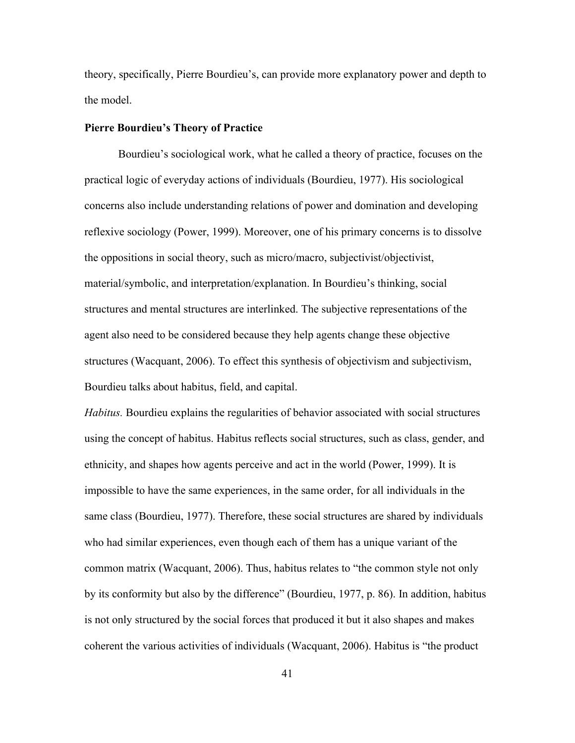theory, specifically, Pierre Bourdieu's, can provide more explanatory power and depth to the model.

#### **Pierre Bourdieu's Theory of Practice**

Bourdieu's sociological work, what he called a theory of practice, focuses on the practical logic of everyday actions of individuals (Bourdieu, 1977). His sociological concerns also include understanding relations of power and domination and developing reflexive sociology (Power, 1999). Moreover, one of his primary concerns is to dissolve the oppositions in social theory, such as micro/macro, subjectivist/objectivist, material/symbolic, and interpretation/explanation. In Bourdieu's thinking, social structures and mental structures are interlinked. The subjective representations of the agent also need to be considered because they help agents change these objective structures (Wacquant, 2006). To effect this synthesis of objectivism and subjectivism, Bourdieu talks about habitus, field, and capital.

*Habitus.* Bourdieu explains the regularities of behavior associated with social structures using the concept of habitus. Habitus reflects social structures, such as class, gender, and ethnicity, and shapes how agents perceive and act in the world (Power, 1999). It is impossible to have the same experiences, in the same order, for all individuals in the same class (Bourdieu, 1977). Therefore, these social structures are shared by individuals who had similar experiences, even though each of them has a unique variant of the common matrix (Wacquant, 2006). Thus, habitus relates to "the common style not only by its conformity but also by the difference" (Bourdieu, 1977, p. 86). In addition, habitus is not only structured by the social forces that produced it but it also shapes and makes coherent the various activities of individuals (Wacquant, 2006). Habitus is "the product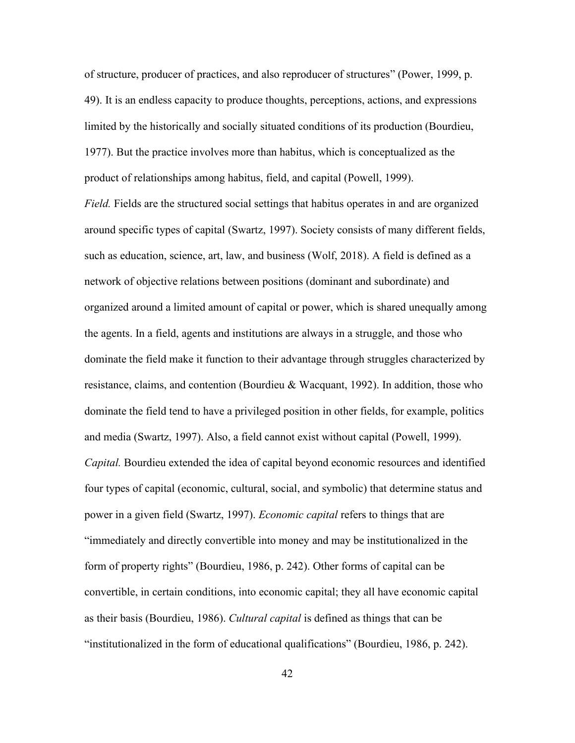of structure, producer of practices, and also reproducer of structures" (Power, 1999, p. 49). It is an endless capacity to produce thoughts, perceptions, actions, and expressions limited by the historically and socially situated conditions of its production (Bourdieu, 1977). But the practice involves more than habitus, which is conceptualized as the product of relationships among habitus, field, and capital (Powell, 1999).

*Field.* Fields are the structured social settings that habitus operates in and are organized around specific types of capital (Swartz, 1997). Society consists of many different fields, such as education, science, art, law, and business (Wolf, 2018). A field is defined as a network of objective relations between positions (dominant and subordinate) and organized around a limited amount of capital or power, which is shared unequally among the agents. In a field, agents and institutions are always in a struggle, and those who dominate the field make it function to their advantage through struggles characterized by resistance, claims, and contention (Bourdieu & Wacquant, 1992). In addition, those who dominate the field tend to have a privileged position in other fields, for example, politics and media (Swartz, 1997). Also, a field cannot exist without capital (Powell, 1999). *Capital.* Bourdieu extended the idea of capital beyond economic resources and identified four types of capital (economic, cultural, social, and symbolic) that determine status and power in a given field (Swartz, 1997). *Economic capital* refers to things that are "immediately and directly convertible into money and may be institutionalized in the form of property rights" (Bourdieu, 1986, p. 242). Other forms of capital can be convertible, in certain conditions, into economic capital; they all have economic capital as their basis (Bourdieu, 1986). *Cultural capital* is defined as things that can be "institutionalized in the form of educational qualifications" (Bourdieu, 1986, p. 242).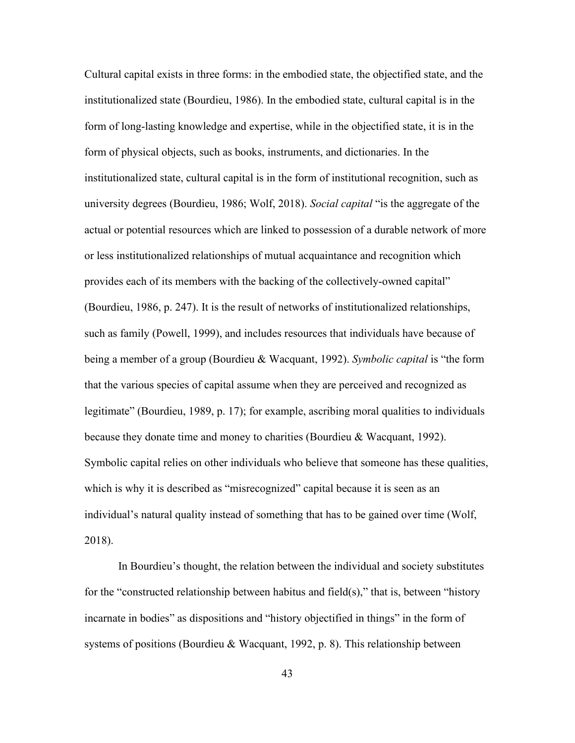Cultural capital exists in three forms: in the embodied state, the objectified state, and the institutionalized state (Bourdieu, 1986). In the embodied state, cultural capital is in the form of long-lasting knowledge and expertise, while in the objectified state, it is in the form of physical objects, such as books, instruments, and dictionaries. In the institutionalized state, cultural capital is in the form of institutional recognition, such as university degrees (Bourdieu, 1986; Wolf, 2018). *Social capital* "is the aggregate of the actual or potential resources which are linked to possession of a durable network of more or less institutionalized relationships of mutual acquaintance and recognition which provides each of its members with the backing of the collectively-owned capital" (Bourdieu, 1986, p. 247). It is the result of networks of institutionalized relationships, such as family (Powell, 1999), and includes resources that individuals have because of being a member of a group (Bourdieu & Wacquant, 1992). *Symbolic capital* is "the form that the various species of capital assume when they are perceived and recognized as legitimate" (Bourdieu, 1989, p. 17); for example, ascribing moral qualities to individuals because they donate time and money to charities (Bourdieu & Wacquant, 1992). Symbolic capital relies on other individuals who believe that someone has these qualities, which is why it is described as "misrecognized" capital because it is seen as an individual's natural quality instead of something that has to be gained over time (Wolf, 2018).

In Bourdieu's thought, the relation between the individual and society substitutes for the "constructed relationship between habitus and field(s)," that is, between "history incarnate in bodies" as dispositions and "history objectified in things" in the form of systems of positions (Bourdieu & Wacquant, 1992, p. 8). This relationship between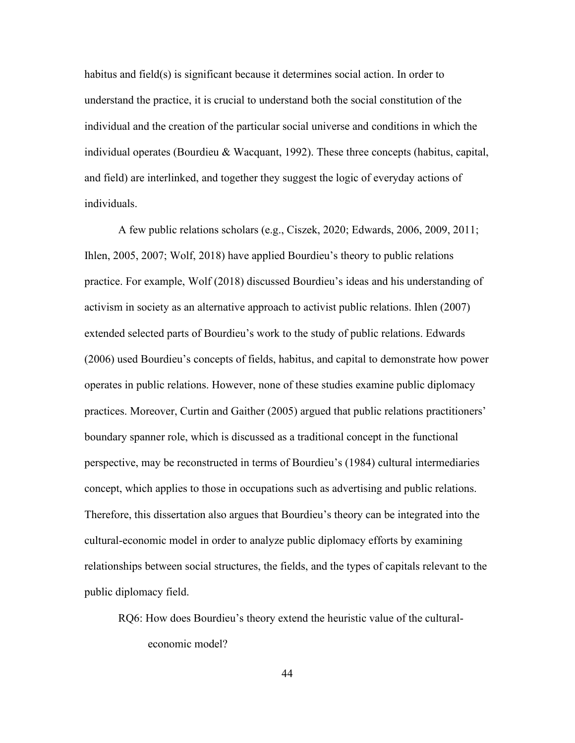habitus and field(s) is significant because it determines social action. In order to understand the practice, it is crucial to understand both the social constitution of the individual and the creation of the particular social universe and conditions in which the individual operates (Bourdieu & Wacquant, 1992). These three concepts (habitus, capital, and field) are interlinked, and together they suggest the logic of everyday actions of individuals.

A few public relations scholars (e.g., Ciszek, 2020; Edwards, 2006, 2009, 2011; Ihlen, 2005, 2007; Wolf, 2018) have applied Bourdieu's theory to public relations practice. For example, Wolf (2018) discussed Bourdieu's ideas and his understanding of activism in society as an alternative approach to activist public relations. Ihlen (2007) extended selected parts of Bourdieu's work to the study of public relations. Edwards (2006) used Bourdieu's concepts of fields, habitus, and capital to demonstrate how power operates in public relations. However, none of these studies examine public diplomacy practices. Moreover, Curtin and Gaither (2005) argued that public relations practitioners' boundary spanner role, which is discussed as a traditional concept in the functional perspective, may be reconstructed in terms of Bourdieu's (1984) cultural intermediaries concept, which applies to those in occupations such as advertising and public relations. Therefore, this dissertation also argues that Bourdieu's theory can be integrated into the cultural-economic model in order to analyze public diplomacy efforts by examining relationships between social structures, the fields, and the types of capitals relevant to the public diplomacy field.

RQ6: How does Bourdieu's theory extend the heuristic value of the culturaleconomic model?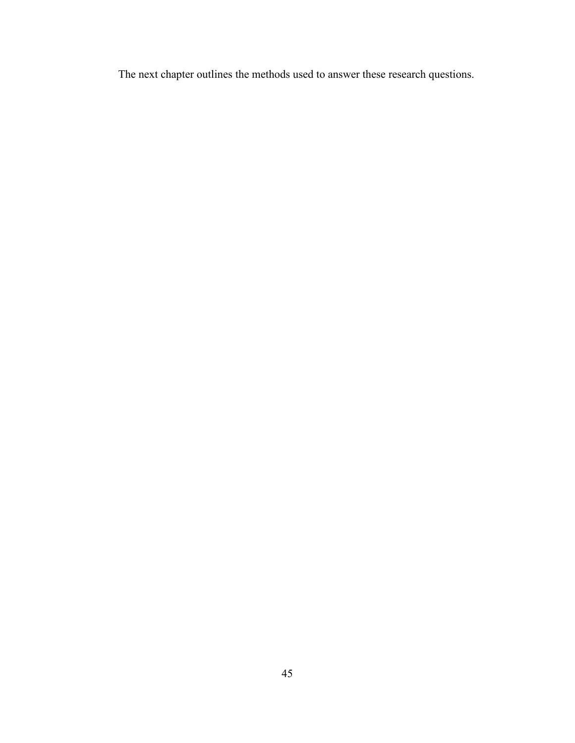The next chapter outlines the methods used to answer these research questions.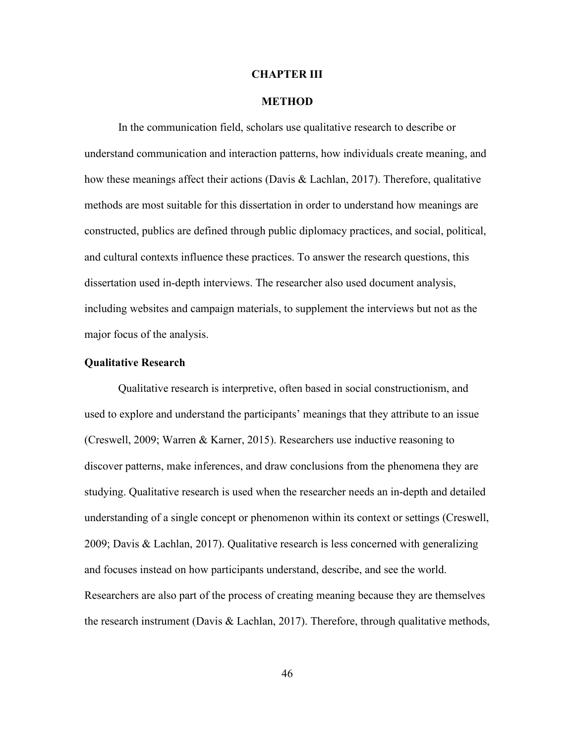#### **CHAPTER III**

#### **METHOD**

In the communication field, scholars use qualitative research to describe or understand communication and interaction patterns, how individuals create meaning, and how these meanings affect their actions (Davis & Lachlan, 2017). Therefore, qualitative methods are most suitable for this dissertation in order to understand how meanings are constructed, publics are defined through public diplomacy practices, and social, political, and cultural contexts influence these practices. To answer the research questions, this dissertation used in-depth interviews. The researcher also used document analysis, including websites and campaign materials, to supplement the interviews but not as the major focus of the analysis.

#### **Qualitative Research**

Qualitative research is interpretive, often based in social constructionism, and used to explore and understand the participants' meanings that they attribute to an issue (Creswell, 2009; Warren & Karner, 2015). Researchers use inductive reasoning to discover patterns, make inferences, and draw conclusions from the phenomena they are studying. Qualitative research is used when the researcher needs an in-depth and detailed understanding of a single concept or phenomenon within its context or settings (Creswell, 2009; Davis & Lachlan, 2017). Qualitative research is less concerned with generalizing and focuses instead on how participants understand, describe, and see the world. Researchers are also part of the process of creating meaning because they are themselves the research instrument (Davis & Lachlan, 2017). Therefore, through qualitative methods,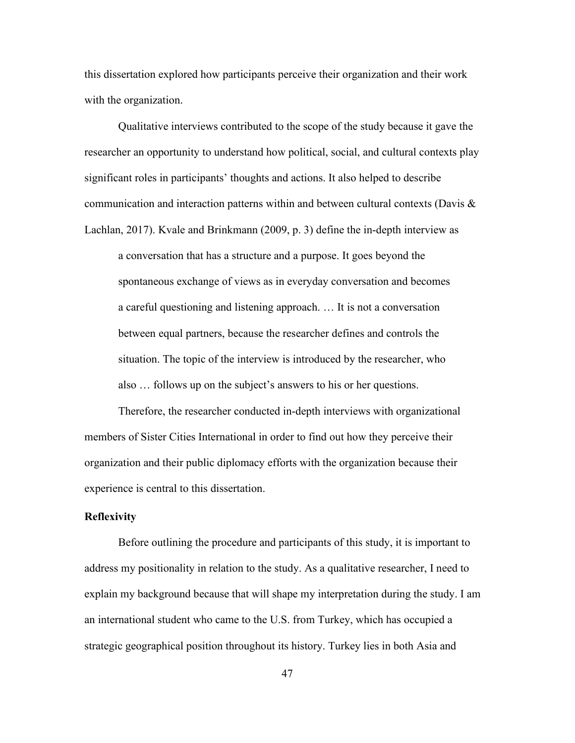this dissertation explored how participants perceive their organization and their work with the organization.

Qualitative interviews contributed to the scope of the study because it gave the researcher an opportunity to understand how political, social, and cultural contexts play significant roles in participants' thoughts and actions. It also helped to describe communication and interaction patterns within and between cultural contexts (Davis & Lachlan, 2017). Kvale and Brinkmann (2009, p. 3) define the in-depth interview as

a conversation that has a structure and a purpose. It goes beyond the spontaneous exchange of views as in everyday conversation and becomes a careful questioning and listening approach. … It is not a conversation between equal partners, because the researcher defines and controls the situation. The topic of the interview is introduced by the researcher, who also … follows up on the subject's answers to his or her questions.

Therefore, the researcher conducted in-depth interviews with organizational members of Sister Cities International in order to find out how they perceive their organization and their public diplomacy efforts with the organization because their experience is central to this dissertation.

## **Reflexivity**

Before outlining the procedure and participants of this study, it is important to address my positionality in relation to the study. As a qualitative researcher, I need to explain my background because that will shape my interpretation during the study. I am an international student who came to the U.S. from Turkey, which has occupied a strategic geographical position throughout its history. Turkey lies in both Asia and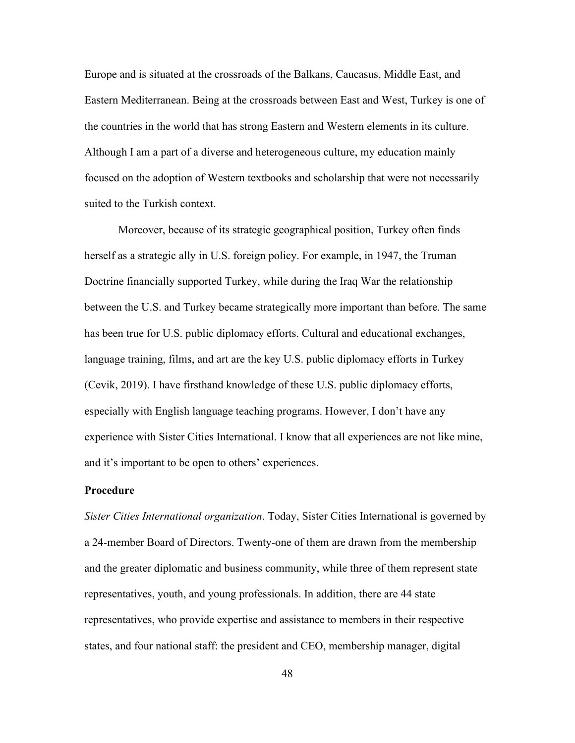Europe and is situated at the crossroads of the Balkans, Caucasus, Middle East, and Eastern Mediterranean. Being at the crossroads between East and West, Turkey is one of the countries in the world that has strong Eastern and Western elements in its culture. Although I am a part of a diverse and heterogeneous culture, my education mainly focused on the adoption of Western textbooks and scholarship that were not necessarily suited to the Turkish context.

Moreover, because of its strategic geographical position, Turkey often finds herself as a strategic ally in U.S. foreign policy. For example, in 1947, the Truman Doctrine financially supported Turkey, while during the Iraq War the relationship between the U.S. and Turkey became strategically more important than before. The same has been true for U.S. public diplomacy efforts. Cultural and educational exchanges, language training, films, and art are the key U.S. public diplomacy efforts in Turkey (Cevik, 2019). I have firsthand knowledge of these U.S. public diplomacy efforts, especially with English language teaching programs. However, I don't have any experience with Sister Cities International. I know that all experiences are not like mine, and it's important to be open to others' experiences.

## **Procedure**

*Sister Cities International organization*. Today, Sister Cities International is governed by a 24-member Board of Directors. Twenty-one of them are drawn from the membership and the greater diplomatic and business community, while three of them represent state representatives, youth, and young professionals. In addition, there are 44 state representatives, who provide expertise and assistance to members in their respective states, and four national staff: the president and CEO, membership manager, digital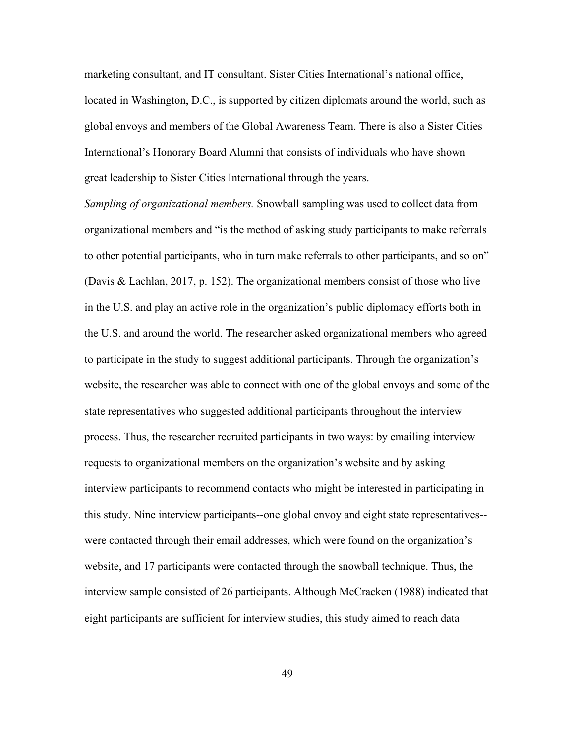marketing consultant, and IT consultant. Sister Cities International's national office, located in Washington, D.C., is supported by citizen diplomats around the world, such as global envoys and members of the Global Awareness Team. There is also a Sister Cities International's Honorary Board Alumni that consists of individuals who have shown great leadership to Sister Cities International through the years.

*Sampling of organizational members.* Snowball sampling was used to collect data from organizational members and "is the method of asking study participants to make referrals to other potential participants, who in turn make referrals to other participants, and so on" (Davis & Lachlan, 2017, p. 152). The organizational members consist of those who live in the U.S. and play an active role in the organization's public diplomacy efforts both in the U.S. and around the world. The researcher asked organizational members who agreed to participate in the study to suggest additional participants. Through the organization's website, the researcher was able to connect with one of the global envoys and some of the state representatives who suggested additional participants throughout the interview process. Thus, the researcher recruited participants in two ways: by emailing interview requests to organizational members on the organization's website and by asking interview participants to recommend contacts who might be interested in participating in this study. Nine interview participants--one global envoy and eight state representatives- were contacted through their email addresses, which were found on the organization's website, and 17 participants were contacted through the snowball technique. Thus, the interview sample consisted of 26 participants. Although McCracken (1988) indicated that eight participants are sufficient for interview studies, this study aimed to reach data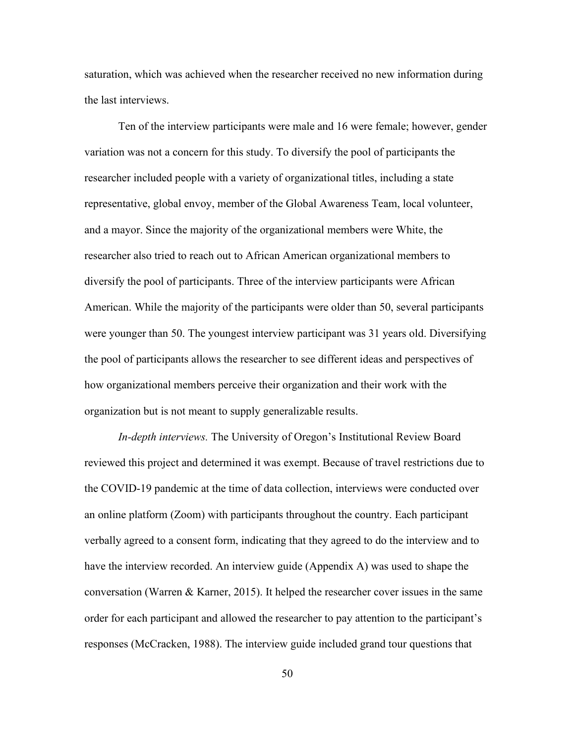saturation, which was achieved when the researcher received no new information during the last interviews.

Ten of the interview participants were male and 16 were female; however, gender variation was not a concern for this study. To diversify the pool of participants the researcher included people with a variety of organizational titles, including a state representative, global envoy, member of the Global Awareness Team, local volunteer, and a mayor. Since the majority of the organizational members were White, the researcher also tried to reach out to African American organizational members to diversify the pool of participants. Three of the interview participants were African American. While the majority of the participants were older than 50, several participants were younger than 50. The youngest interview participant was 31 years old. Diversifying the pool of participants allows the researcher to see different ideas and perspectives of how organizational members perceive their organization and their work with the organization but is not meant to supply generalizable results.

*In-depth interviews.* The University of Oregon's Institutional Review Board reviewed this project and determined it was exempt. Because of travel restrictions due to the COVID-19 pandemic at the time of data collection, interviews were conducted over an online platform (Zoom) with participants throughout the country. Each participant verbally agreed to a consent form, indicating that they agreed to do the interview and to have the interview recorded. An interview guide (Appendix A) was used to shape the conversation (Warren & Karner, 2015). It helped the researcher cover issues in the same order for each participant and allowed the researcher to pay attention to the participant's responses (McCracken, 1988). The interview guide included grand tour questions that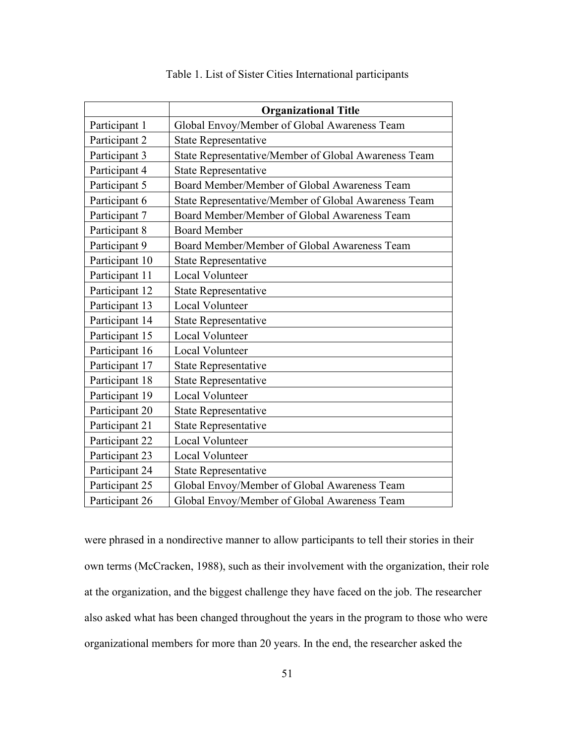|                | <b>Organizational Title</b>                          |  |
|----------------|------------------------------------------------------|--|
| Participant 1  | Global Envoy/Member of Global Awareness Team         |  |
| Participant 2  | <b>State Representative</b>                          |  |
| Participant 3  | State Representative/Member of Global Awareness Team |  |
| Participant 4  | <b>State Representative</b>                          |  |
| Participant 5  | Board Member/Member of Global Awareness Team         |  |
| Participant 6  | State Representative/Member of Global Awareness Team |  |
| Participant 7  | Board Member/Member of Global Awareness Team         |  |
| Participant 8  | <b>Board Member</b>                                  |  |
| Participant 9  | Board Member/Member of Global Awareness Team         |  |
| Participant 10 | <b>State Representative</b>                          |  |
| Participant 11 | <b>Local Volunteer</b>                               |  |
| Participant 12 | <b>State Representative</b>                          |  |
| Participant 13 | Local Volunteer                                      |  |
| Participant 14 | <b>State Representative</b>                          |  |
| Participant 15 | Local Volunteer                                      |  |
| Participant 16 | Local Volunteer                                      |  |
| Participant 17 | <b>State Representative</b>                          |  |
| Participant 18 | <b>State Representative</b>                          |  |
| Participant 19 | Local Volunteer                                      |  |
| Participant 20 | <b>State Representative</b>                          |  |
| Participant 21 | <b>State Representative</b>                          |  |
| Participant 22 | Local Volunteer                                      |  |
| Participant 23 | Local Volunteer                                      |  |
| Participant 24 | <b>State Representative</b>                          |  |
| Participant 25 | Global Envoy/Member of Global Awareness Team         |  |
| Participant 26 | Global Envoy/Member of Global Awareness Team         |  |

Table 1. List of Sister Cities International participants

were phrased in a nondirective manner to allow participants to tell their stories in their own terms (McCracken, 1988), such as their involvement with the organization, their role at the organization, and the biggest challenge they have faced on the job. The researcher also asked what has been changed throughout the years in the program to those who were organizational members for more than 20 years. In the end, the researcher asked the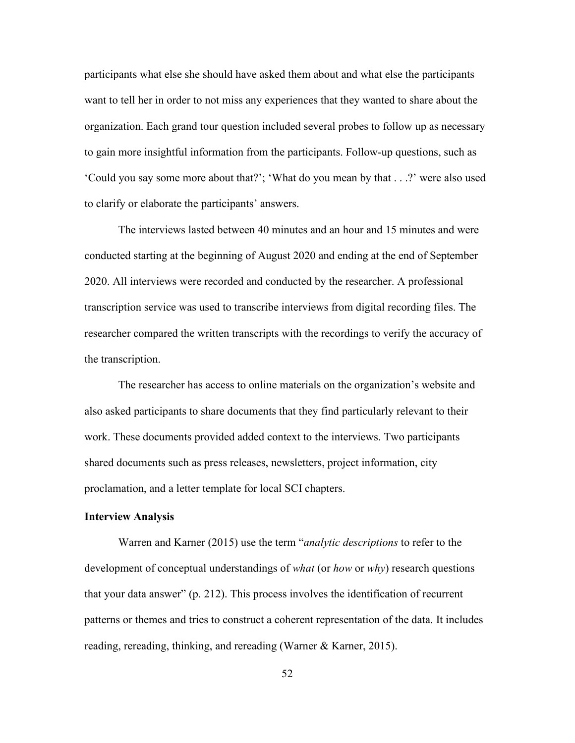participants what else she should have asked them about and what else the participants want to tell her in order to not miss any experiences that they wanted to share about the organization. Each grand tour question included several probes to follow up as necessary to gain more insightful information from the participants. Follow-up questions, such as 'Could you say some more about that?'; 'What do you mean by that . . .?' were also used to clarify or elaborate the participants' answers.

The interviews lasted between 40 minutes and an hour and 15 minutes and were conducted starting at the beginning of August 2020 and ending at the end of September 2020. All interviews were recorded and conducted by the researcher. A professional transcription service was used to transcribe interviews from digital recording files. The researcher compared the written transcripts with the recordings to verify the accuracy of the transcription.

The researcher has access to online materials on the organization's website and also asked participants to share documents that they find particularly relevant to their work. These documents provided added context to the interviews. Two participants shared documents such as press releases, newsletters, project information, city proclamation, and a letter template for local SCI chapters.

#### **Interview Analysis**

Warren and Karner (2015) use the term "*analytic descriptions* to refer to the development of conceptual understandings of *what* (or *how* or *why*) research questions that your data answer" (p. 212). This process involves the identification of recurrent patterns or themes and tries to construct a coherent representation of the data. It includes reading, rereading, thinking, and rereading (Warner & Karner, 2015).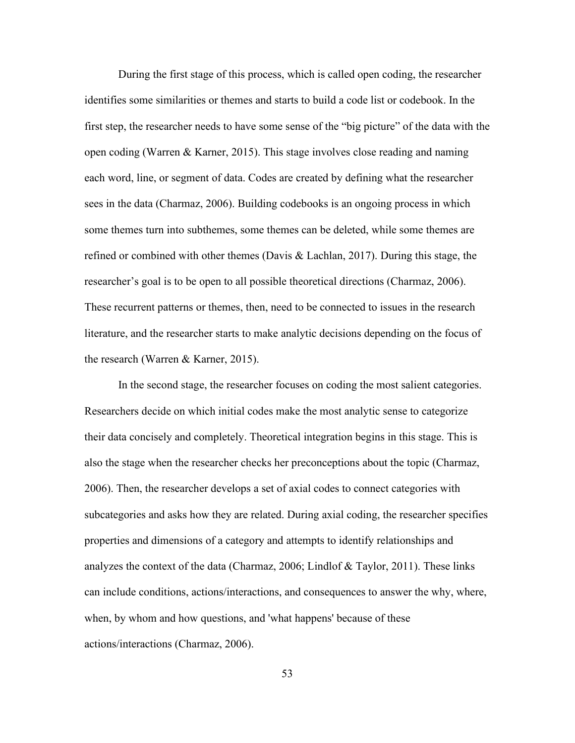During the first stage of this process, which is called open coding, the researcher identifies some similarities or themes and starts to build a code list or codebook. In the first step, the researcher needs to have some sense of the "big picture" of the data with the open coding (Warren & Karner, 2015). This stage involves close reading and naming each word, line, or segment of data. Codes are created by defining what the researcher sees in the data (Charmaz, 2006). Building codebooks is an ongoing process in which some themes turn into subthemes, some themes can be deleted, while some themes are refined or combined with other themes (Davis & Lachlan, 2017). During this stage, the researcher's goal is to be open to all possible theoretical directions (Charmaz, 2006). These recurrent patterns or themes, then, need to be connected to issues in the research literature, and the researcher starts to make analytic decisions depending on the focus of the research (Warren & Karner, 2015).

In the second stage, the researcher focuses on coding the most salient categories. Researchers decide on which initial codes make the most analytic sense to categorize their data concisely and completely. Theoretical integration begins in this stage. This is also the stage when the researcher checks her preconceptions about the topic (Charmaz, 2006). Then, the researcher develops a set of axial codes to connect categories with subcategories and asks how they are related. During axial coding, the researcher specifies properties and dimensions of a category and attempts to identify relationships and analyzes the context of the data (Charmaz, 2006; Lindlof & Taylor, 2011). These links can include conditions, actions/interactions, and consequences to answer the why, where, when, by whom and how questions, and 'what happens' because of these actions/interactions (Charmaz, 2006).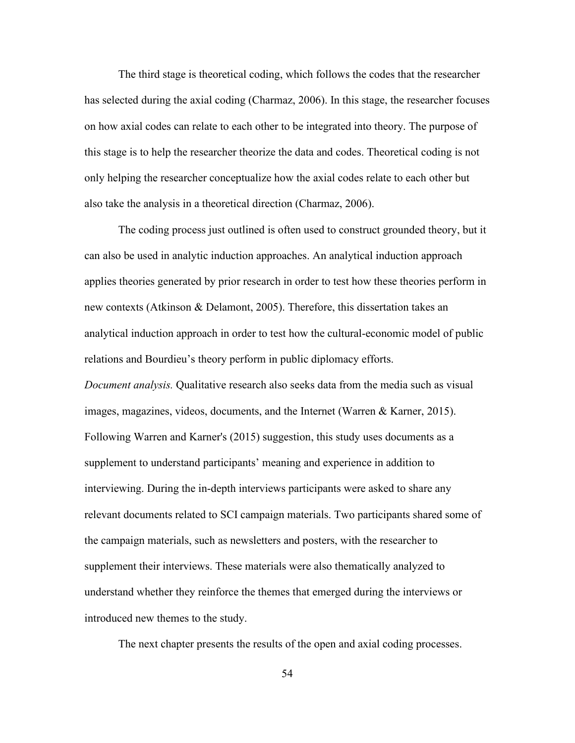The third stage is theoretical coding, which follows the codes that the researcher has selected during the axial coding (Charmaz, 2006). In this stage, the researcher focuses on how axial codes can relate to each other to be integrated into theory. The purpose of this stage is to help the researcher theorize the data and codes. Theoretical coding is not only helping the researcher conceptualize how the axial codes relate to each other but also take the analysis in a theoretical direction (Charmaz, 2006).

The coding process just outlined is often used to construct grounded theory, but it can also be used in analytic induction approaches. An analytical induction approach applies theories generated by prior research in order to test how these theories perform in new contexts (Atkinson & Delamont, 2005). Therefore, this dissertation takes an analytical induction approach in order to test how the cultural-economic model of public relations and Bourdieu's theory perform in public diplomacy efforts. *Document analysis.* Qualitative research also seeks data from the media such as visual images, magazines, videos, documents, and the Internet (Warren & Karner, 2015). Following Warren and Karner's (2015) suggestion, this study uses documents as a supplement to understand participants' meaning and experience in addition to interviewing. During the in-depth interviews participants were asked to share any relevant documents related to SCI campaign materials. Two participants shared some of the campaign materials, such as newsletters and posters, with the researcher to supplement their interviews. These materials were also thematically analyzed to

understand whether they reinforce the themes that emerged during the interviews or introduced new themes to the study.

The next chapter presents the results of the open and axial coding processes.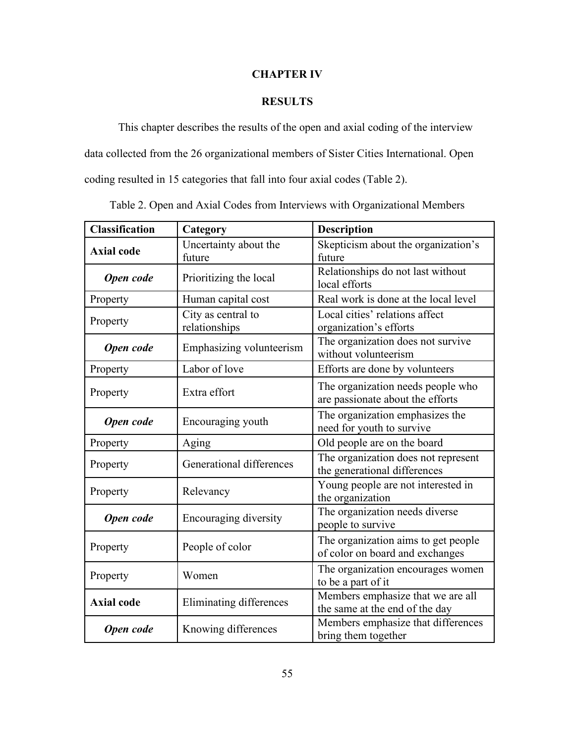# **CHAPTER IV**

# **RESULTS**

This chapter describes the results of the open and axial coding of the interview data collected from the 26 organizational members of Sister Cities International. Open coding resulted in 15 categories that fall into four axial codes (Table 2).

| <b>Classification</b> | <b>Description</b><br>Category                                               |                                                                        |  |
|-----------------------|------------------------------------------------------------------------------|------------------------------------------------------------------------|--|
| <b>Axial code</b>     | Uncertainty about the<br>future                                              | Skepticism about the organization's<br>future                          |  |
| Open code             | Relationships do not last without<br>Prioritizing the local<br>local efforts |                                                                        |  |
| Property              | Human capital cost                                                           | Real work is done at the local level                                   |  |
| Property              | City as central to<br>relationships                                          | Local cities' relations affect<br>organization's efforts               |  |
| Open code             | Emphasizing volunteerism                                                     | The organization does not survive<br>without volunteerism              |  |
| Property              | Labor of love                                                                | Efforts are done by volunteers                                         |  |
| Property              | Extra effort                                                                 | The organization needs people who<br>are passionate about the efforts  |  |
| Open code             | Encouraging youth                                                            | The organization emphasizes the<br>need for youth to survive           |  |
| Property              | Aging                                                                        | Old people are on the board                                            |  |
| Property              | Generational differences                                                     | The organization does not represent<br>the generational differences    |  |
| Property              | Relevancy                                                                    | Young people are not interested in<br>the organization                 |  |
| Open code             | <b>Encouraging diversity</b>                                                 | The organization needs diverse<br>people to survive                    |  |
| Property              | People of color                                                              | The organization aims to get people<br>of color on board and exchanges |  |
| Property              | Women                                                                        | The organization encourages women<br>to be a part of it                |  |
| <b>Axial code</b>     | Eliminating differences                                                      | Members emphasize that we are all<br>the same at the end of the day    |  |
| Open code             | Knowing differences                                                          | Members emphasize that differences<br>bring them together              |  |

Table 2. Open and Axial Codes from Interviews with Organizational Members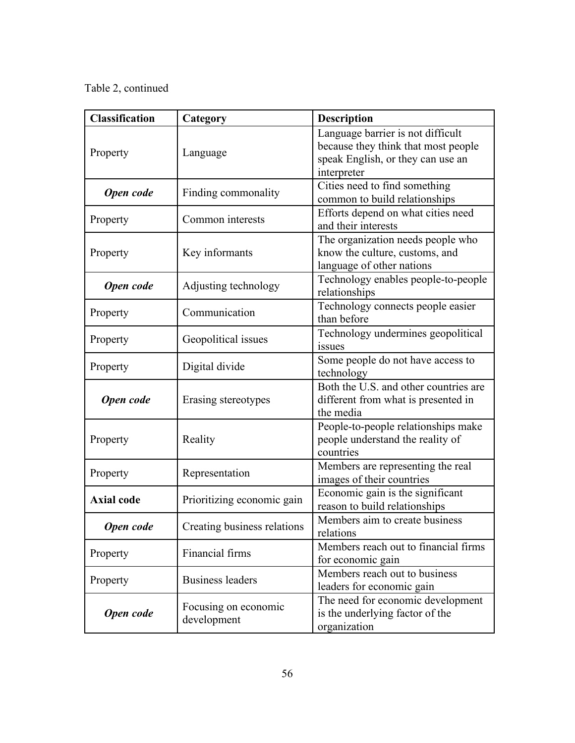Table 2, continued

| <b>Classification</b> | Category                                                                     | <b>Description</b>                                                                                                           |  |
|-----------------------|------------------------------------------------------------------------------|------------------------------------------------------------------------------------------------------------------------------|--|
| Property              | Language                                                                     | Language barrier is not difficult<br>because they think that most people<br>speak English, or they can use an<br>interpreter |  |
| Open code             | Finding commonality                                                          | Cities need to find something<br>common to build relationships                                                               |  |
| Property              | Common interests                                                             | Efforts depend on what cities need<br>and their interests                                                                    |  |
| Property              | Key informants                                                               | The organization needs people who<br>know the culture, customs, and<br>language of other nations                             |  |
| Open code             | Technology enables people-to-people<br>Adjusting technology<br>relationships |                                                                                                                              |  |
| Property              | Communication                                                                | Technology connects people easier<br>than before                                                                             |  |
| Property              | Geopolitical issues                                                          | Technology undermines geopolitical<br>issues                                                                                 |  |
| Property              | Digital divide                                                               | Some people do not have access to<br>technology                                                                              |  |
| Open code             | Erasing stereotypes                                                          | Both the U.S. and other countries are<br>different from what is presented in<br>the media                                    |  |
| Property              | Reality                                                                      | People-to-people relationships make<br>people understand the reality of<br>countries                                         |  |
| Property              | Representation                                                               | Members are representing the real<br>images of their countries                                                               |  |
| <b>Axial code</b>     | Prioritizing economic gain                                                   | Economic gain is the significant<br>reason to build relationships                                                            |  |
| Open code             | Creating business relations                                                  | Members aim to create business<br>relations                                                                                  |  |
| Property              | Financial firms                                                              | Members reach out to financial firms<br>for economic gain                                                                    |  |
| Property              | <b>Business leaders</b>                                                      | Members reach out to business<br>leaders for economic gain                                                                   |  |
| <b>Open code</b>      | Focusing on economic<br>development                                          | The need for economic development<br>is the underlying factor of the<br>organization                                         |  |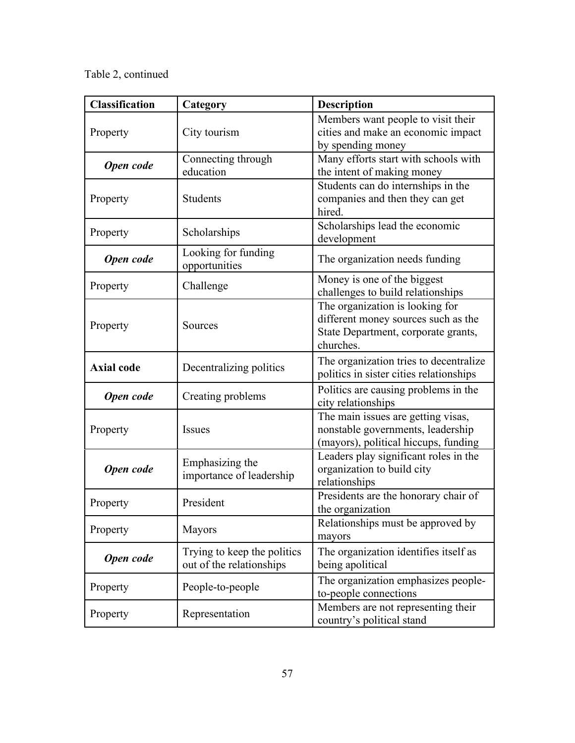Table 2, continued

| <b>Classification</b> | Category                                                                                                                         | <b>Description</b>                                                                                                         |  |
|-----------------------|----------------------------------------------------------------------------------------------------------------------------------|----------------------------------------------------------------------------------------------------------------------------|--|
| Property              | City tourism                                                                                                                     | Members want people to visit their<br>cities and make an economic impact<br>by spending money                              |  |
| Open code             | Connecting through<br>education                                                                                                  | Many efforts start with schools with<br>the intent of making money                                                         |  |
| Property              | <b>Students</b>                                                                                                                  | Students can do internships in the<br>companies and then they can get<br>hired.                                            |  |
| Property              | Scholarships                                                                                                                     | Scholarships lead the economic<br>development                                                                              |  |
| Open code             | Looking for funding<br>opportunities                                                                                             | The organization needs funding                                                                                             |  |
| Property              | Challenge                                                                                                                        | Money is one of the biggest<br>challenges to build relationships                                                           |  |
| Property              | <b>Sources</b>                                                                                                                   | The organization is looking for<br>different money sources such as the<br>State Department, corporate grants,<br>churches. |  |
| <b>Axial code</b>     | Decentralizing politics                                                                                                          | The organization tries to decentralize<br>politics in sister cities relationships                                          |  |
| Open code             | Politics are causing problems in the<br>Creating problems<br>city relationships                                                  |                                                                                                                            |  |
| Property              | The main issues are getting visas,<br><b>Issues</b><br>nonstable governments, leadership<br>(mayors), political hiccups, funding |                                                                                                                            |  |
| Open code             | Emphasizing the<br>importance of leadership                                                                                      | Leaders play significant roles in the<br>organization to build city<br>relationships                                       |  |
| Property              | President                                                                                                                        | Presidents are the honorary chair of<br>the organization                                                                   |  |
| Property              | <b>Mayors</b>                                                                                                                    | Relationships must be approved by<br>mayors                                                                                |  |
| Open code             | Trying to keep the politics<br>out of the relationships                                                                          | The organization identifies itself as<br>being apolitical                                                                  |  |
| Property              | People-to-people                                                                                                                 | The organization emphasizes people-<br>to-people connections                                                               |  |
| Property              | Representation                                                                                                                   | Members are not representing their<br>country's political stand                                                            |  |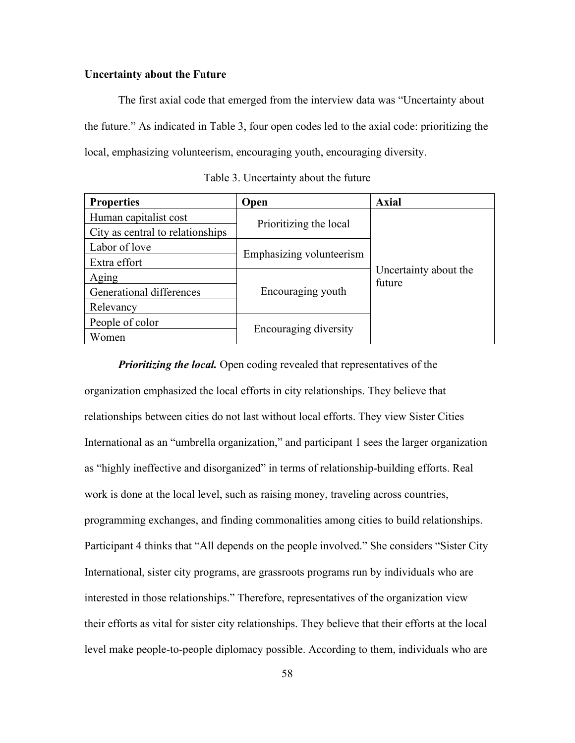## **Uncertainty about the Future**

The first axial code that emerged from the interview data was "Uncertainty about the future." As indicated in Table 3, four open codes led to the axial code: prioritizing the local, emphasizing volunteerism, encouraging youth, encouraging diversity.

| <b>Properties</b>                | Open                     | <b>Axial</b>                    |
|----------------------------------|--------------------------|---------------------------------|
| Human capitalist cost            | Prioritizing the local   | Uncertainty about the<br>future |
| City as central to relationships |                          |                                 |
| Labor of love                    | Emphasizing volunteerism |                                 |
| Extra effort                     |                          |                                 |
| Aging                            |                          |                                 |
| Generational differences         | Encouraging youth        |                                 |
| Relevancy                        |                          |                                 |
| People of color                  | Encouraging diversity    |                                 |
| Women                            |                          |                                 |

Table 3. Uncertainty about the future

*Prioritizing the local.* Open coding revealed that representatives of the organization emphasized the local efforts in city relationships. They believe that relationships between cities do not last without local efforts. They view Sister Cities International as an "umbrella organization," and participant 1 sees the larger organization as "highly ineffective and disorganized" in terms of relationship-building efforts. Real work is done at the local level, such as raising money, traveling across countries, programming exchanges, and finding commonalities among cities to build relationships. Participant 4 thinks that "All depends on the people involved." She considers "Sister City International, sister city programs, are grassroots programs run by individuals who are interested in those relationships." Therefore, representatives of the organization view their efforts as vital for sister city relationships. They believe that their efforts at the local level make people-to-people diplomacy possible. According to them, individuals who are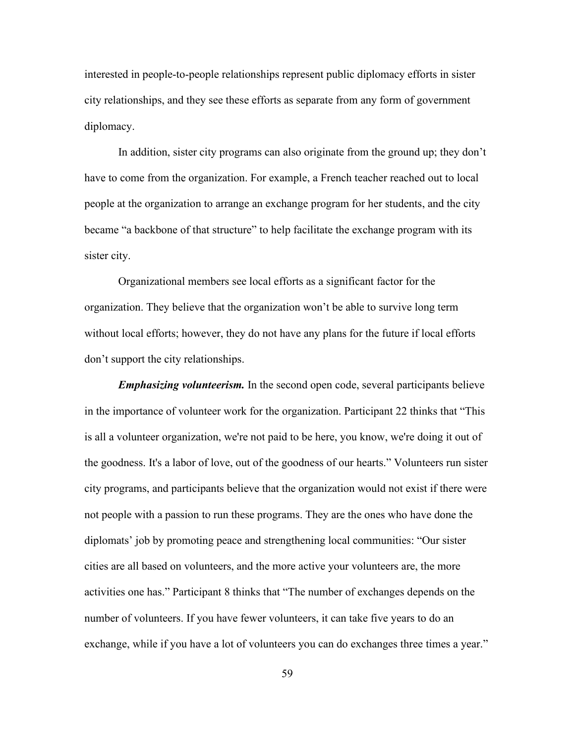interested in people-to-people relationships represent public diplomacy efforts in sister city relationships, and they see these efforts as separate from any form of government diplomacy.

In addition, sister city programs can also originate from the ground up; they don't have to come from the organization. For example, a French teacher reached out to local people at the organization to arrange an exchange program for her students, and the city became "a backbone of that structure" to help facilitate the exchange program with its sister city.

Organizational members see local efforts as a significant factor for the organization. They believe that the organization won't be able to survive long term without local efforts; however, they do not have any plans for the future if local efforts don't support the city relationships.

*Emphasizing volunteerism.* In the second open code, several participants believe in the importance of volunteer work for the organization. Participant 22 thinks that "This is all a volunteer organization, we're not paid to be here, you know, we're doing it out of the goodness. It's a labor of love, out of the goodness of our hearts." Volunteers run sister city programs, and participants believe that the organization would not exist if there were not people with a passion to run these programs. They are the ones who have done the diplomats' job by promoting peace and strengthening local communities: "Our sister cities are all based on volunteers, and the more active your volunteers are, the more activities one has." Participant 8 thinks that "The number of exchanges depends on the number of volunteers. If you have fewer volunteers, it can take five years to do an exchange, while if you have a lot of volunteers you can do exchanges three times a year."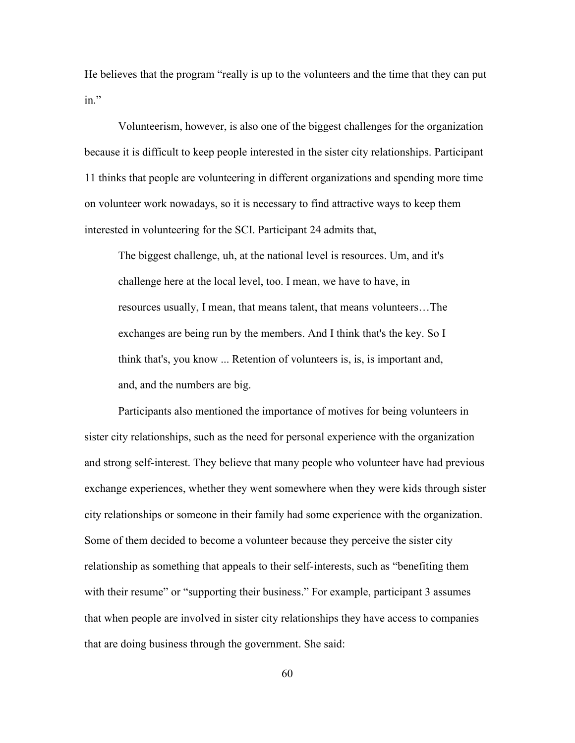He believes that the program "really is up to the volunteers and the time that they can put in."

Volunteerism, however, is also one of the biggest challenges for the organization because it is difficult to keep people interested in the sister city relationships. Participant 11 thinks that people are volunteering in different organizations and spending more time on volunteer work nowadays, so it is necessary to find attractive ways to keep them interested in volunteering for the SCI. Participant 24 admits that,

The biggest challenge, uh, at the national level is resources. Um, and it's challenge here at the local level, too. I mean, we have to have, in resources usually, I mean, that means talent, that means volunteers…The exchanges are being run by the members. And I think that's the key. So I think that's, you know ... Retention of volunteers is, is, is important and, and, and the numbers are big.

Participants also mentioned the importance of motives for being volunteers in sister city relationships, such as the need for personal experience with the organization and strong self-interest. They believe that many people who volunteer have had previous exchange experiences, whether they went somewhere when they were kids through sister city relationships or someone in their family had some experience with the organization. Some of them decided to become a volunteer because they perceive the sister city relationship as something that appeals to their self-interests, such as "benefiting them with their resume" or "supporting their business." For example, participant 3 assumes that when people are involved in sister city relationships they have access to companies that are doing business through the government. She said: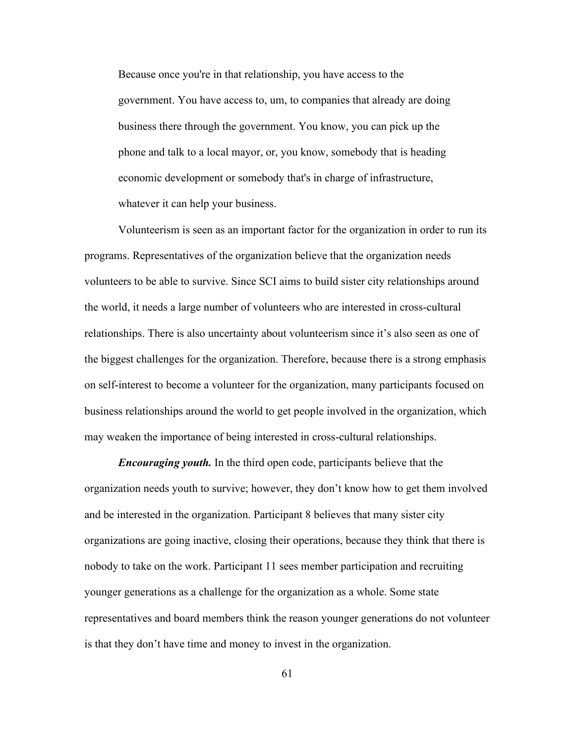Because once you're in that relationship, you have access to the government. You have access to, um, to companies that already are doing business there through the government. You know, you can pick up the phone and talk to a local mayor, or, you know, somebody that is heading economic development or somebody that's in charge of infrastructure, whatever it can help your business.

Volunteerism is seen as an important factor for the organization in order to run its programs. Representatives of the organization believe that the organization needs volunteers to be able to survive. Since SCI aims to build sister city relationships around the world, it needs a large number of volunteers who are interested in cross-cultural relationships. There is also uncertainty about volunteerism since it's also seen as one of the biggest challenges for the organization. Therefore, because there is a strong emphasis on self-interest to become a volunteer for the organization, many participants focused on business relationships around the world to get people involved in the organization, which may weaken the importance of being interested in cross-cultural relationships.

*Encouraging youth.* In the third open code, participants believe that the organization needs youth to survive; however, they don't know how to get them involved and be interested in the organization. Participant 8 believes that many sister city organizations are going inactive, closing their operations, because they think that there is nobody to take on the work. Participant 11 sees member participation and recruiting younger generations as a challenge for the organization as a whole. Some state representatives and board members think the reason younger generations do not volunteer is that they don't have time and money to invest in the organization.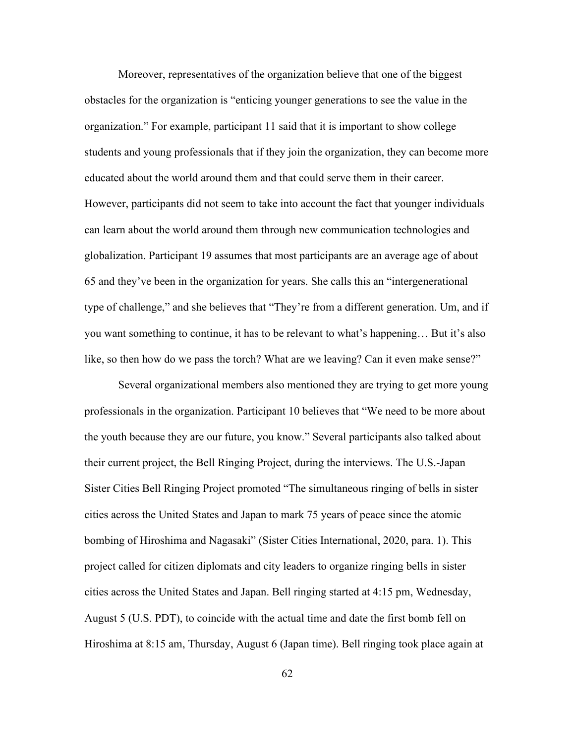Moreover, representatives of the organization believe that one of the biggest obstacles for the organization is "enticing younger generations to see the value in the organization." For example, participant 11 said that it is important to show college students and young professionals that if they join the organization, they can become more educated about the world around them and that could serve them in their career. However, participants did not seem to take into account the fact that younger individuals can learn about the world around them through new communication technologies and globalization. Participant 19 assumes that most participants are an average age of about 65 and they've been in the organization for years. She calls this an "intergenerational type of challenge," and she believes that "They're from a different generation. Um, and if you want something to continue, it has to be relevant to what's happening… But it's also like, so then how do we pass the torch? What are we leaving? Can it even make sense?"

Several organizational members also mentioned they are trying to get more young professionals in the organization. Participant 10 believes that "We need to be more about the youth because they are our future, you know." Several participants also talked about their current project, the Bell Ringing Project, during the interviews. The U.S.-Japan Sister Cities Bell Ringing Project promoted "The simultaneous ringing of bells in sister cities across the United States and Japan to mark 75 years of peace since the atomic bombing of Hiroshima and Nagasaki" (Sister Cities International, 2020, para. 1). This project called for citizen diplomats and city leaders to organize ringing bells in sister cities across the United States and Japan. Bell ringing started at 4:15 pm, Wednesday, August 5 (U.S. PDT), to coincide with the actual time and date the first bomb fell on Hiroshima at 8:15 am, Thursday, August 6 (Japan time). Bell ringing took place again at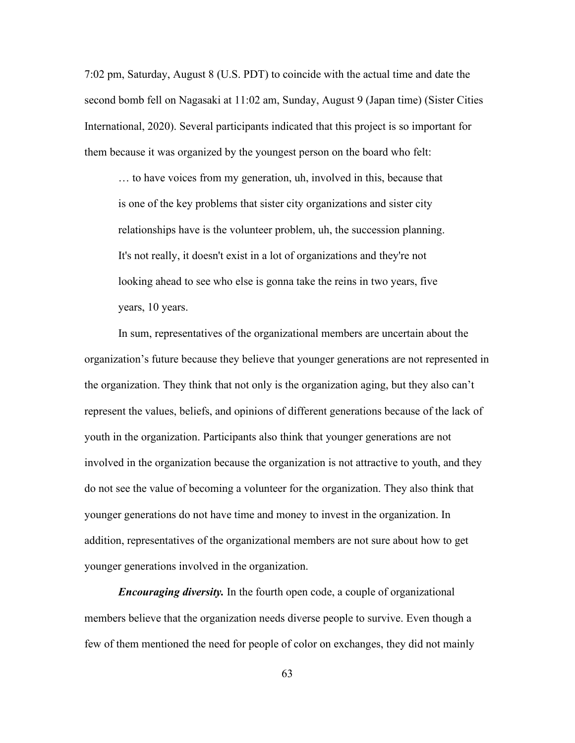7:02 pm, Saturday, August 8 (U.S. PDT) to coincide with the actual time and date the second bomb fell on Nagasaki at 11:02 am, Sunday, August 9 (Japan time) (Sister Cities International, 2020). Several participants indicated that this project is so important for them because it was organized by the youngest person on the board who felt:

… to have voices from my generation, uh, involved in this, because that is one of the key problems that sister city organizations and sister city relationships have is the volunteer problem, uh, the succession planning. It's not really, it doesn't exist in a lot of organizations and they're not looking ahead to see who else is gonna take the reins in two years, five years, 10 years.

In sum, representatives of the organizational members are uncertain about the organization's future because they believe that younger generations are not represented in the organization. They think that not only is the organization aging, but they also can't represent the values, beliefs, and opinions of different generations because of the lack of youth in the organization. Participants also think that younger generations are not involved in the organization because the organization is not attractive to youth, and they do not see the value of becoming a volunteer for the organization. They also think that younger generations do not have time and money to invest in the organization. In addition, representatives of the organizational members are not sure about how to get younger generations involved in the organization.

*Encouraging diversity.* In the fourth open code, a couple of organizational members believe that the organization needs diverse people to survive. Even though a few of them mentioned the need for people of color on exchanges, they did not mainly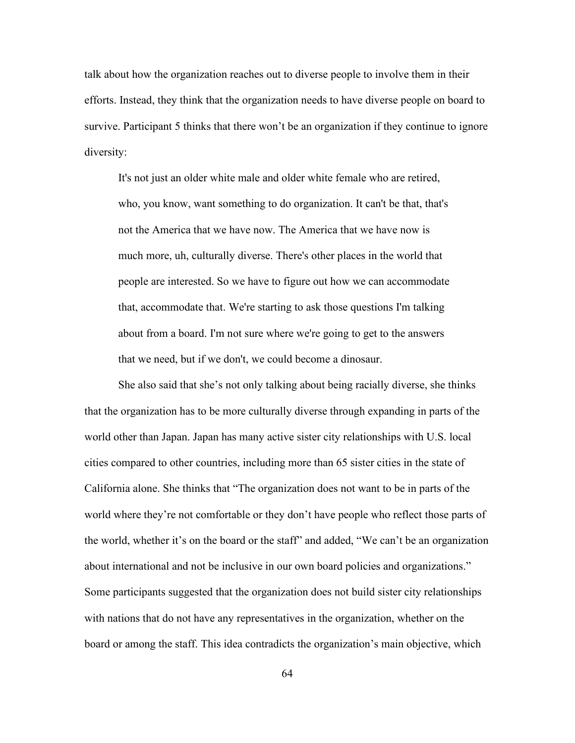talk about how the organization reaches out to diverse people to involve them in their efforts. Instead, they think that the organization needs to have diverse people on board to survive. Participant 5 thinks that there won't be an organization if they continue to ignore diversity:

It's not just an older white male and older white female who are retired, who, you know, want something to do organization. It can't be that, that's not the America that we have now. The America that we have now is much more, uh, culturally diverse. There's other places in the world that people are interested. So we have to figure out how we can accommodate that, accommodate that. We're starting to ask those questions I'm talking about from a board. I'm not sure where we're going to get to the answers that we need, but if we don't, we could become a dinosaur.

She also said that she's not only talking about being racially diverse, she thinks that the organization has to be more culturally diverse through expanding in parts of the world other than Japan. Japan has many active sister city relationships with U.S. local cities compared to other countries, including more than 65 sister cities in the state of California alone. She thinks that "The organization does not want to be in parts of the world where they're not comfortable or they don't have people who reflect those parts of the world, whether it's on the board or the staff" and added, "We can't be an organization about international and not be inclusive in our own board policies and organizations." Some participants suggested that the organization does not build sister city relationships with nations that do not have any representatives in the organization, whether on the board or among the staff. This idea contradicts the organization's main objective, which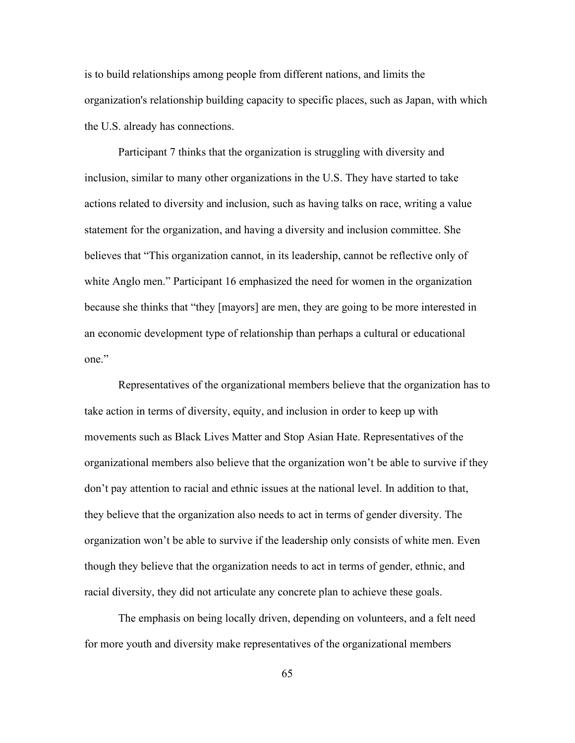is to build relationships among people from different nations, and limits the organization's relationship building capacity to specific places, such as Japan, with which the U.S. already has connections.

Participant 7 thinks that the organization is struggling with diversity and inclusion, similar to many other organizations in the U.S. They have started to take actions related to diversity and inclusion, such as having talks on race, writing a value statement for the organization, and having a diversity and inclusion committee. She believes that "This organization cannot, in its leadership, cannot be reflective only of white Anglo men." Participant 16 emphasized the need for women in the organization because she thinks that "they [mayors] are men, they are going to be more interested in an economic development type of relationship than perhaps a cultural or educational one."

Representatives of the organizational members believe that the organization has to take action in terms of diversity, equity, and inclusion in order to keep up with movements such as Black Lives Matter and Stop Asian Hate. Representatives of the organizational members also believe that the organization won't be able to survive if they don't pay attention to racial and ethnic issues at the national level. In addition to that, they believe that the organization also needs to act in terms of gender diversity. The organization won't be able to survive if the leadership only consists of white men. Even though they believe that the organization needs to act in terms of gender, ethnic, and racial diversity, they did not articulate any concrete plan to achieve these goals.

The emphasis on being locally driven, depending on volunteers, and a felt need for more youth and diversity make representatives of the organizational members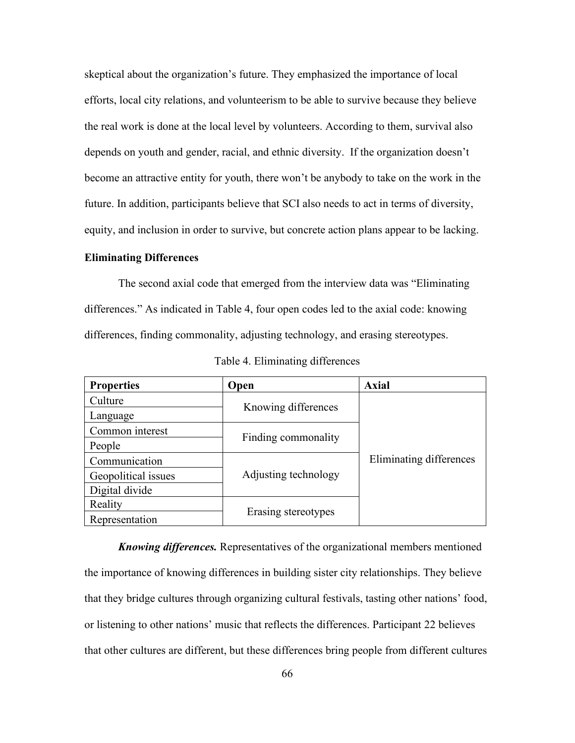skeptical about the organization's future. They emphasized the importance of local efforts, local city relations, and volunteerism to be able to survive because they believe the real work is done at the local level by volunteers. According to them, survival also depends on youth and gender, racial, and ethnic diversity. If the organization doesn't become an attractive entity for youth, there won't be anybody to take on the work in the future. In addition, participants believe that SCI also needs to act in terms of diversity, equity, and inclusion in order to survive, but concrete action plans appear to be lacking.

## **Eliminating Differences**

The second axial code that emerged from the interview data was "Eliminating differences." As indicated in Table 4, four open codes led to the axial code: knowing differences, finding commonality, adjusting technology, and erasing stereotypes.

| <b>Properties</b>   | Open                 | <b>Axial</b>            |
|---------------------|----------------------|-------------------------|
| Culture             | Knowing differences  | Eliminating differences |
| Language            |                      |                         |
| Common interest     | Finding commonality  |                         |
| People              |                      |                         |
| Communication       |                      |                         |
| Geopolitical issues | Adjusting technology |                         |
| Digital divide      |                      |                         |
| Reality             | Erasing stereotypes  |                         |
| Representation      |                      |                         |

Table 4. Eliminating differences

*Knowing differences.* Representatives of the organizational members mentioned the importance of knowing differences in building sister city relationships. They believe that they bridge cultures through organizing cultural festivals, tasting other nations' food, or listening to other nations' music that reflects the differences. Participant 22 believes that other cultures are different, but these differences bring people from different cultures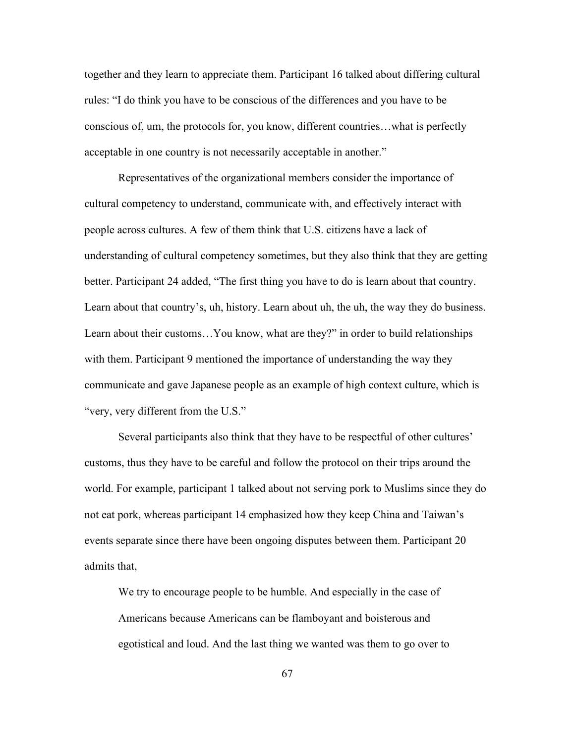together and they learn to appreciate them. Participant 16 talked about differing cultural rules: "I do think you have to be conscious of the differences and you have to be conscious of, um, the protocols for, you know, different countries…what is perfectly acceptable in one country is not necessarily acceptable in another."

Representatives of the organizational members consider the importance of cultural competency to understand, communicate with, and effectively interact with people across cultures. A few of them think that U.S. citizens have a lack of understanding of cultural competency sometimes, but they also think that they are getting better. Participant 24 added, "The first thing you have to do is learn about that country. Learn about that country's, uh, history. Learn about uh, the uh, the way they do business. Learn about their customs…You know, what are they?" in order to build relationships with them. Participant 9 mentioned the importance of understanding the way they communicate and gave Japanese people as an example of high context culture, which is "very, very different from the U.S."

Several participants also think that they have to be respectful of other cultures' customs, thus they have to be careful and follow the protocol on their trips around the world. For example, participant 1 talked about not serving pork to Muslims since they do not eat pork, whereas participant 14 emphasized how they keep China and Taiwan's events separate since there have been ongoing disputes between them. Participant 20 admits that,

We try to encourage people to be humble. And especially in the case of Americans because Americans can be flamboyant and boisterous and egotistical and loud. And the last thing we wanted was them to go over to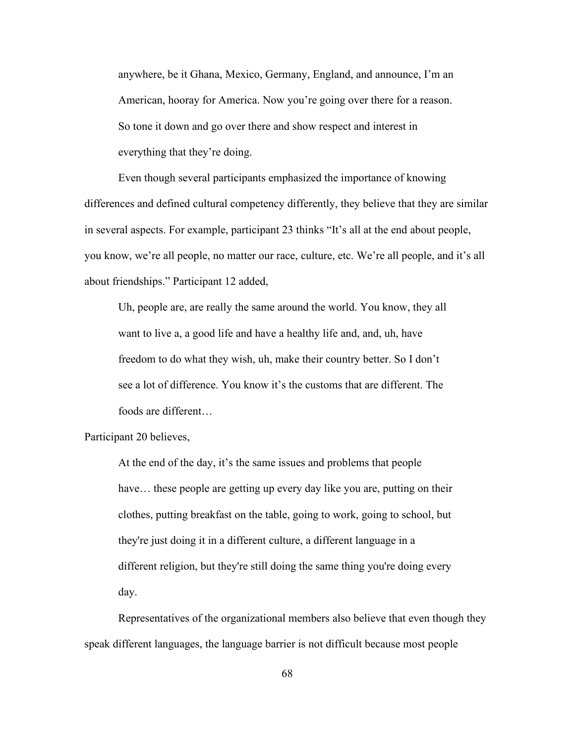anywhere, be it Ghana, Mexico, Germany, England, and announce, I'm an American, hooray for America. Now you're going over there for a reason. So tone it down and go over there and show respect and interest in everything that they're doing.

Even though several participants emphasized the importance of knowing differences and defined cultural competency differently, they believe that they are similar in several aspects. For example, participant 23 thinks "It's all at the end about people, you know, we're all people, no matter our race, culture, etc. We're all people, and it's all about friendships." Participant 12 added,

Uh, people are, are really the same around the world. You know, they all want to live a, a good life and have a healthy life and, and, uh, have freedom to do what they wish, uh, make their country better. So I don't see a lot of difference. You know it's the customs that are different. The foods are different…

Participant 20 believes,

At the end of the day, it's the same issues and problems that people have... these people are getting up every day like you are, putting on their clothes, putting breakfast on the table, going to work, going to school, but they're just doing it in a different culture, a different language in a different religion, but they're still doing the same thing you're doing every day.

Representatives of the organizational members also believe that even though they speak different languages, the language barrier is not difficult because most people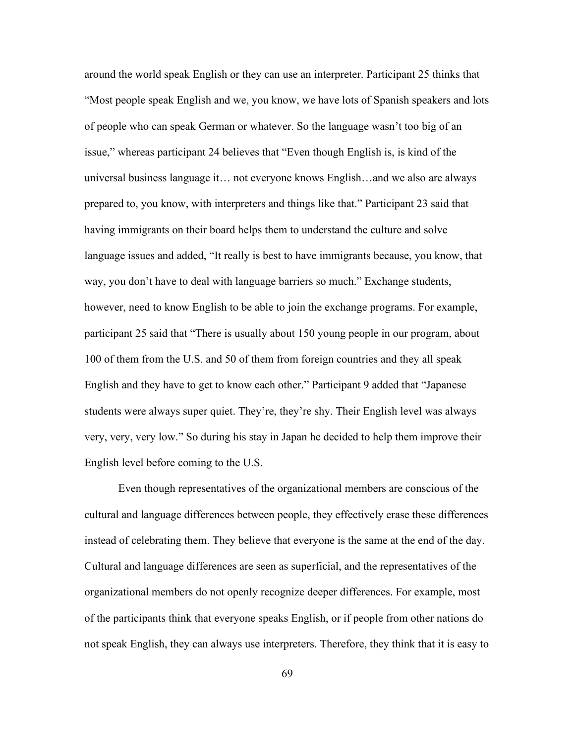around the world speak English or they can use an interpreter. Participant 25 thinks that "Most people speak English and we, you know, we have lots of Spanish speakers and lots of people who can speak German or whatever. So the language wasn't too big of an issue," whereas participant 24 believes that "Even though English is, is kind of the universal business language it… not everyone knows English…and we also are always prepared to, you know, with interpreters and things like that." Participant 23 said that having immigrants on their board helps them to understand the culture and solve language issues and added, "It really is best to have immigrants because, you know, that way, you don't have to deal with language barriers so much." Exchange students, however, need to know English to be able to join the exchange programs. For example, participant 25 said that "There is usually about 150 young people in our program, about 100 of them from the U.S. and 50 of them from foreign countries and they all speak English and they have to get to know each other." Participant 9 added that "Japanese students were always super quiet. They're, they're shy. Their English level was always very, very, very low." So during his stay in Japan he decided to help them improve their English level before coming to the U.S.

Even though representatives of the organizational members are conscious of the cultural and language differences between people, they effectively erase these differences instead of celebrating them. They believe that everyone is the same at the end of the day. Cultural and language differences are seen as superficial, and the representatives of the organizational members do not openly recognize deeper differences. For example, most of the participants think that everyone speaks English, or if people from other nations do not speak English, they can always use interpreters. Therefore, they think that it is easy to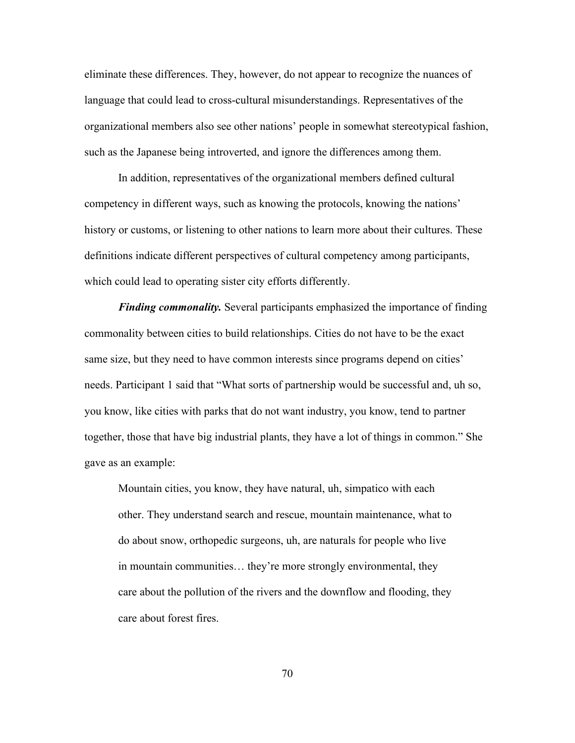eliminate these differences. They, however, do not appear to recognize the nuances of language that could lead to cross-cultural misunderstandings. Representatives of the organizational members also see other nations' people in somewhat stereotypical fashion, such as the Japanese being introverted, and ignore the differences among them.

In addition, representatives of the organizational members defined cultural competency in different ways, such as knowing the protocols, knowing the nations' history or customs, or listening to other nations to learn more about their cultures. These definitions indicate different perspectives of cultural competency among participants, which could lead to operating sister city efforts differently.

*Finding commonality.* Several participants emphasized the importance of finding commonality between cities to build relationships. Cities do not have to be the exact same size, but they need to have common interests since programs depend on cities' needs. Participant 1 said that "What sorts of partnership would be successful and, uh so, you know, like cities with parks that do not want industry, you know, tend to partner together, those that have big industrial plants, they have a lot of things in common." She gave as an example:

Mountain cities, you know, they have natural, uh, simpatico with each other. They understand search and rescue, mountain maintenance, what to do about snow, orthopedic surgeons, uh, are naturals for people who live in mountain communities… they're more strongly environmental, they care about the pollution of the rivers and the downflow and flooding, they care about forest fires.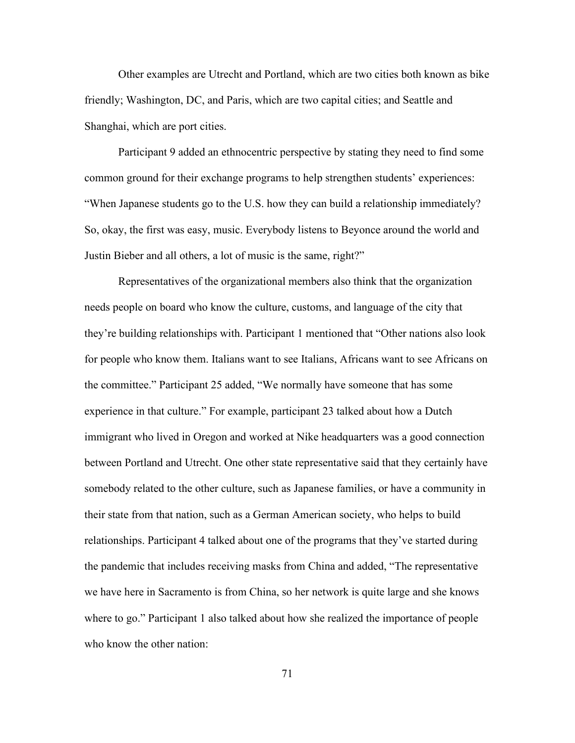Other examples are Utrecht and Portland, which are two cities both known as bike friendly; Washington, DC, and Paris, which are two capital cities; and Seattle and Shanghai, which are port cities.

Participant 9 added an ethnocentric perspective by stating they need to find some common ground for their exchange programs to help strengthen students' experiences: "When Japanese students go to the U.S. how they can build a relationship immediately? So, okay, the first was easy, music. Everybody listens to Beyonce around the world and Justin Bieber and all others, a lot of music is the same, right?"

Representatives of the organizational members also think that the organization needs people on board who know the culture, customs, and language of the city that they're building relationships with. Participant 1 mentioned that "Other nations also look for people who know them. Italians want to see Italians, Africans want to see Africans on the committee." Participant 25 added, "We normally have someone that has some experience in that culture." For example, participant 23 talked about how a Dutch immigrant who lived in Oregon and worked at Nike headquarters was a good connection between Portland and Utrecht. One other state representative said that they certainly have somebody related to the other culture, such as Japanese families, or have a community in their state from that nation, such as a German American society, who helps to build relationships. Participant 4 talked about one of the programs that they've started during the pandemic that includes receiving masks from China and added, "The representative we have here in Sacramento is from China, so her network is quite large and she knows where to go." Participant 1 also talked about how she realized the importance of people who know the other nation: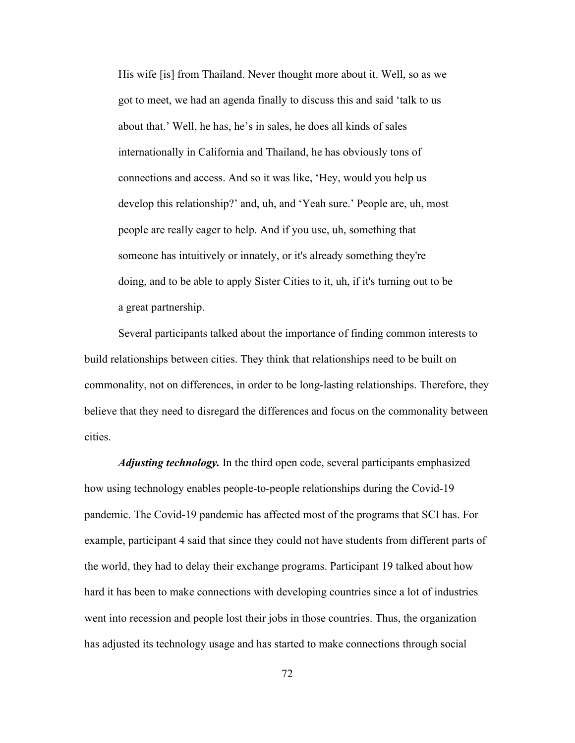His wife [is] from Thailand. Never thought more about it. Well, so as we got to meet, we had an agenda finally to discuss this and said 'talk to us about that.' Well, he has, he's in sales, he does all kinds of sales internationally in California and Thailand, he has obviously tons of connections and access. And so it was like, 'Hey, would you help us develop this relationship?' and, uh, and 'Yeah sure.' People are, uh, most people are really eager to help. And if you use, uh, something that someone has intuitively or innately, or it's already something they're doing, and to be able to apply Sister Cities to it, uh, if it's turning out to be a great partnership.

Several participants talked about the importance of finding common interests to build relationships between cities. They think that relationships need to be built on commonality, not on differences, in order to be long-lasting relationships. Therefore, they believe that they need to disregard the differences and focus on the commonality between cities.

*Adjusting technology.* In the third open code, several participants emphasized how using technology enables people-to-people relationships during the Covid-19 pandemic. The Covid-19 pandemic has affected most of the programs that SCI has. For example, participant 4 said that since they could not have students from different parts of the world, they had to delay their exchange programs. Participant 19 talked about how hard it has been to make connections with developing countries since a lot of industries went into recession and people lost their jobs in those countries. Thus, the organization has adjusted its technology usage and has started to make connections through social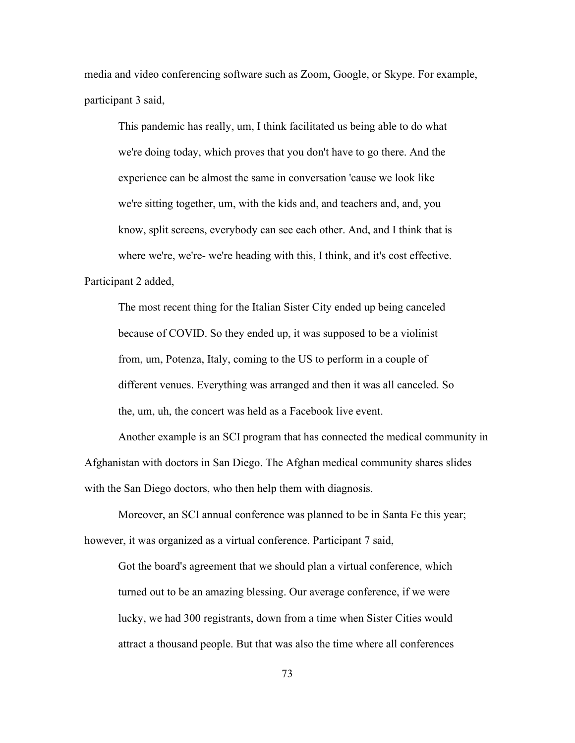media and video conferencing software such as Zoom, Google, or Skype. For example, participant 3 said,

This pandemic has really, um, I think facilitated us being able to do what we're doing today, which proves that you don't have to go there. And the experience can be almost the same in conversation 'cause we look like we're sitting together, um, with the kids and, and teachers and, and, you know, split screens, everybody can see each other. And, and I think that is where we're, we're- we're heading with this, I think, and it's cost effective. Participant 2 added,

The most recent thing for the Italian Sister City ended up being canceled because of COVID. So they ended up, it was supposed to be a violinist from, um, Potenza, Italy, coming to the US to perform in a couple of different venues. Everything was arranged and then it was all canceled. So the, um, uh, the concert was held as a Facebook live event.

Another example is an SCI program that has connected the medical community in Afghanistan with doctors in San Diego. The Afghan medical community shares slides with the San Diego doctors, who then help them with diagnosis.

Moreover, an SCI annual conference was planned to be in Santa Fe this year; however, it was organized as a virtual conference. Participant 7 said,

Got the board's agreement that we should plan a virtual conference, which turned out to be an amazing blessing. Our average conference, if we were lucky, we had 300 registrants, down from a time when Sister Cities would attract a thousand people. But that was also the time where all conferences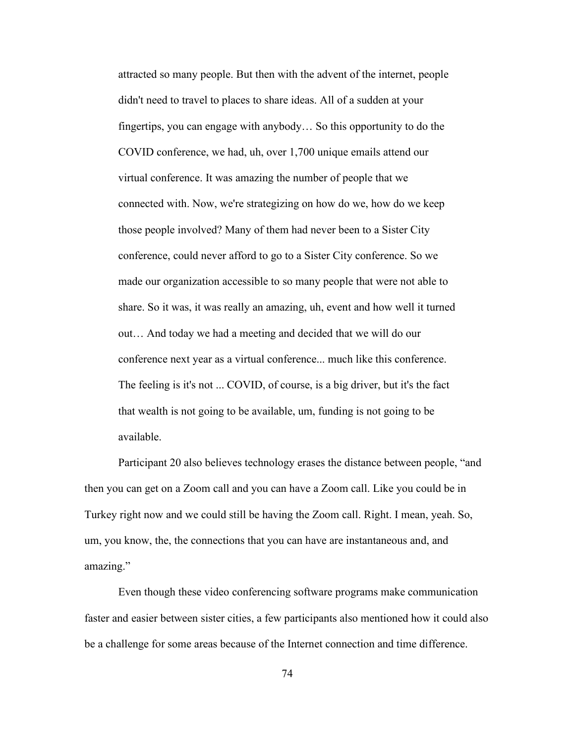attracted so many people. But then with the advent of the internet, people didn't need to travel to places to share ideas. All of a sudden at your fingertips, you can engage with anybody… So this opportunity to do the COVID conference, we had, uh, over 1,700 unique emails attend our virtual conference. It was amazing the number of people that we connected with. Now, we're strategizing on how do we, how do we keep those people involved? Many of them had never been to a Sister City conference, could never afford to go to a Sister City conference. So we made our organization accessible to so many people that were not able to share. So it was, it was really an amazing, uh, event and how well it turned out… And today we had a meeting and decided that we will do our conference next year as a virtual conference... much like this conference. The feeling is it's not ... COVID, of course, is a big driver, but it's the fact that wealth is not going to be available, um, funding is not going to be available.

Participant 20 also believes technology erases the distance between people, "and then you can get on a Zoom call and you can have a Zoom call. Like you could be in Turkey right now and we could still be having the Zoom call. Right. I mean, yeah. So, um, you know, the, the connections that you can have are instantaneous and, and amazing."

Even though these video conferencing software programs make communication faster and easier between sister cities, a few participants also mentioned how it could also be a challenge for some areas because of the Internet connection and time difference.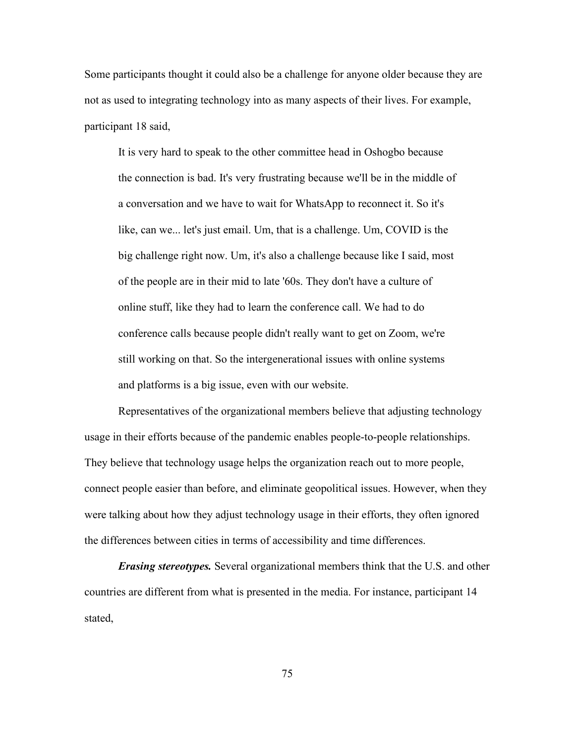Some participants thought it could also be a challenge for anyone older because they are not as used to integrating technology into as many aspects of their lives. For example, participant 18 said,

It is very hard to speak to the other committee head in Oshogbo because the connection is bad. It's very frustrating because we'll be in the middle of a conversation and we have to wait for WhatsApp to reconnect it. So it's like, can we... let's just email. Um, that is a challenge. Um, COVID is the big challenge right now. Um, it's also a challenge because like I said, most of the people are in their mid to late '60s. They don't have a culture of online stuff, like they had to learn the conference call. We had to do conference calls because people didn't really want to get on Zoom, we're still working on that. So the intergenerational issues with online systems and platforms is a big issue, even with our website.

Representatives of the organizational members believe that adjusting technology usage in their efforts because of the pandemic enables people-to-people relationships. They believe that technology usage helps the organization reach out to more people, connect people easier than before, and eliminate geopolitical issues. However, when they were talking about how they adjust technology usage in their efforts, they often ignored the differences between cities in terms of accessibility and time differences.

*Erasing stereotypes.* Several organizational members think that the U.S. and other countries are different from what is presented in the media. For instance, participant 14 stated,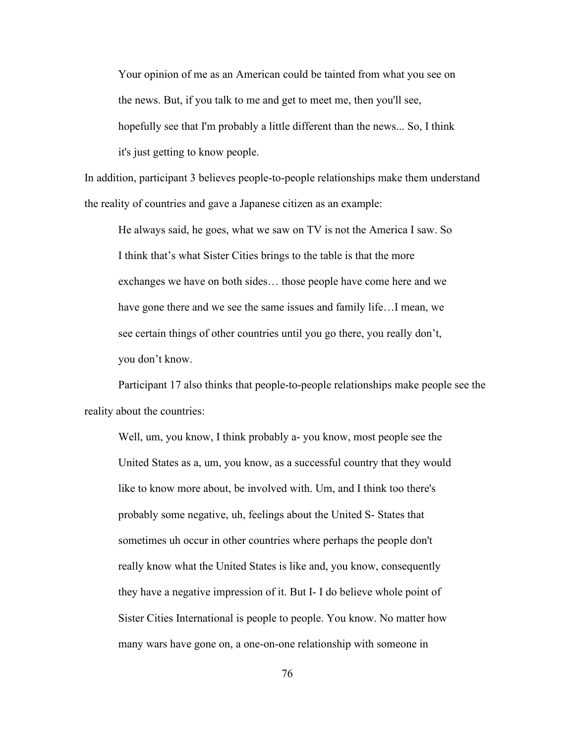Your opinion of me as an American could be tainted from what you see on the news. But, if you talk to me and get to meet me, then you'll see, hopefully see that I'm probably a little different than the news... So, I think it's just getting to know people.

In addition, participant 3 believes people-to-people relationships make them understand the reality of countries and gave a Japanese citizen as an example:

He always said, he goes, what we saw on TV is not the America I saw. So I think that's what Sister Cities brings to the table is that the more exchanges we have on both sides… those people have come here and we have gone there and we see the same issues and family life…I mean, we see certain things of other countries until you go there, you really don't, you don't know.

Participant 17 also thinks that people-to-people relationships make people see the reality about the countries:

Well, um, you know, I think probably a- you know, most people see the United States as a, um, you know, as a successful country that they would like to know more about, be involved with. Um, and I think too there's probably some negative, uh, feelings about the United S- States that sometimes uh occur in other countries where perhaps the people don't really know what the United States is like and, you know, consequently they have a negative impression of it. But I- I do believe whole point of Sister Cities International is people to people. You know. No matter how many wars have gone on, a one-on-one relationship with someone in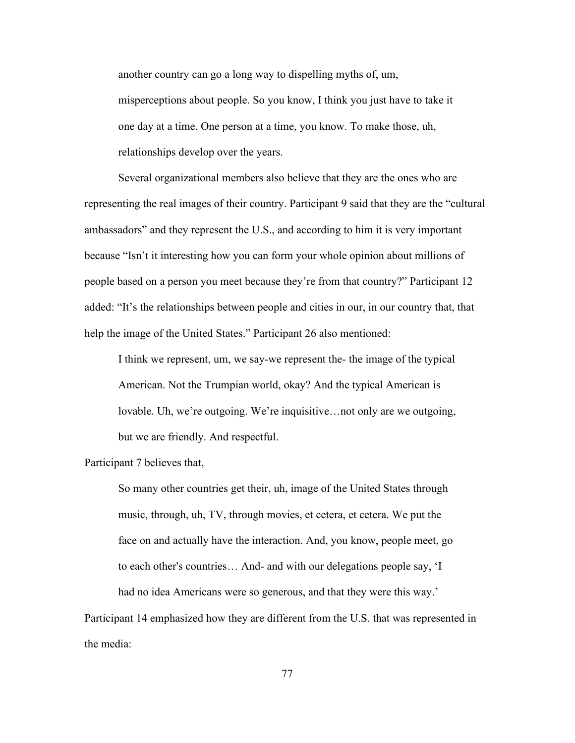another country can go a long way to dispelling myths of, um, misperceptions about people. So you know, I think you just have to take it one day at a time. One person at a time, you know. To make those, uh, relationships develop over the years.

Several organizational members also believe that they are the ones who are representing the real images of their country. Participant 9 said that they are the "cultural ambassadors" and they represent the U.S., and according to him it is very important because "Isn't it interesting how you can form your whole opinion about millions of people based on a person you meet because they're from that country?" Participant 12 added: "It's the relationships between people and cities in our, in our country that, that help the image of the United States." Participant 26 also mentioned:

I think we represent, um, we say-we represent the- the image of the typical American. Not the Trumpian world, okay? And the typical American is lovable. Uh, we're outgoing. We're inquisitive…not only are we outgoing, but we are friendly. And respectful.

## Participant 7 believes that,

So many other countries get their, uh, image of the United States through music, through, uh, TV, through movies, et cetera, et cetera. We put the face on and actually have the interaction. And, you know, people meet, go to each other's countries… And- and with our delegations people say, 'I

had no idea Americans were so generous, and that they were this way.' Participant 14 emphasized how they are different from the U.S. that was represented in the media: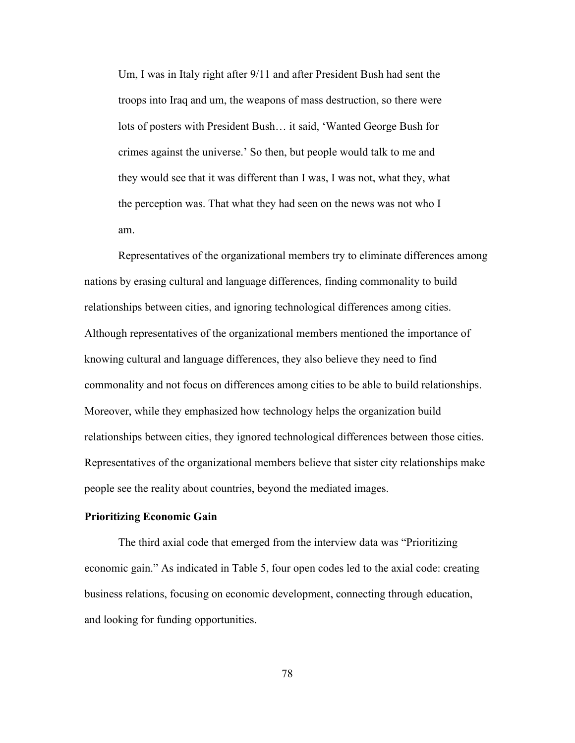Um, I was in Italy right after 9/11 and after President Bush had sent the troops into Iraq and um, the weapons of mass destruction, so there were lots of posters with President Bush… it said, 'Wanted George Bush for crimes against the universe.' So then, but people would talk to me and they would see that it was different than I was, I was not, what they, what the perception was. That what they had seen on the news was not who I am.

Representatives of the organizational members try to eliminate differences among nations by erasing cultural and language differences, finding commonality to build relationships between cities, and ignoring technological differences among cities. Although representatives of the organizational members mentioned the importance of knowing cultural and language differences, they also believe they need to find commonality and not focus on differences among cities to be able to build relationships. Moreover, while they emphasized how technology helps the organization build relationships between cities, they ignored technological differences between those cities. Representatives of the organizational members believe that sister city relationships make people see the reality about countries, beyond the mediated images.

# **Prioritizing Economic Gain**

The third axial code that emerged from the interview data was "Prioritizing economic gain." As indicated in Table 5, four open codes led to the axial code: creating business relations, focusing on economic development, connecting through education, and looking for funding opportunities.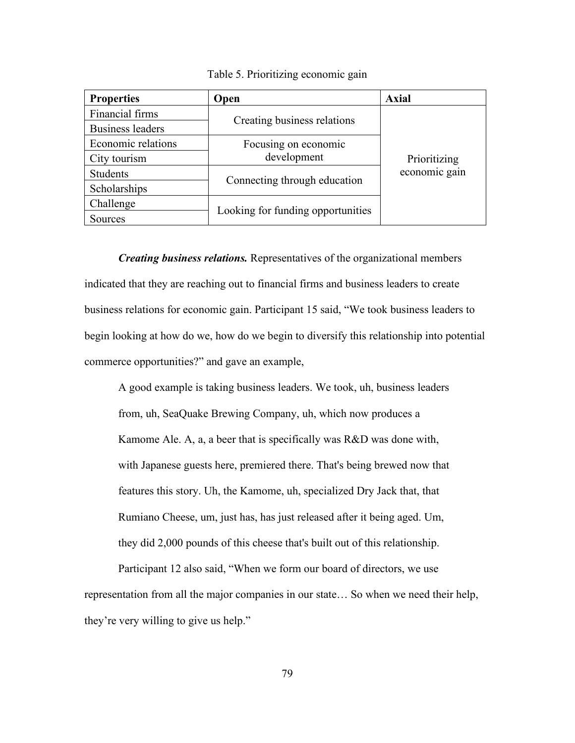| <b>Properties</b>       | Open                                | <b>Axial</b>                  |
|-------------------------|-------------------------------------|-------------------------------|
| Financial firms         |                                     | Prioritizing<br>economic gain |
| <b>Business leaders</b> | Creating business relations         |                               |
| Economic relations      | Focusing on economic<br>development |                               |
| City tourism            |                                     |                               |
| <b>Students</b>         |                                     |                               |
| Scholarships            | Connecting through education        |                               |
| Challenge               |                                     |                               |
| Sources                 | Looking for funding opportunities   |                               |

Table 5. Prioritizing economic gain

*Creating business relations.* Representatives of the organizational members indicated that they are reaching out to financial firms and business leaders to create business relations for economic gain. Participant 15 said, "We took business leaders to begin looking at how do we, how do we begin to diversify this relationship into potential commerce opportunities?" and gave an example,

A good example is taking business leaders. We took, uh, business leaders from, uh, SeaQuake Brewing Company, uh, which now produces a Kamome Ale. A, a, a beer that is specifically was R&D was done with, with Japanese guests here, premiered there. That's being brewed now that features this story. Uh, the Kamome, uh, specialized Dry Jack that, that Rumiano Cheese, um, just has, has just released after it being aged. Um, they did 2,000 pounds of this cheese that's built out of this relationship.

Participant 12 also said, "When we form our board of directors, we use representation from all the major companies in our state… So when we need their help, they're very willing to give us help."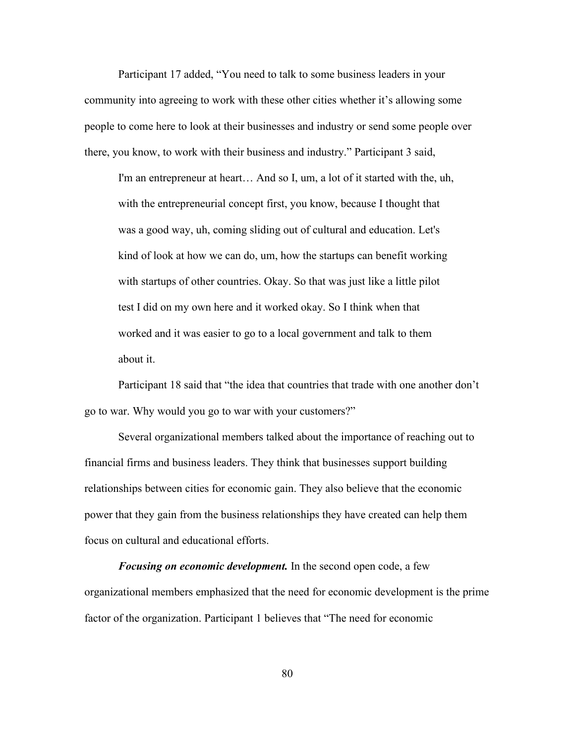Participant 17 added, "You need to talk to some business leaders in your community into agreeing to work with these other cities whether it's allowing some people to come here to look at their businesses and industry or send some people over there, you know, to work with their business and industry." Participant 3 said,

I'm an entrepreneur at heart… And so I, um, a lot of it started with the, uh, with the entrepreneurial concept first, you know, because I thought that was a good way, uh, coming sliding out of cultural and education. Let's kind of look at how we can do, um, how the startups can benefit working with startups of other countries. Okay. So that was just like a little pilot test I did on my own here and it worked okay. So I think when that worked and it was easier to go to a local government and talk to them about it.

Participant 18 said that "the idea that countries that trade with one another don't go to war. Why would you go to war with your customers?"

Several organizational members talked about the importance of reaching out to financial firms and business leaders. They think that businesses support building relationships between cities for economic gain. They also believe that the economic power that they gain from the business relationships they have created can help them focus on cultural and educational efforts.

*Focusing on economic development.* In the second open code, a few organizational members emphasized that the need for economic development is the prime factor of the organization. Participant 1 believes that "The need for economic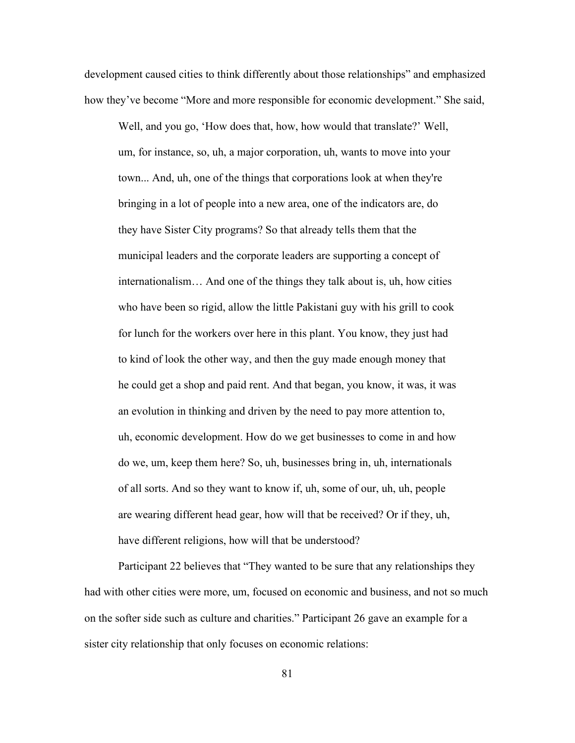development caused cities to think differently about those relationships" and emphasized how they've become "More and more responsible for economic development." She said,

Well, and you go, 'How does that, how, how would that translate?' Well, um, for instance, so, uh, a major corporation, uh, wants to move into your town... And, uh, one of the things that corporations look at when they're bringing in a lot of people into a new area, one of the indicators are, do they have Sister City programs? So that already tells them that the municipal leaders and the corporate leaders are supporting a concept of internationalism… And one of the things they talk about is, uh, how cities who have been so rigid, allow the little Pakistani guy with his grill to cook for lunch for the workers over here in this plant. You know, they just had to kind of look the other way, and then the guy made enough money that he could get a shop and paid rent. And that began, you know, it was, it was an evolution in thinking and driven by the need to pay more attention to, uh, economic development. How do we get businesses to come in and how do we, um, keep them here? So, uh, businesses bring in, uh, internationals of all sorts. And so they want to know if, uh, some of our, uh, uh, people are wearing different head gear, how will that be received? Or if they, uh, have different religions, how will that be understood?

Participant 22 believes that "They wanted to be sure that any relationships they had with other cities were more, um, focused on economic and business, and not so much on the softer side such as culture and charities." Participant 26 gave an example for a sister city relationship that only focuses on economic relations: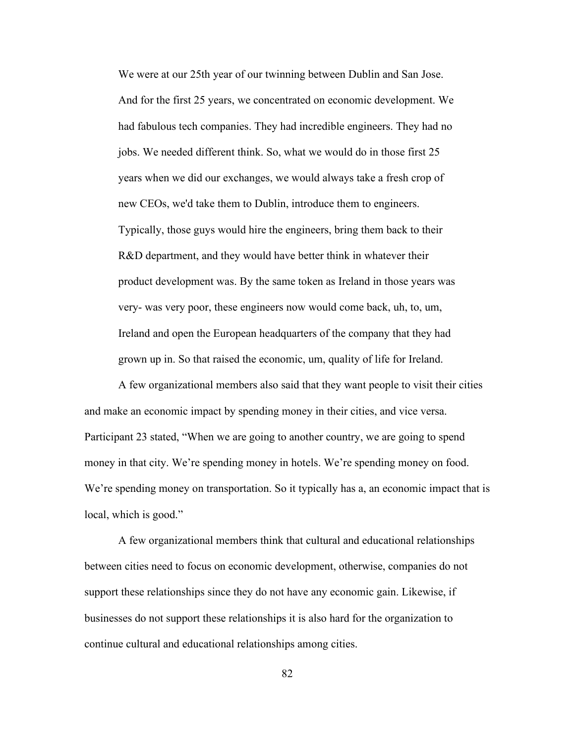We were at our 25th year of our twinning between Dublin and San Jose. And for the first 25 years, we concentrated on economic development. We had fabulous tech companies. They had incredible engineers. They had no jobs. We needed different think. So, what we would do in those first 25 years when we did our exchanges, we would always take a fresh crop of new CEOs, we'd take them to Dublin, introduce them to engineers. Typically, those guys would hire the engineers, bring them back to their R&D department, and they would have better think in whatever their product development was. By the same token as Ireland in those years was very- was very poor, these engineers now would come back, uh, to, um, Ireland and open the European headquarters of the company that they had grown up in. So that raised the economic, um, quality of life for Ireland.

A few organizational members also said that they want people to visit their cities and make an economic impact by spending money in their cities, and vice versa. Participant 23 stated, "When we are going to another country, we are going to spend money in that city. We're spending money in hotels. We're spending money on food. We're spending money on transportation. So it typically has a, an economic impact that is local, which is good."

A few organizational members think that cultural and educational relationships between cities need to focus on economic development, otherwise, companies do not support these relationships since they do not have any economic gain. Likewise, if businesses do not support these relationships it is also hard for the organization to continue cultural and educational relationships among cities.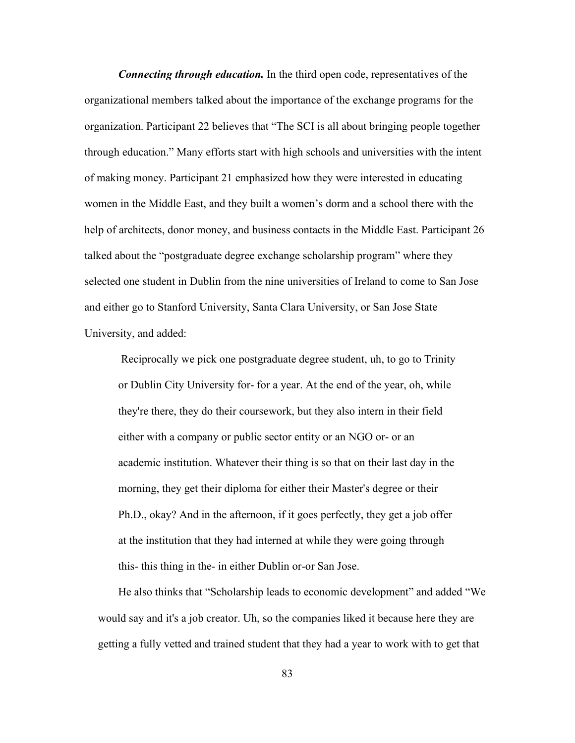*Connecting through education.* In the third open code, representatives of the organizational members talked about the importance of the exchange programs for the organization. Participant 22 believes that "The SCI is all about bringing people together through education." Many efforts start with high schools and universities with the intent of making money. Participant 21 emphasized how they were interested in educating women in the Middle East, and they built a women's dorm and a school there with the help of architects, donor money, and business contacts in the Middle East. Participant 26 talked about the "postgraduate degree exchange scholarship program" where they selected one student in Dublin from the nine universities of Ireland to come to San Jose and either go to Stanford University, Santa Clara University, or San Jose State University, and added:

Reciprocally we pick one postgraduate degree student, uh, to go to Trinity or Dublin City University for- for a year. At the end of the year, oh, while they're there, they do their coursework, but they also intern in their field either with a company or public sector entity or an NGO or- or an academic institution. Whatever their thing is so that on their last day in the morning, they get their diploma for either their Master's degree or their Ph.D., okay? And in the afternoon, if it goes perfectly, they get a job offer at the institution that they had interned at while they were going through this- this thing in the- in either Dublin or-or San Jose.

He also thinks that "Scholarship leads to economic development" and added "We would say and it's a job creator. Uh, so the companies liked it because here they are getting a fully vetted and trained student that they had a year to work with to get that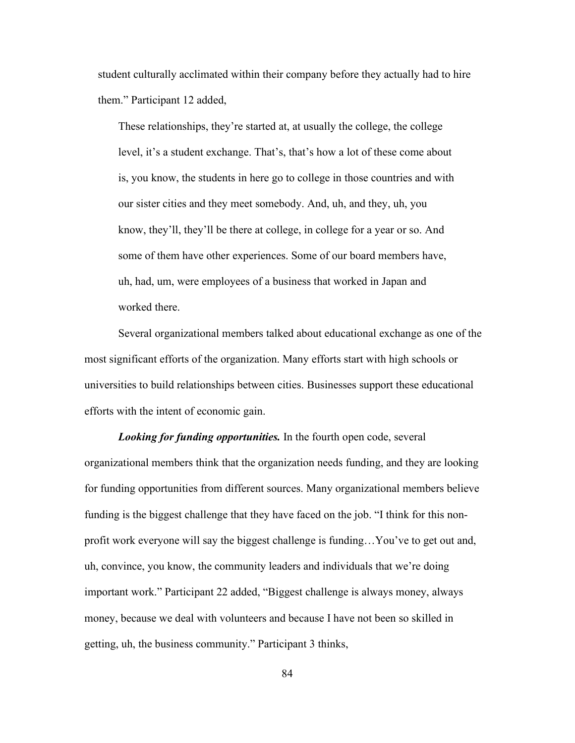student culturally acclimated within their company before they actually had to hire them." Participant 12 added,

These relationships, they're started at, at usually the college, the college level, it's a student exchange. That's, that's how a lot of these come about is, you know, the students in here go to college in those countries and with our sister cities and they meet somebody. And, uh, and they, uh, you know, they'll, they'll be there at college, in college for a year or so. And some of them have other experiences. Some of our board members have, uh, had, um, were employees of a business that worked in Japan and worked there.

Several organizational members talked about educational exchange as one of the most significant efforts of the organization. Many efforts start with high schools or universities to build relationships between cities. Businesses support these educational efforts with the intent of economic gain.

*Looking for funding opportunities.* In the fourth open code, several organizational members think that the organization needs funding, and they are looking for funding opportunities from different sources. Many organizational members believe funding is the biggest challenge that they have faced on the job. "I think for this nonprofit work everyone will say the biggest challenge is funding…You've to get out and, uh, convince, you know, the community leaders and individuals that we're doing important work." Participant 22 added, "Biggest challenge is always money, always money, because we deal with volunteers and because I have not been so skilled in getting, uh, the business community." Participant 3 thinks,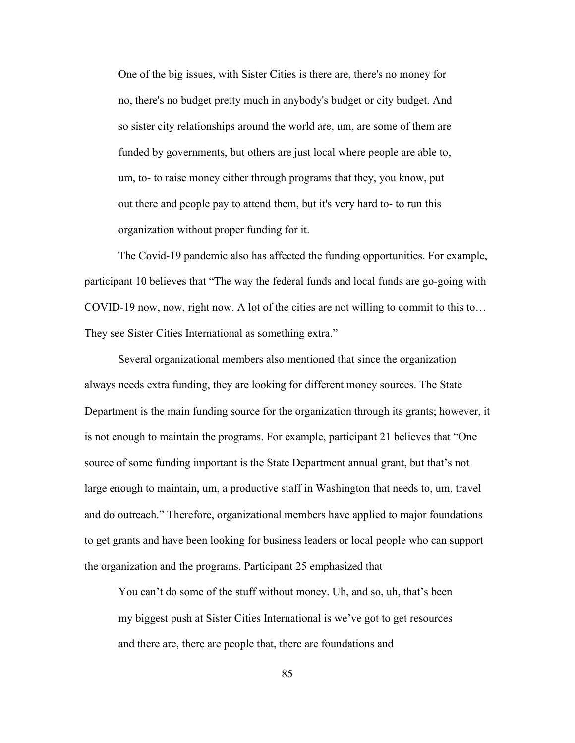One of the big issues, with Sister Cities is there are, there's no money for no, there's no budget pretty much in anybody's budget or city budget. And so sister city relationships around the world are, um, are some of them are funded by governments, but others are just local where people are able to, um, to- to raise money either through programs that they, you know, put out there and people pay to attend them, but it's very hard to- to run this organization without proper funding for it.

The Covid-19 pandemic also has affected the funding opportunities. For example, participant 10 believes that "The way the federal funds and local funds are go-going with COVID-19 now, now, right now. A lot of the cities are not willing to commit to this to… They see Sister Cities International as something extra."

Several organizational members also mentioned that since the organization always needs extra funding, they are looking for different money sources. The State Department is the main funding source for the organization through its grants; however, it is not enough to maintain the programs. For example, participant 21 believes that "One source of some funding important is the State Department annual grant, but that's not large enough to maintain, um, a productive staff in Washington that needs to, um, travel and do outreach." Therefore, organizational members have applied to major foundations to get grants and have been looking for business leaders or local people who can support the organization and the programs. Participant 25 emphasized that

You can't do some of the stuff without money. Uh, and so, uh, that's been my biggest push at Sister Cities International is we've got to get resources and there are, there are people that, there are foundations and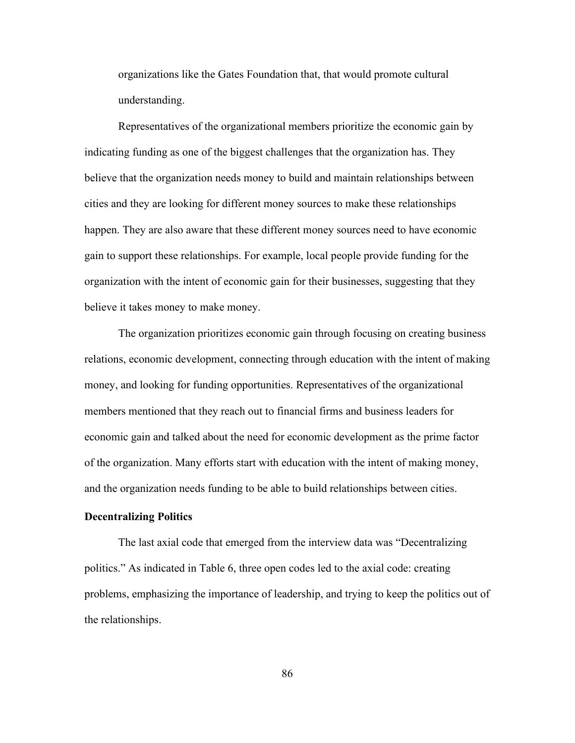organizations like the Gates Foundation that, that would promote cultural understanding.

Representatives of the organizational members prioritize the economic gain by indicating funding as one of the biggest challenges that the organization has. They believe that the organization needs money to build and maintain relationships between cities and they are looking for different money sources to make these relationships happen. They are also aware that these different money sources need to have economic gain to support these relationships. For example, local people provide funding for the organization with the intent of economic gain for their businesses, suggesting that they believe it takes money to make money.

The organization prioritizes economic gain through focusing on creating business relations, economic development, connecting through education with the intent of making money, and looking for funding opportunities. Representatives of the organizational members mentioned that they reach out to financial firms and business leaders for economic gain and talked about the need for economic development as the prime factor of the organization. Many efforts start with education with the intent of making money, and the organization needs funding to be able to build relationships between cities.

# **Decentralizing Politics**

The last axial code that emerged from the interview data was "Decentralizing politics." As indicated in Table 6, three open codes led to the axial code: creating problems, emphasizing the importance of leadership, and trying to keep the politics out of the relationships.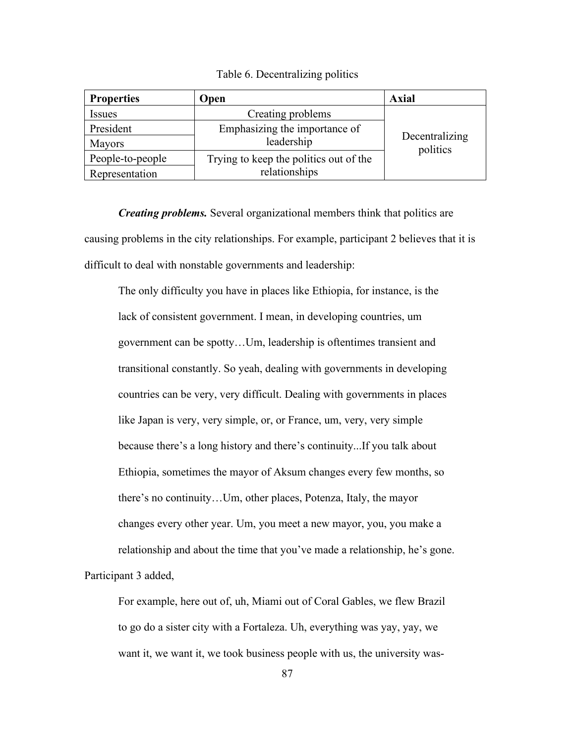# Table 6. Decentralizing politics

| <b>Properties</b> | Open                                   | Axial                      |
|-------------------|----------------------------------------|----------------------------|
| <i>Issues</i>     | Creating problems                      |                            |
| President         | Emphasizing the importance of          |                            |
| Mayors            | leadership                             | Decentralizing<br>politics |
| People-to-people  | Trying to keep the politics out of the |                            |
| Representation    | relationships                          |                            |

*Creating problems.* Several organizational members think that politics are causing problems in the city relationships. For example, participant 2 believes that it is difficult to deal with nonstable governments and leadership:

The only difficulty you have in places like Ethiopia, for instance, is the lack of consistent government. I mean, in developing countries, um government can be spotty…Um, leadership is oftentimes transient and transitional constantly. So yeah, dealing with governments in developing countries can be very, very difficult. Dealing with governments in places like Japan is very, very simple, or, or France, um, very, very simple because there's a long history and there's continuity...If you talk about Ethiopia, sometimes the mayor of Aksum changes every few months, so there's no continuity…Um, other places, Potenza, Italy, the mayor changes every other year. Um, you meet a new mayor, you, you make a relationship and about the time that you've made a relationship, he's gone. Participant 3 added,

For example, here out of, uh, Miami out of Coral Gables, we flew Brazil to go do a sister city with a Fortaleza. Uh, everything was yay, yay, we want it, we want it, we took business people with us, the university was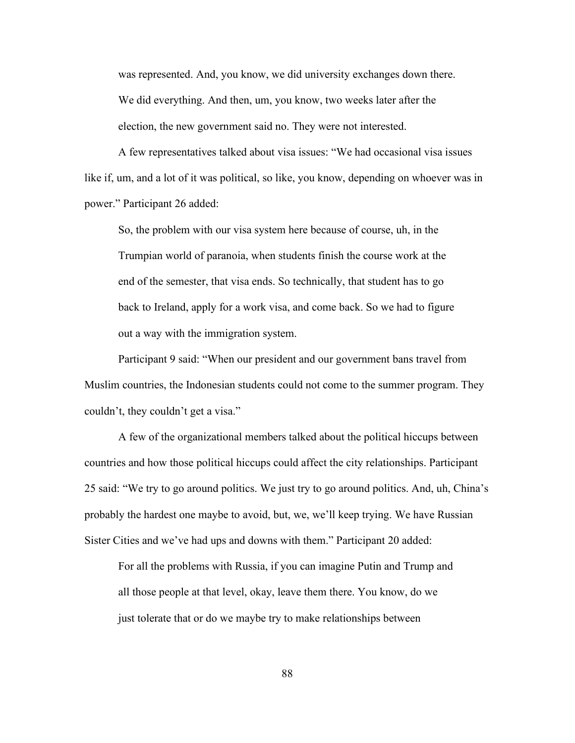was represented. And, you know, we did university exchanges down there. We did everything. And then, um, you know, two weeks later after the election, the new government said no. They were not interested.

A few representatives talked about visa issues: "We had occasional visa issues like if, um, and a lot of it was political, so like, you know, depending on whoever was in power." Participant 26 added:

So, the problem with our visa system here because of course, uh, in the Trumpian world of paranoia, when students finish the course work at the end of the semester, that visa ends. So technically, that student has to go back to Ireland, apply for a work visa, and come back. So we had to figure out a way with the immigration system.

Participant 9 said: "When our president and our government bans travel from Muslim countries, the Indonesian students could not come to the summer program. They couldn't, they couldn't get a visa."

A few of the organizational members talked about the political hiccups between countries and how those political hiccups could affect the city relationships. Participant 25 said: "We try to go around politics. We just try to go around politics. And, uh, China's probably the hardest one maybe to avoid, but, we, we'll keep trying. We have Russian Sister Cities and we've had ups and downs with them." Participant 20 added:

For all the problems with Russia, if you can imagine Putin and Trump and all those people at that level, okay, leave them there. You know, do we just tolerate that or do we maybe try to make relationships between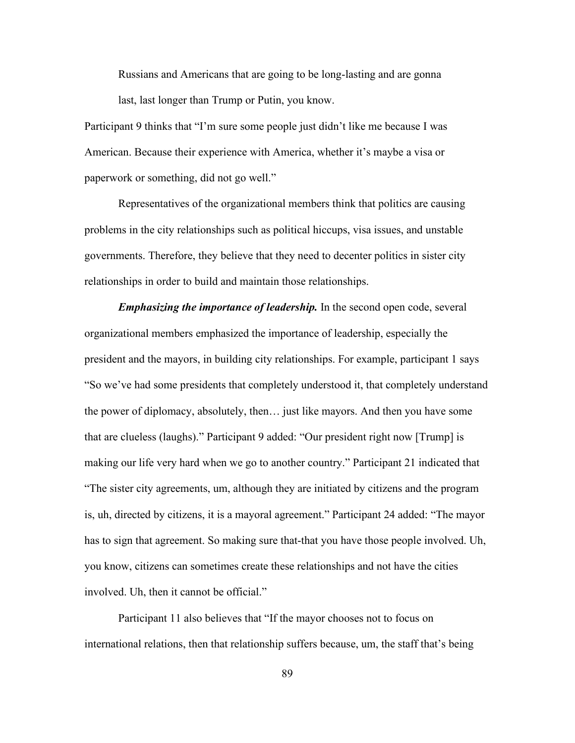Russians and Americans that are going to be long-lasting and are gonna last, last longer than Trump or Putin, you know.

Participant 9 thinks that "I'm sure some people just didn't like me because I was American. Because their experience with America, whether it's maybe a visa or paperwork or something, did not go well."

Representatives of the organizational members think that politics are causing problems in the city relationships such as political hiccups, visa issues, and unstable governments. Therefore, they believe that they need to decenter politics in sister city relationships in order to build and maintain those relationships.

*Emphasizing the importance of leadership. In the second open code, several* organizational members emphasized the importance of leadership, especially the president and the mayors, in building city relationships. For example, participant 1 says "So we've had some presidents that completely understood it, that completely understand the power of diplomacy, absolutely, then… just like mayors. And then you have some that are clueless (laughs)." Participant 9 added: "Our president right now [Trump] is making our life very hard when we go to another country." Participant 21 indicated that "The sister city agreements, um, although they are initiated by citizens and the program is, uh, directed by citizens, it is a mayoral agreement." Participant 24 added: "The mayor has to sign that agreement. So making sure that-that you have those people involved. Uh, you know, citizens can sometimes create these relationships and not have the cities involved. Uh, then it cannot be official."

Participant 11 also believes that "If the mayor chooses not to focus on international relations, then that relationship suffers because, um, the staff that's being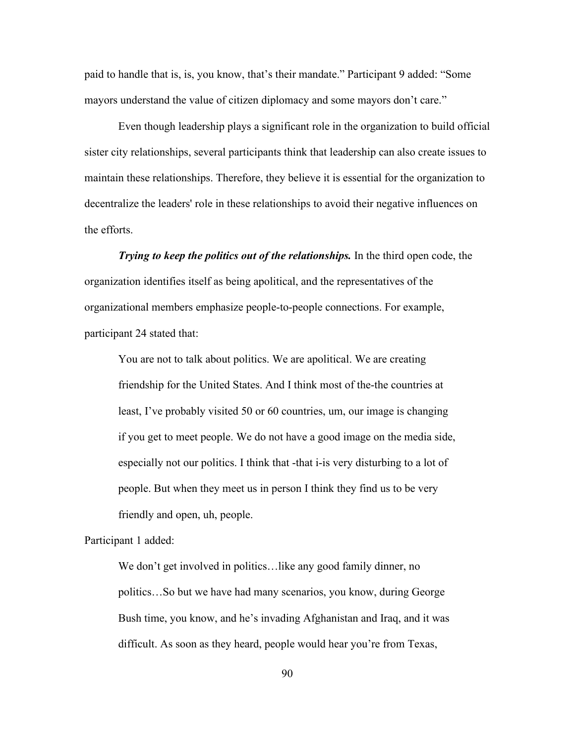paid to handle that is, is, you know, that's their mandate." Participant 9 added: "Some mayors understand the value of citizen diplomacy and some mayors don't care."

Even though leadership plays a significant role in the organization to build official sister city relationships, several participants think that leadership can also create issues to maintain these relationships. Therefore, they believe it is essential for the organization to decentralize the leaders' role in these relationships to avoid their negative influences on the efforts.

*Trying to keep the politics out of the relationships.* In the third open code, the organization identifies itself as being apolitical, and the representatives of the organizational members emphasize people-to-people connections. For example, participant 24 stated that:

You are not to talk about politics. We are apolitical. We are creating friendship for the United States. And I think most of the-the countries at least, I've probably visited 50 or 60 countries, um, our image is changing if you get to meet people. We do not have a good image on the media side, especially not our politics. I think that -that i-is very disturbing to a lot of people. But when they meet us in person I think they find us to be very friendly and open, uh, people.

Participant 1 added:

We don't get involved in politics... like any good family dinner, no politics…So but we have had many scenarios, you know, during George Bush time, you know, and he's invading Afghanistan and Iraq, and it was difficult. As soon as they heard, people would hear you're from Texas,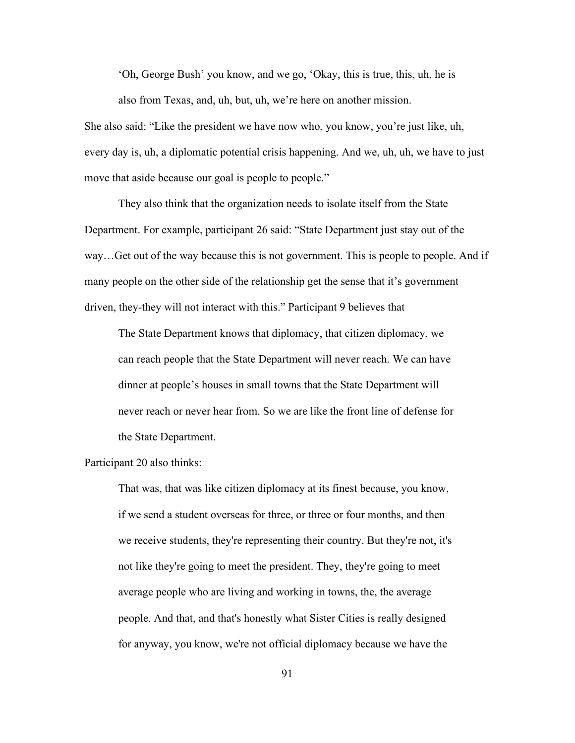'Oh, George Bush' you know, and we go, 'Okay, this is true, this, uh, he is also from Texas, and, uh, but, uh, we're here on another mission.

She also said: "Like the president we have now who, you know, you're just like, uh, every day is, uh, a diplomatic potential crisis happening. And we, uh, uh, we have to just move that aside because our goal is people to people."

They also think that the organization needs to isolate itself from the State Department. For example, participant 26 said: "State Department just stay out of the way…Get out of the way because this is not government. This is people to people. And if many people on the other side of the relationship get the sense that it's government driven, they-they will not interact with this." Participant 9 believes that

The State Department knows that diplomacy, that citizen diplomacy, we can reach people that the State Department will never reach. We can have dinner at people's houses in small towns that the State Department will never reach or never hear from. So we are like the front line of defense for the State Department.

Participant 20 also thinks:

That was, that was like citizen diplomacy at its finest because, you know, if we send a student overseas for three, or three or four months, and then we receive students, they're representing their country. But they're not, it's not like they're going to meet the president. They, they're going to meet average people who are living and working in towns, the, the average people. And that, and that's honestly what Sister Cities is really designed for anyway, you know, we're not official diplomacy because we have the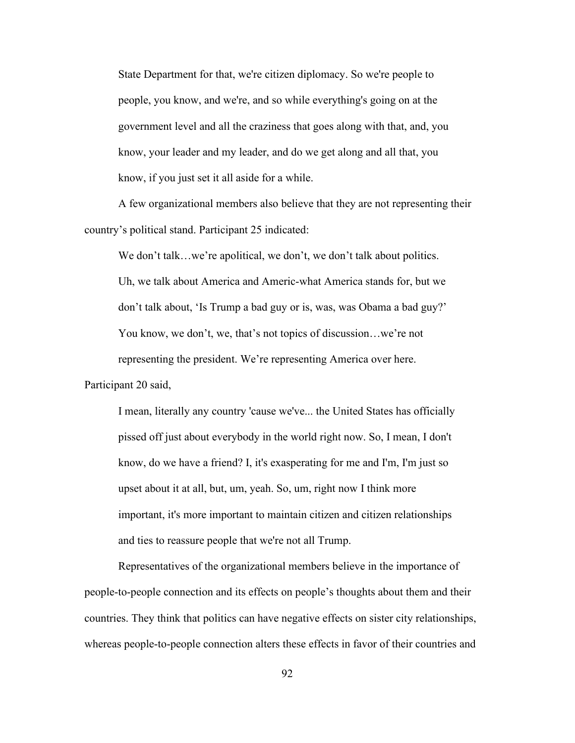State Department for that, we're citizen diplomacy. So we're people to people, you know, and we're, and so while everything's going on at the government level and all the craziness that goes along with that, and, you know, your leader and my leader, and do we get along and all that, you know, if you just set it all aside for a while.

A few organizational members also believe that they are not representing their country's political stand. Participant 25 indicated:

We don't talk...we're apolitical, we don't, we don't talk about politics. Uh, we talk about America and Americ-what America stands for, but we don't talk about, 'Is Trump a bad guy or is, was, was Obama a bad guy?' You know, we don't, we, that's not topics of discussion…we're not representing the president. We're representing America over here.

Participant 20 said,

I mean, literally any country 'cause we've... the United States has officially pissed off just about everybody in the world right now. So, I mean, I don't know, do we have a friend? I, it's exasperating for me and I'm, I'm just so upset about it at all, but, um, yeah. So, um, right now I think more important, it's more important to maintain citizen and citizen relationships and ties to reassure people that we're not all Trump.

Representatives of the organizational members believe in the importance of people-to-people connection and its effects on people's thoughts about them and their countries. They think that politics can have negative effects on sister city relationships, whereas people-to-people connection alters these effects in favor of their countries and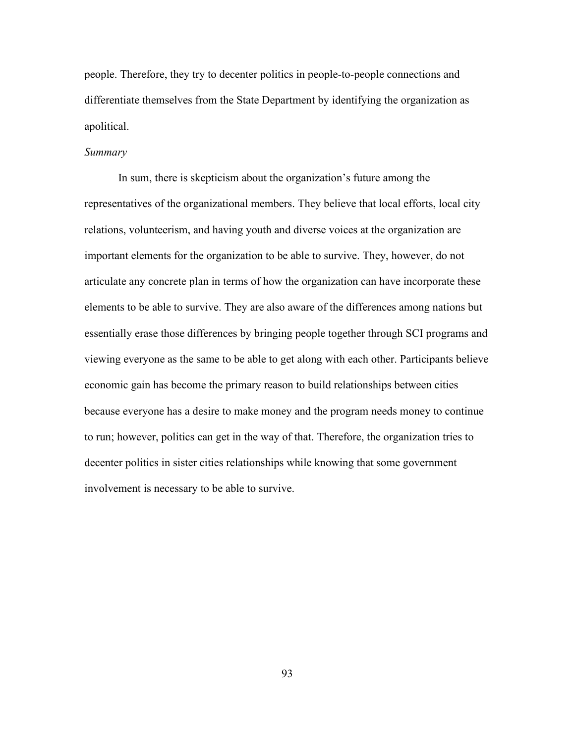people. Therefore, they try to decenter politics in people-to-people connections and differentiate themselves from the State Department by identifying the organization as apolitical.

# *Summary*

In sum, there is skepticism about the organization's future among the representatives of the organizational members. They believe that local efforts, local city relations, volunteerism, and having youth and diverse voices at the organization are important elements for the organization to be able to survive. They, however, do not articulate any concrete plan in terms of how the organization can have incorporate these elements to be able to survive. They are also aware of the differences among nations but essentially erase those differences by bringing people together through SCI programs and viewing everyone as the same to be able to get along with each other. Participants believe economic gain has become the primary reason to build relationships between cities because everyone has a desire to make money and the program needs money to continue to run; however, politics can get in the way of that. Therefore, the organization tries to decenter politics in sister cities relationships while knowing that some government involvement is necessary to be able to survive.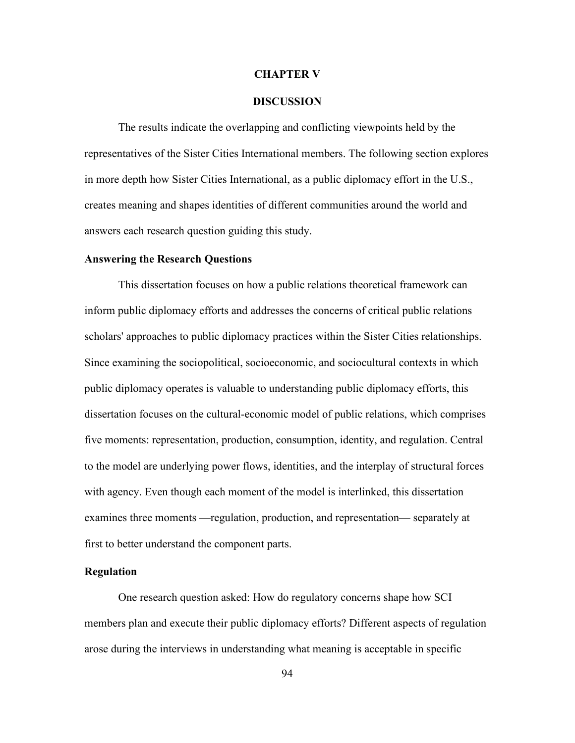#### **CHAPTER V**

#### **DISCUSSION**

The results indicate the overlapping and conflicting viewpoints held by the representatives of the Sister Cities International members. The following section explores in more depth how Sister Cities International, as a public diplomacy effort in the U.S., creates meaning and shapes identities of different communities around the world and answers each research question guiding this study.

#### **Answering the Research Questions**

This dissertation focuses on how a public relations theoretical framework can inform public diplomacy efforts and addresses the concerns of critical public relations scholars' approaches to public diplomacy practices within the Sister Cities relationships. Since examining the sociopolitical, socioeconomic, and sociocultural contexts in which public diplomacy operates is valuable to understanding public diplomacy efforts, this dissertation focuses on the cultural-economic model of public relations, which comprises five moments: representation, production, consumption, identity, and regulation. Central to the model are underlying power flows, identities, and the interplay of structural forces with agency. Even though each moment of the model is interlinked, this dissertation examines three moments —regulation, production, and representation— separately at first to better understand the component parts.

#### **Regulation**

One research question asked: How do regulatory concerns shape how SCI members plan and execute their public diplomacy efforts? Different aspects of regulation arose during the interviews in understanding what meaning is acceptable in specific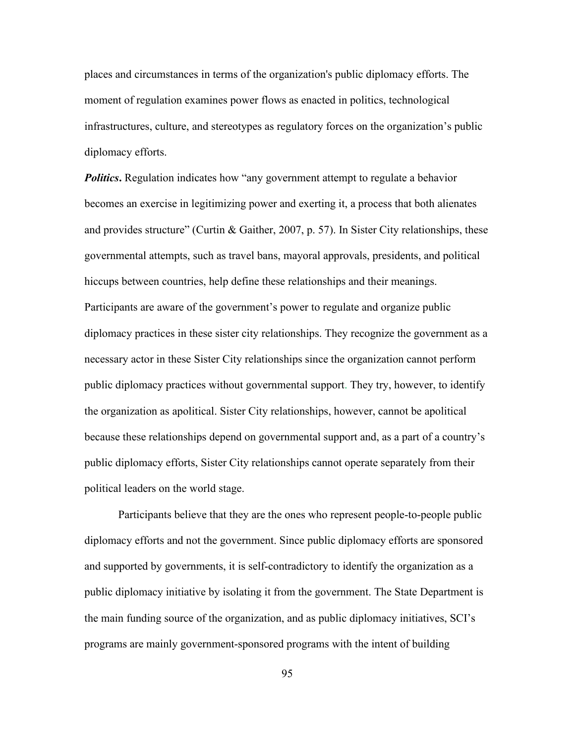places and circumstances in terms of the organization's public diplomacy efforts. The moment of regulation examines power flows as enacted in politics, technological infrastructures, culture, and stereotypes as regulatory forces on the organization's public diplomacy efforts.

**Politics.** Regulation indicates how "any government attempt to regulate a behavior becomes an exercise in legitimizing power and exerting it, a process that both alienates and provides structure" (Curtin & Gaither, 2007, p. 57). In Sister City relationships, these governmental attempts, such as travel bans, mayoral approvals, presidents, and political hiccups between countries, help define these relationships and their meanings. Participants are aware of the government's power to regulate and organize public diplomacy practices in these sister city relationships. They recognize the government as a necessary actor in these Sister City relationships since the organization cannot perform public diplomacy practices without governmental support. They try, however, to identify the organization as apolitical. Sister City relationships, however, cannot be apolitical because these relationships depend on governmental support and, as a part of a country's public diplomacy efforts, Sister City relationships cannot operate separately from their political leaders on the world stage.

Participants believe that they are the ones who represent people-to-people public diplomacy efforts and not the government. Since public diplomacy efforts are sponsored and supported by governments, it is self-contradictory to identify the organization as a public diplomacy initiative by isolating it from the government. The State Department is the main funding source of the organization, and as public diplomacy initiatives, SCI's programs are mainly government-sponsored programs with the intent of building

95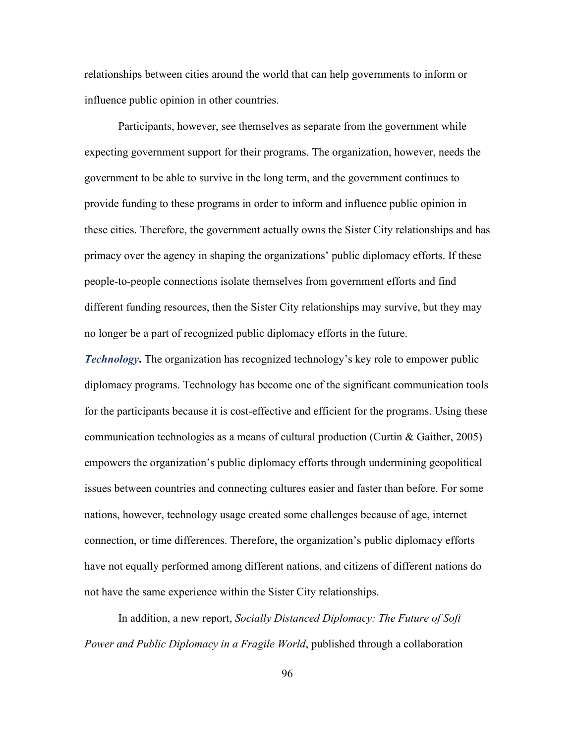relationships between cities around the world that can help governments to inform or influence public opinion in other countries.

Participants, however, see themselves as separate from the government while expecting government support for their programs. The organization, however, needs the government to be able to survive in the long term, and the government continues to provide funding to these programs in order to inform and influence public opinion in these cities. Therefore, the government actually owns the Sister City relationships and has primacy over the agency in shaping the organizations' public diplomacy efforts. If these people-to-people connections isolate themselves from government efforts and find different funding resources, then the Sister City relationships may survive, but they may no longer be a part of recognized public diplomacy efforts in the future.

*Technology***.** The organization has recognized technology's key role to empower public diplomacy programs. Technology has become one of the significant communication tools for the participants because it is cost-effective and efficient for the programs. Using these communication technologies as a means of cultural production (Curtin & Gaither, 2005) empowers the organization's public diplomacy efforts through undermining geopolitical issues between countries and connecting cultures easier and faster than before. For some nations, however, technology usage created some challenges because of age, internet connection, or time differences. Therefore, the organization's public diplomacy efforts have not equally performed among different nations, and citizens of different nations do not have the same experience within the Sister City relationships.

In addition, a new report, *Socially Distanced Diplomacy: The Future of Soft Power and Public Diplomacy in a Fragile World*, published through a collaboration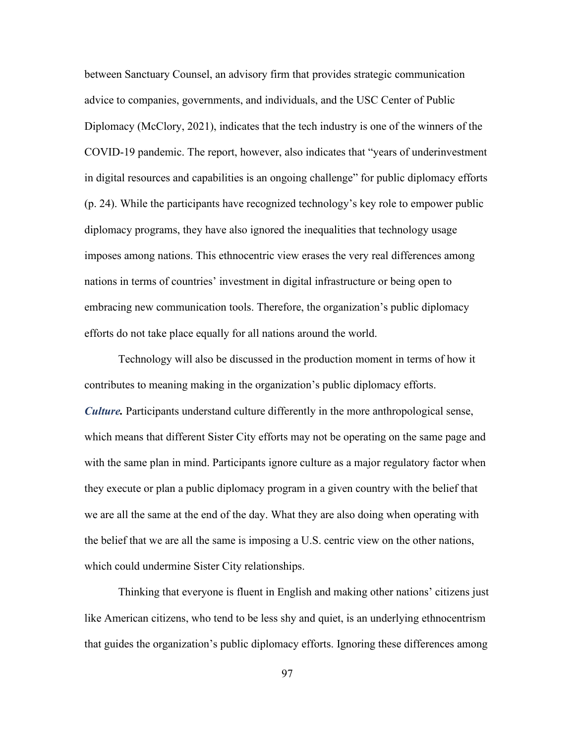between Sanctuary Counsel, an advisory firm that provides strategic communication advice to companies, governments, and individuals, and the USC Center of Public Diplomacy (McClory, 2021), indicates that the tech industry is one of the winners of the COVID-19 pandemic. The report, however, also indicates that "years of underinvestment in digital resources and capabilities is an ongoing challenge" for public diplomacy efforts (p. 24). While the participants have recognized technology's key role to empower public diplomacy programs, they have also ignored the inequalities that technology usage imposes among nations. This ethnocentric view erases the very real differences among nations in terms of countries' investment in digital infrastructure or being open to embracing new communication tools. Therefore, the organization's public diplomacy efforts do not take place equally for all nations around the world.

Technology will also be discussed in the production moment in terms of how it contributes to meaning making in the organization's public diplomacy efforts. *Culture.* Participants understand culture differently in the more anthropological sense, which means that different Sister City efforts may not be operating on the same page and with the same plan in mind. Participants ignore culture as a major regulatory factor when they execute or plan a public diplomacy program in a given country with the belief that we are all the same at the end of the day. What they are also doing when operating with the belief that we are all the same is imposing a U.S. centric view on the other nations, which could undermine Sister City relationships.

Thinking that everyone is fluent in English and making other nations' citizens just like American citizens, who tend to be less shy and quiet, is an underlying ethnocentrism that guides the organization's public diplomacy efforts. Ignoring these differences among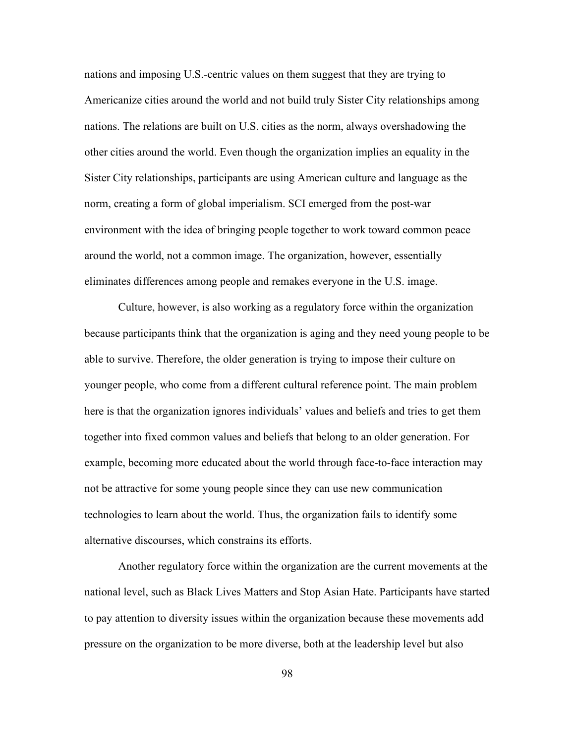nations and imposing U.S.-centric values on them suggest that they are trying to Americanize cities around the world and not build truly Sister City relationships among nations. The relations are built on U.S. cities as the norm, always overshadowing the other cities around the world. Even though the organization implies an equality in the Sister City relationships, participants are using American culture and language as the norm, creating a form of global imperialism. SCI emerged from the post-war environment with the idea of bringing people together to work toward common peace around the world, not a common image. The organization, however, essentially eliminates differences among people and remakes everyone in the U.S. image.

Culture, however, is also working as a regulatory force within the organization because participants think that the organization is aging and they need young people to be able to survive. Therefore, the older generation is trying to impose their culture on younger people, who come from a different cultural reference point. The main problem here is that the organization ignores individuals' values and beliefs and tries to get them together into fixed common values and beliefs that belong to an older generation. For example, becoming more educated about the world through face-to-face interaction may not be attractive for some young people since they can use new communication technologies to learn about the world. Thus, the organization fails to identify some alternative discourses, which constrains its efforts.

Another regulatory force within the organization are the current movements at the national level, such as Black Lives Matters and Stop Asian Hate. Participants have started to pay attention to diversity issues within the organization because these movements add pressure on the organization to be more diverse, both at the leadership level but also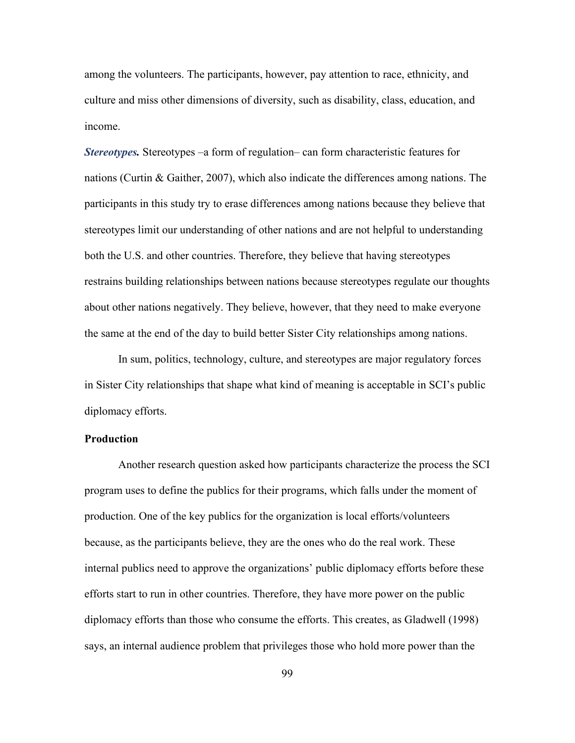among the volunteers. The participants, however, pay attention to race, ethnicity, and culture and miss other dimensions of diversity, such as disability, class, education, and income.

*Stereotypes.* Stereotypes –a form of regulation– can form characteristic features for nations (Curtin & Gaither, 2007), which also indicate the differences among nations. The participants in this study try to erase differences among nations because they believe that stereotypes limit our understanding of other nations and are not helpful to understanding both the U.S. and other countries. Therefore, they believe that having stereotypes restrains building relationships between nations because stereotypes regulate our thoughts about other nations negatively. They believe, however, that they need to make everyone the same at the end of the day to build better Sister City relationships among nations.

In sum, politics, technology, culture, and stereotypes are major regulatory forces in Sister City relationships that shape what kind of meaning is acceptable in SCI's public diplomacy efforts.

## **Production**

Another research question asked how participants characterize the process the SCI program uses to define the publics for their programs, which falls under the moment of production. One of the key publics for the organization is local efforts/volunteers because, as the participants believe, they are the ones who do the real work. These internal publics need to approve the organizations' public diplomacy efforts before these efforts start to run in other countries. Therefore, they have more power on the public diplomacy efforts than those who consume the efforts. This creates, as Gladwell (1998) says, an internal audience problem that privileges those who hold more power than the

99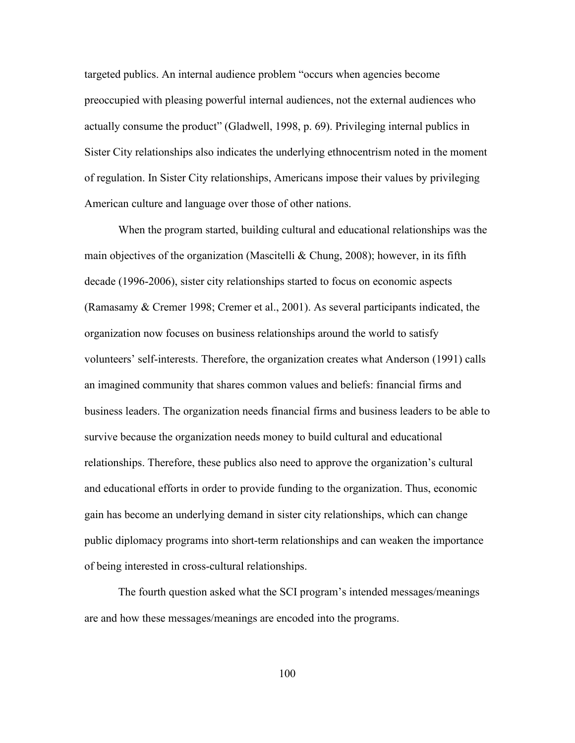targeted publics. An internal audience problem "occurs when agencies become preoccupied with pleasing powerful internal audiences, not the external audiences who actually consume the product" (Gladwell, 1998, p. 69). Privileging internal publics in Sister City relationships also indicates the underlying ethnocentrism noted in the moment of regulation. In Sister City relationships, Americans impose their values by privileging American culture and language over those of other nations.

When the program started, building cultural and educational relationships was the main objectives of the organization (Mascitelli & Chung, 2008); however, in its fifth decade (1996-2006), sister city relationships started to focus on economic aspects (Ramasamy & Cremer 1998; Cremer et al., 2001). As several participants indicated, the organization now focuses on business relationships around the world to satisfy volunteers' self-interests. Therefore, the organization creates what Anderson (1991) calls an imagined community that shares common values and beliefs: financial firms and business leaders. The organization needs financial firms and business leaders to be able to survive because the organization needs money to build cultural and educational relationships. Therefore, these publics also need to approve the organization's cultural and educational efforts in order to provide funding to the organization. Thus, economic gain has become an underlying demand in sister city relationships, which can change public diplomacy programs into short-term relationships and can weaken the importance of being interested in cross-cultural relationships.

The fourth question asked what the SCI program's intended messages/meanings are and how these messages/meanings are encoded into the programs.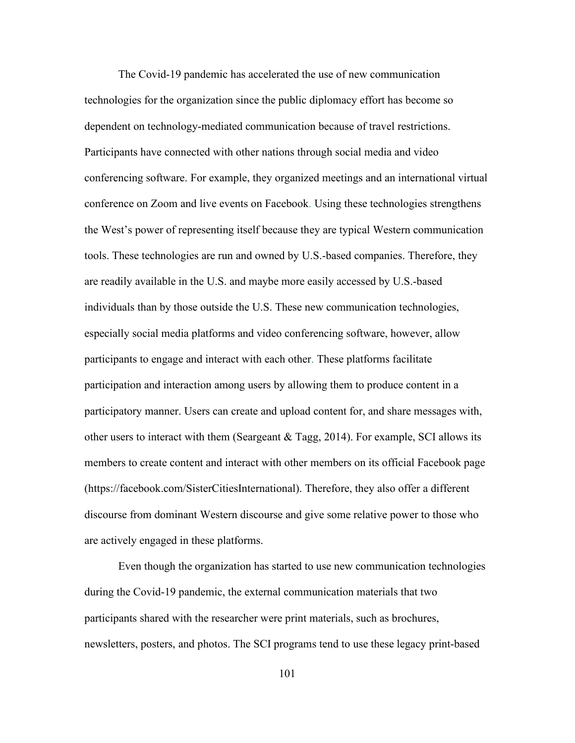The Covid-19 pandemic has accelerated the use of new communication technologies for the organization since the public diplomacy effort has become so dependent on technology-mediated communication because of travel restrictions. Participants have connected with other nations through social media and video conferencing software. For example, they organized meetings and an international virtual conference on Zoom and live events on Facebook. Using these technologies strengthens the West's power of representing itself because they are typical Western communication tools. These technologies are run and owned by U.S.-based companies. Therefore, they are readily available in the U.S. and maybe more easily accessed by U.S.-based individuals than by those outside the U.S. These new communication technologies, especially social media platforms and video conferencing software, however, allow participants to engage and interact with each other. These platforms facilitate participation and interaction among users by allowing them to produce content in a participatory manner. Users can create and upload content for, and share messages with, other users to interact with them (Seargeant  $&$  Tagg, 2014). For example, SCI allows its members to create content and interact with other members on its official Facebook page (https://facebook.com/SisterCitiesInternational). Therefore, they also offer a different discourse from dominant Western discourse and give some relative power to those who are actively engaged in these platforms.

Even though the organization has started to use new communication technologies during the Covid-19 pandemic, the external communication materials that two participants shared with the researcher were print materials, such as brochures, newsletters, posters, and photos. The SCI programs tend to use these legacy print-based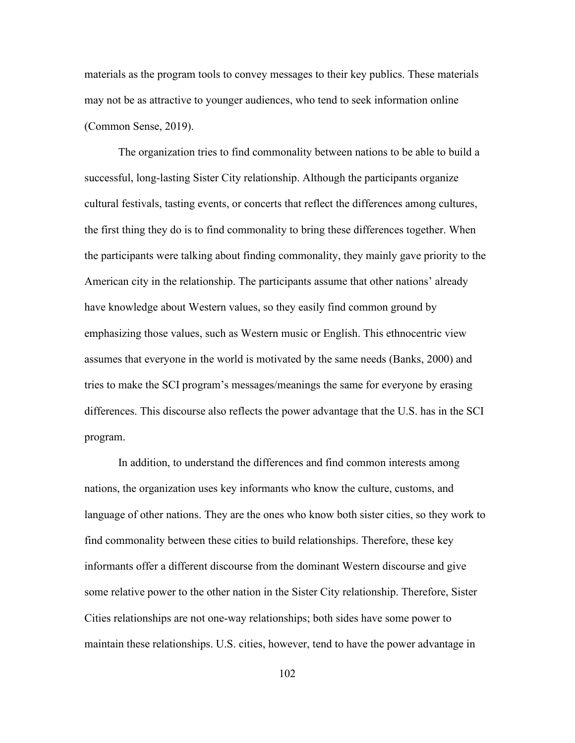materials as the program tools to convey messages to their key publics. These materials may not be as attractive to younger audiences, who tend to seek information online (Common Sense, 2019).

The organization tries to find commonality between nations to be able to build a successful, long-lasting Sister City relationship. Although the participants organize cultural festivals, tasting events, or concerts that reflect the differences among cultures, the first thing they do is to find commonality to bring these differences together. When the participants were talking about finding commonality, they mainly gave priority to the American city in the relationship. The participants assume that other nations' already have knowledge about Western values, so they easily find common ground by emphasizing those values, such as Western music or English. This ethnocentric view assumes that everyone in the world is motivated by the same needs (Banks, 2000) and tries to make the SCI program's messages/meanings the same for everyone by erasing differences. This discourse also reflects the power advantage that the U.S. has in the SCI program.

In addition, to understand the differences and find common interests among nations, the organization uses key informants who know the culture, customs, and language of other nations. They are the ones who know both sister cities, so they work to find commonality between these cities to build relationships. Therefore, these key informants offer a different discourse from the dominant Western discourse and give some relative power to the other nation in the Sister City relationship. Therefore, Sister Cities relationships are not one-way relationships; both sides have some power to maintain these relationships. U.S. cities, however, tend to have the power advantage in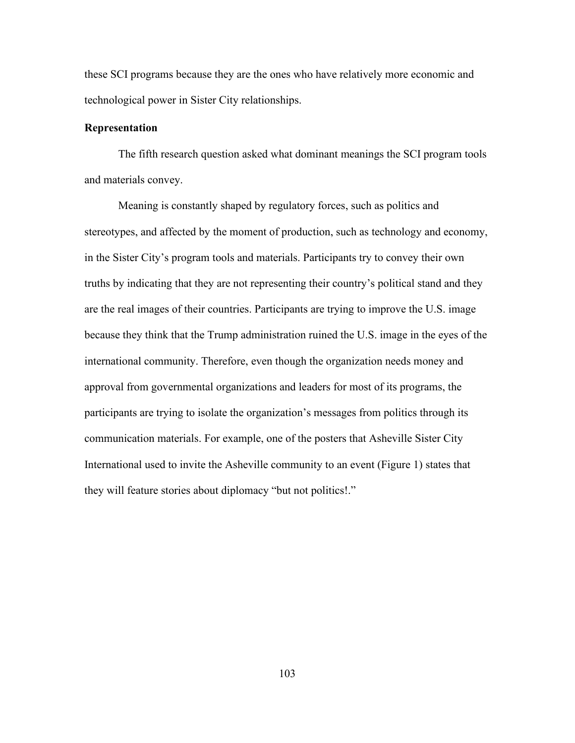these SCI programs because they are the ones who have relatively more economic and technological power in Sister City relationships.

### **Representation**

The fifth research question asked what dominant meanings the SCI program tools and materials convey.

Meaning is constantly shaped by regulatory forces, such as politics and stereotypes, and affected by the moment of production, such as technology and economy, in the Sister City's program tools and materials. Participants try to convey their own truths by indicating that they are not representing their country's political stand and they are the real images of their countries. Participants are trying to improve the U.S. image because they think that the Trump administration ruined the U.S. image in the eyes of the international community. Therefore, even though the organization needs money and approval from governmental organizations and leaders for most of its programs, the participants are trying to isolate the organization's messages from politics through its communication materials. For example, one of the posters that Asheville Sister City International used to invite the Asheville community to an event (Figure 1) states that they will feature stories about diplomacy "but not politics!."

103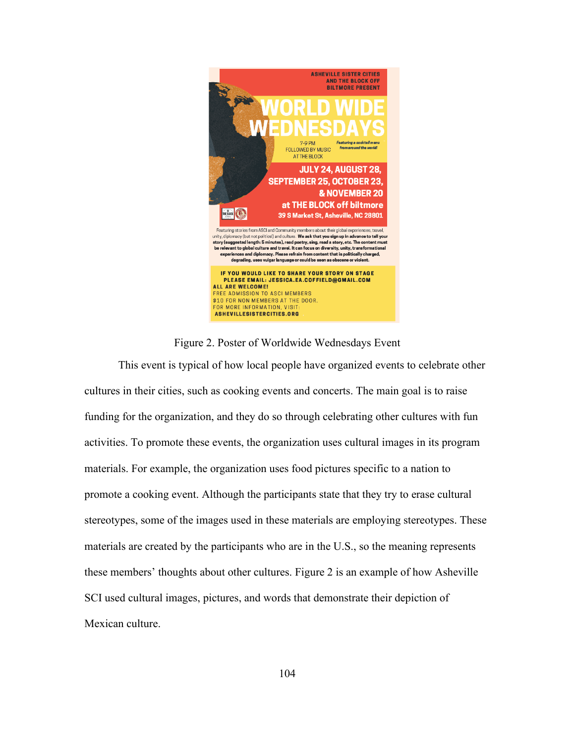

Figure 2. Poster of Worldwide Wednesdays Event

This event is typical of how local people have organized events to celebrate other cultures in their cities, such as cooking events and concerts. The main goal is to raise funding for the organization, and they do so through celebrating other cultures with fun activities. To promote these events, the organization uses cultural images in its program materials. For example, the organization uses food pictures specific to a nation to promote a cooking event. Although the participants state that they try to erase cultural stereotypes, some of the images used in these materials are employing stereotypes. These materials are created by the participants who are in the U.S., so the meaning represents these members' thoughts about other cultures. Figure 2 is an example of how Asheville SCI used cultural images, pictures, and words that demonstrate their depiction of Mexican culture.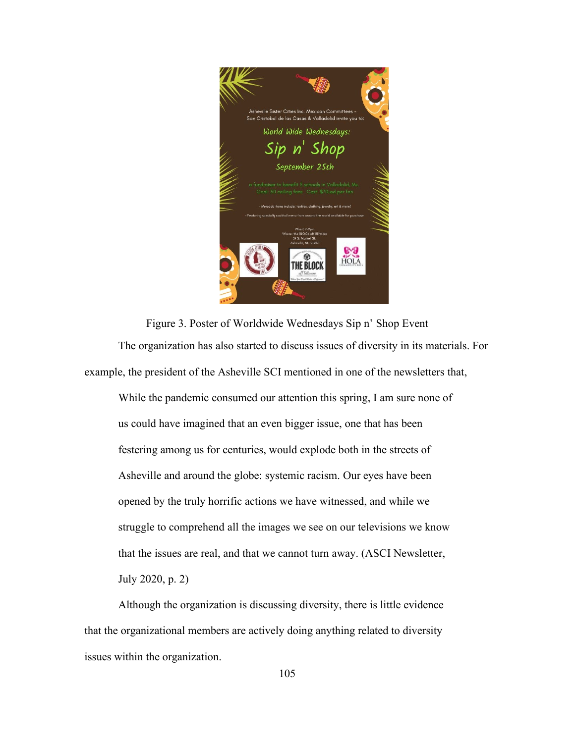

Figure 3. Poster of Worldwide Wednesdays Sip n' Shop Event The organization has also started to discuss issues of diversity in its materials. For example, the president of the Asheville SCI mentioned in one of the newsletters that,

While the pandemic consumed our attention this spring, I am sure none of us could have imagined that an even bigger issue, one that has been festering among us for centuries, would explode both in the streets of Asheville and around the globe: systemic racism. Our eyes have been opened by the truly horrific actions we have witnessed, and while we struggle to comprehend all the images we see on our televisions we know that the issues are real, and that we cannot turn away. (ASCI Newsletter, July 2020, p. 2)

Although the organization is discussing diversity, there is little evidence that the organizational members are actively doing anything related to diversity issues within the organization.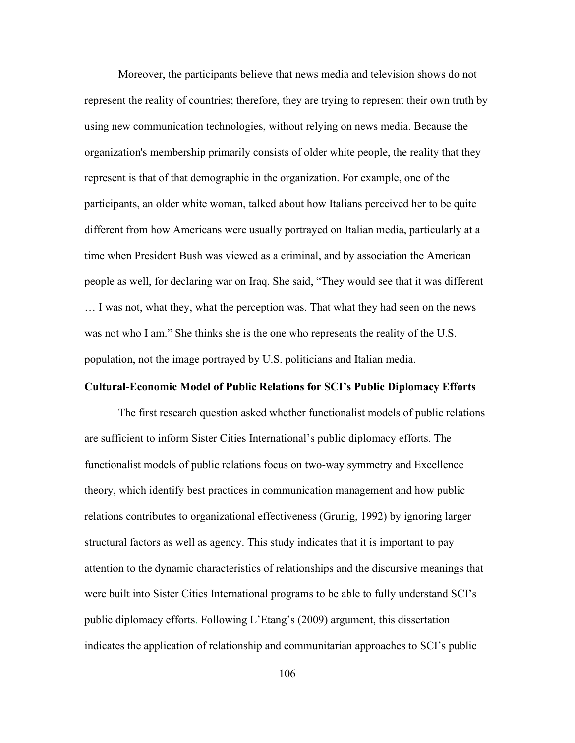Moreover, the participants believe that news media and television shows do not represent the reality of countries; therefore, they are trying to represent their own truth by using new communication technologies, without relying on news media. Because the organization's membership primarily consists of older white people, the reality that they represent is that of that demographic in the organization. For example, one of the participants, an older white woman, talked about how Italians perceived her to be quite different from how Americans were usually portrayed on Italian media, particularly at a time when President Bush was viewed as a criminal, and by association the American people as well, for declaring war on Iraq. She said, "They would see that it was different … I was not, what they, what the perception was. That what they had seen on the news was not who I am." She thinks she is the one who represents the reality of the U.S. population, not the image portrayed by U.S. politicians and Italian media.

#### **Cultural-Economic Model of Public Relations for SCI's Public Diplomacy Efforts**

The first research question asked whether functionalist models of public relations are sufficient to inform Sister Cities International's public diplomacy efforts. The functionalist models of public relations focus on two-way symmetry and Excellence theory, which identify best practices in communication management and how public relations contributes to organizational effectiveness (Grunig, 1992) by ignoring larger structural factors as well as agency. This study indicates that it is important to pay attention to the dynamic characteristics of relationships and the discursive meanings that were built into Sister Cities International programs to be able to fully understand SCI's public diplomacy efforts. Following L'Etang's (2009) argument, this dissertation indicates the application of relationship and communitarian approaches to SCI's public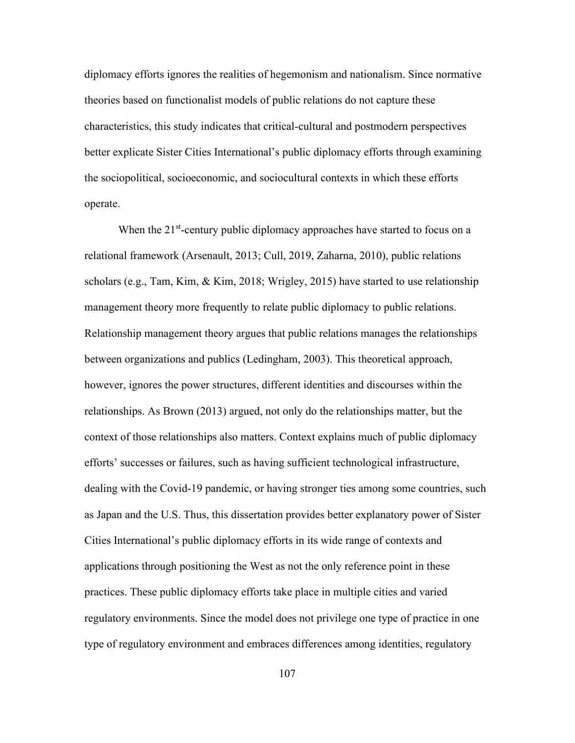diplomacy efforts ignores the realities of hegemonism and nationalism. Since normative theories based on functionalist models of public relations do not capture these characteristics, this study indicates that critical-cultural and postmodern perspectives better explicate Sister Cities International's public diplomacy efforts through examining the sociopolitical, socioeconomic, and sociocultural contexts in which these efforts operate.

When the  $21<sup>st</sup>$ -century public diplomacy approaches have started to focus on a relational framework (Arsenault, 2013; Cull, 2019, Zaharna, 2010), public relations scholars (e.g., Tam, Kim, & Kim, 2018; Wrigley, 2015) have started to use relationship management theory more frequently to relate public diplomacy to public relations. Relationship management theory argues that public relations manages the relationships between organizations and publics (Ledingham, 2003). This theoretical approach, however, ignores the power structures, different identities and discourses within the relationships. As Brown (2013) argued, not only do the relationships matter, but the context of those relationships also matters. Context explains much of public diplomacy efforts' successes or failures, such as having sufficient technological infrastructure, dealing with the Covid-19 pandemic, or having stronger ties among some countries, such as Japan and the U.S. Thus, this dissertation provides better explanatory power of Sister Cities International's public diplomacy efforts in its wide range of contexts and applications through positioning the West as not the only reference point in these practices. These public diplomacy efforts take place in multiple cities and varied regulatory environments. Since the model does not privilege one type of practice in one type of regulatory environment and embraces differences among identities, regulatory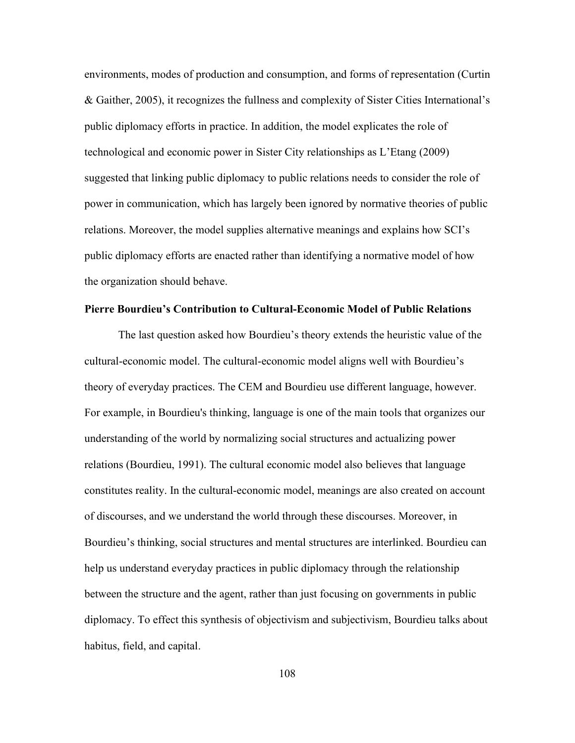environments, modes of production and consumption, and forms of representation (Curtin & Gaither, 2005), it recognizes the fullness and complexity of Sister Cities International's public diplomacy efforts in practice. In addition, the model explicates the role of technological and economic power in Sister City relationships as L'Etang (2009) suggested that linking public diplomacy to public relations needs to consider the role of power in communication, which has largely been ignored by normative theories of public relations. Moreover, the model supplies alternative meanings and explains how SCI's public diplomacy efforts are enacted rather than identifying a normative model of how the organization should behave.

## **Pierre Bourdieu's Contribution to Cultural-Economic Model of Public Relations**

The last question asked how Bourdieu's theory extends the heuristic value of the cultural-economic model. The cultural-economic model aligns well with Bourdieu's theory of everyday practices. The CEM and Bourdieu use different language, however. For example, in Bourdieu's thinking, language is one of the main tools that organizes our understanding of the world by normalizing social structures and actualizing power relations (Bourdieu, 1991). The cultural economic model also believes that language constitutes reality. In the cultural-economic model, meanings are also created on account of discourses, and we understand the world through these discourses. Moreover, in Bourdieu's thinking, social structures and mental structures are interlinked. Bourdieu can help us understand everyday practices in public diplomacy through the relationship between the structure and the agent, rather than just focusing on governments in public diplomacy. To effect this synthesis of objectivism and subjectivism, Bourdieu talks about habitus, field, and capital.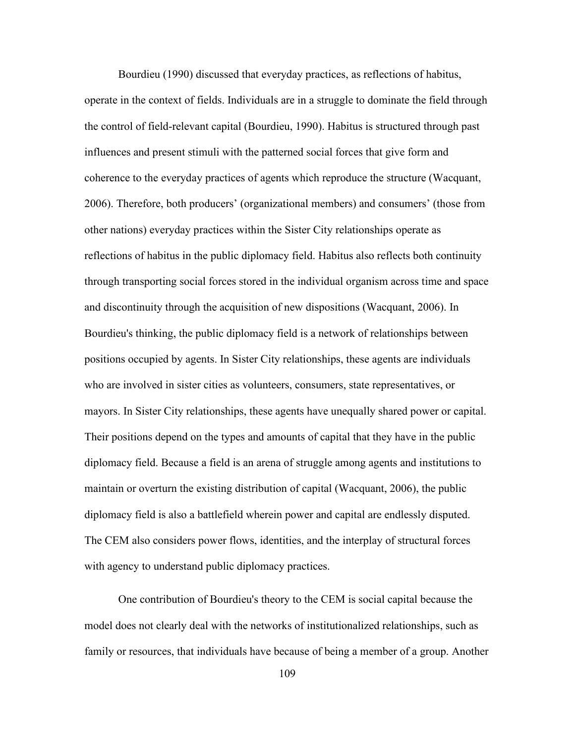Bourdieu (1990) discussed that everyday practices, as reflections of habitus, operate in the context of fields. Individuals are in a struggle to dominate the field through the control of field-relevant capital (Bourdieu, 1990). Habitus is structured through past influences and present stimuli with the patterned social forces that give form and coherence to the everyday practices of agents which reproduce the structure (Wacquant, 2006). Therefore, both producers' (organizational members) and consumers' (those from other nations) everyday practices within the Sister City relationships operate as reflections of habitus in the public diplomacy field. Habitus also reflects both continuity through transporting social forces stored in the individual organism across time and space and discontinuity through the acquisition of new dispositions (Wacquant, 2006). In Bourdieu's thinking, the public diplomacy field is a network of relationships between positions occupied by agents. In Sister City relationships, these agents are individuals who are involved in sister cities as volunteers, consumers, state representatives, or mayors. In Sister City relationships, these agents have unequally shared power or capital. Their positions depend on the types and amounts of capital that they have in the public diplomacy field. Because a field is an arena of struggle among agents and institutions to maintain or overturn the existing distribution of capital (Wacquant, 2006), the public diplomacy field is also a battlefield wherein power and capital are endlessly disputed. The CEM also considers power flows, identities, and the interplay of structural forces with agency to understand public diplomacy practices.

One contribution of Bourdieu's theory to the CEM is social capital because the model does not clearly deal with the networks of institutionalized relationships, such as family or resources, that individuals have because of being a member of a group. Another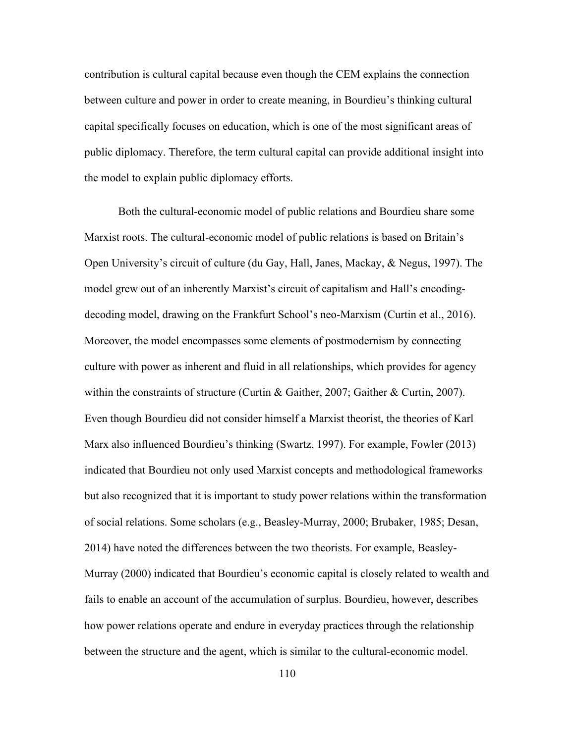contribution is cultural capital because even though the CEM explains the connection between culture and power in order to create meaning, in Bourdieu's thinking cultural capital specifically focuses on education, which is one of the most significant areas of public diplomacy. Therefore, the term cultural capital can provide additional insight into the model to explain public diplomacy efforts.

Both the cultural-economic model of public relations and Bourdieu share some Marxist roots. The cultural-economic model of public relations is based on Britain's Open University's circuit of culture (du Gay, Hall, Janes, Mackay, & Negus, 1997). The model grew out of an inherently Marxist's circuit of capitalism and Hall's encodingdecoding model, drawing on the Frankfurt School's neo-Marxism (Curtin et al., 2016). Moreover, the model encompasses some elements of postmodernism by connecting culture with power as inherent and fluid in all relationships, which provides for agency within the constraints of structure (Curtin & Gaither, 2007; Gaither & Curtin, 2007). Even though Bourdieu did not consider himself a Marxist theorist, the theories of Karl Marx also influenced Bourdieu's thinking (Swartz, 1997). For example, Fowler (2013) indicated that Bourdieu not only used Marxist concepts and methodological frameworks but also recognized that it is important to study power relations within the transformation of social relations. Some scholars (e.g., Beasley-Murray, 2000; Brubaker, 1985; Desan, 2014) have noted the differences between the two theorists. For example, Beasley-Murray (2000) indicated that Bourdieu's economic capital is closely related to wealth and fails to enable an account of the accumulation of surplus. Bourdieu, however, describes how power relations operate and endure in everyday practices through the relationship between the structure and the agent, which is similar to the cultural-economic model.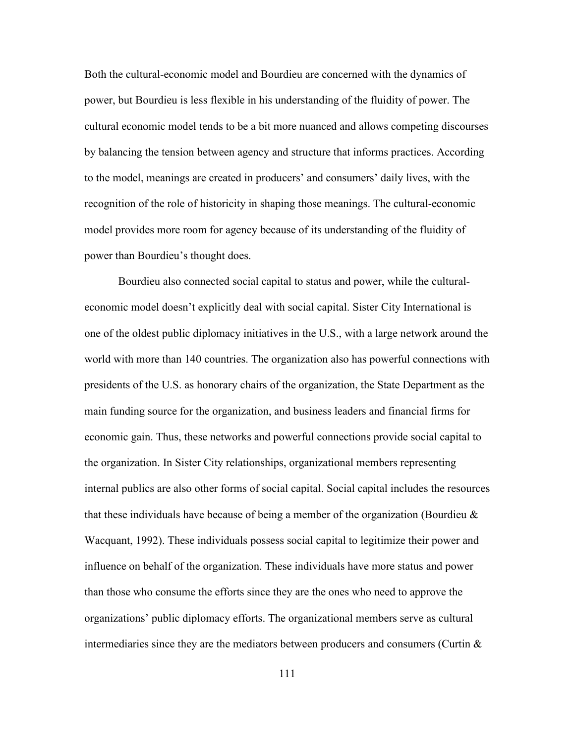Both the cultural-economic model and Bourdieu are concerned with the dynamics of power, but Bourdieu is less flexible in his understanding of the fluidity of power. The cultural economic model tends to be a bit more nuanced and allows competing discourses by balancing the tension between agency and structure that informs practices. According to the model, meanings are created in producers' and consumers' daily lives, with the recognition of the role of historicity in shaping those meanings. The cultural-economic model provides more room for agency because of its understanding of the fluidity of power than Bourdieu's thought does.

Bourdieu also connected social capital to status and power, while the culturaleconomic model doesn't explicitly deal with social capital. Sister City International is one of the oldest public diplomacy initiatives in the U.S., with a large network around the world with more than 140 countries. The organization also has powerful connections with presidents of the U.S. as honorary chairs of the organization, the State Department as the main funding source for the organization, and business leaders and financial firms for economic gain. Thus, these networks and powerful connections provide social capital to the organization. In Sister City relationships, organizational members representing internal publics are also other forms of social capital. Social capital includes the resources that these individuals have because of being a member of the organization (Bourdieu  $\&$ Wacquant, 1992). These individuals possess social capital to legitimize their power and influence on behalf of the organization. These individuals have more status and power than those who consume the efforts since they are the ones who need to approve the organizations' public diplomacy efforts. The organizational members serve as cultural intermediaries since they are the mediators between producers and consumers (Curtin  $\&$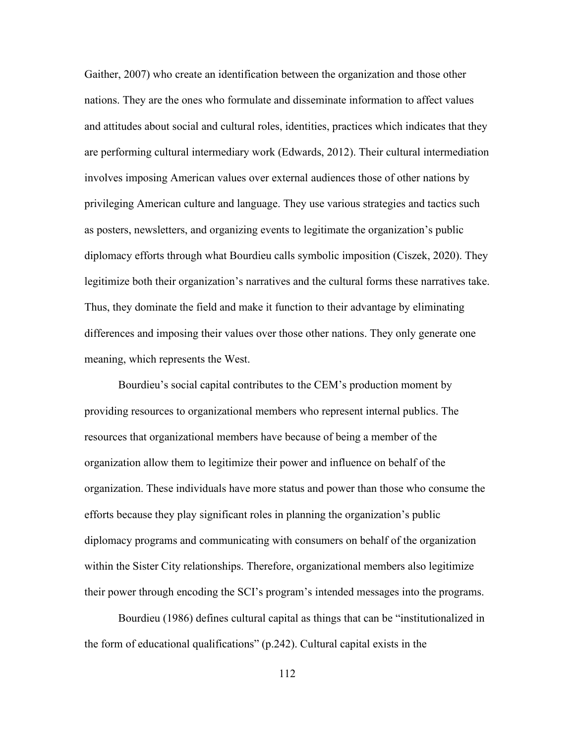Gaither, 2007) who create an identification between the organization and those other nations. They are the ones who formulate and disseminate information to affect values and attitudes about social and cultural roles, identities, practices which indicates that they are performing cultural intermediary work (Edwards, 2012). Their cultural intermediation involves imposing American values over external audiences those of other nations by privileging American culture and language. They use various strategies and tactics such as posters, newsletters, and organizing events to legitimate the organization's public diplomacy efforts through what Bourdieu calls symbolic imposition (Ciszek, 2020). They legitimize both their organization's narratives and the cultural forms these narratives take. Thus, they dominate the field and make it function to their advantage by eliminating differences and imposing their values over those other nations. They only generate one meaning, which represents the West.

Bourdieu's social capital contributes to the CEM's production moment by providing resources to organizational members who represent internal publics. The resources that organizational members have because of being a member of the organization allow them to legitimize their power and influence on behalf of the organization. These individuals have more status and power than those who consume the efforts because they play significant roles in planning the organization's public diplomacy programs and communicating with consumers on behalf of the organization within the Sister City relationships. Therefore, organizational members also legitimize their power through encoding the SCI's program's intended messages into the programs.

Bourdieu (1986) defines cultural capital as things that can be "institutionalized in the form of educational qualifications" (p.242). Cultural capital exists in the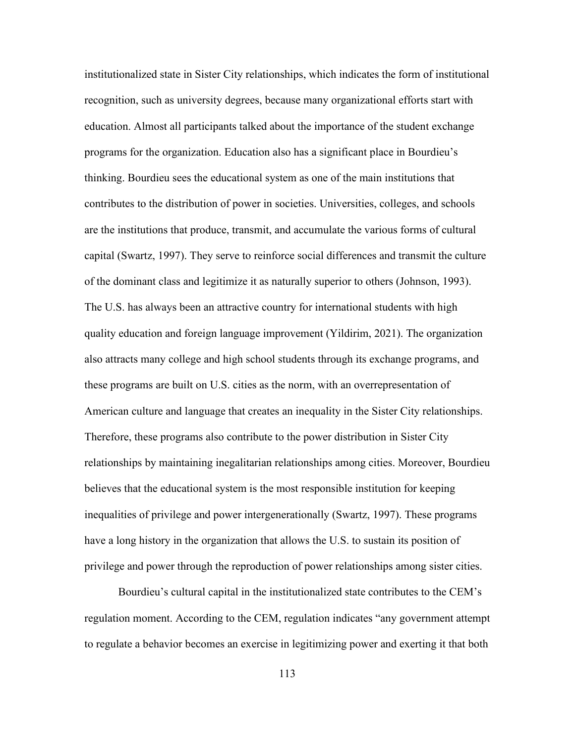institutionalized state in Sister City relationships, which indicates the form of institutional recognition, such as university degrees, because many organizational efforts start with education. Almost all participants talked about the importance of the student exchange programs for the organization. Education also has a significant place in Bourdieu's thinking. Bourdieu sees the educational system as one of the main institutions that contributes to the distribution of power in societies. Universities, colleges, and schools are the institutions that produce, transmit, and accumulate the various forms of cultural capital (Swartz, 1997). They serve to reinforce social differences and transmit the culture of the dominant class and legitimize it as naturally superior to others (Johnson, 1993). The U.S. has always been an attractive country for international students with high quality education and foreign language improvement (Yildirim, 2021). The organization also attracts many college and high school students through its exchange programs, and these programs are built on U.S. cities as the norm, with an overrepresentation of American culture and language that creates an inequality in the Sister City relationships. Therefore, these programs also contribute to the power distribution in Sister City relationships by maintaining inegalitarian relationships among cities. Moreover, Bourdieu believes that the educational system is the most responsible institution for keeping inequalities of privilege and power intergenerationally (Swartz, 1997). These programs have a long history in the organization that allows the U.S. to sustain its position of privilege and power through the reproduction of power relationships among sister cities.

Bourdieu's cultural capital in the institutionalized state contributes to the CEM's regulation moment. According to the CEM, regulation indicates "any government attempt to regulate a behavior becomes an exercise in legitimizing power and exerting it that both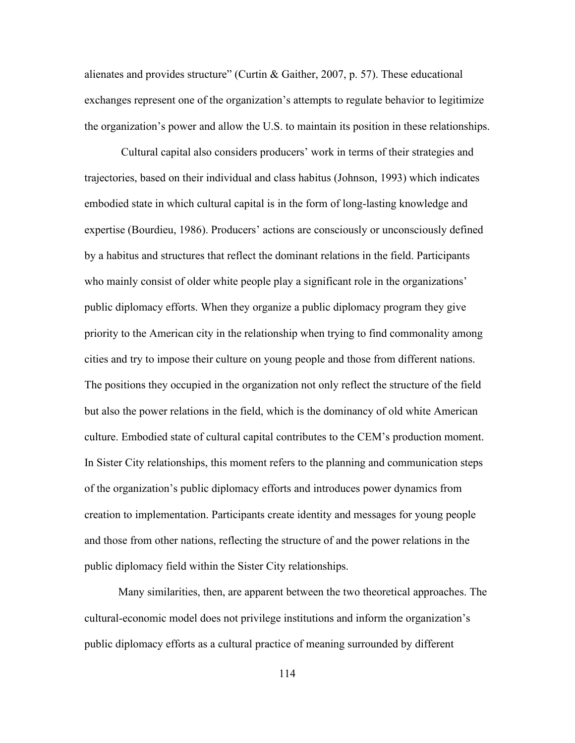alienates and provides structure" (Curtin & Gaither, 2007, p. 57). These educational exchanges represent one of the organization's attempts to regulate behavior to legitimize the organization's power and allow the U.S. to maintain its position in these relationships.

Cultural capital also considers producers' work in terms of their strategies and trajectories, based on their individual and class habitus (Johnson, 1993) which indicates embodied state in which cultural capital is in the form of long-lasting knowledge and expertise (Bourdieu, 1986). Producers' actions are consciously or unconsciously defined by a habitus and structures that reflect the dominant relations in the field. Participants who mainly consist of older white people play a significant role in the organizations' public diplomacy efforts. When they organize a public diplomacy program they give priority to the American city in the relationship when trying to find commonality among cities and try to impose their culture on young people and those from different nations. The positions they occupied in the organization not only reflect the structure of the field but also the power relations in the field, which is the dominancy of old white American culture. Embodied state of cultural capital contributes to the CEM's production moment. In Sister City relationships, this moment refers to the planning and communication steps of the organization's public diplomacy efforts and introduces power dynamics from creation to implementation. Participants create identity and messages for young people and those from other nations, reflecting the structure of and the power relations in the public diplomacy field within the Sister City relationships.

Many similarities, then, are apparent between the two theoretical approaches. The cultural-economic model does not privilege institutions and inform the organization's public diplomacy efforts as a cultural practice of meaning surrounded by different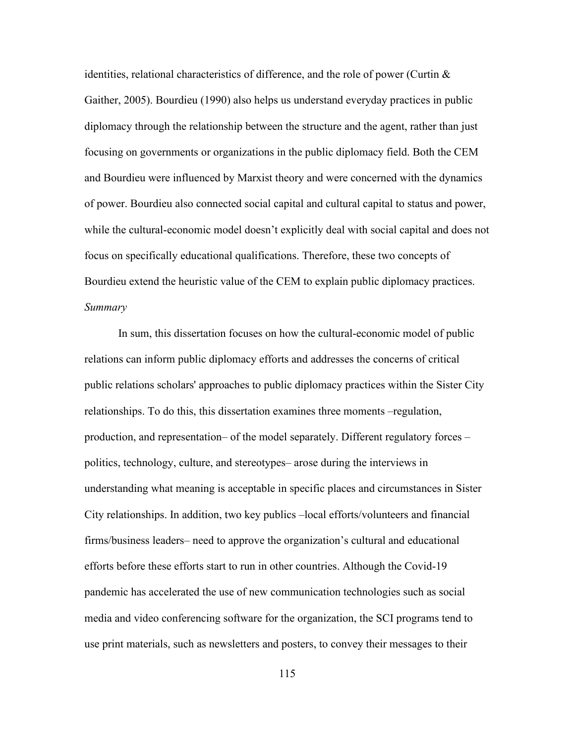identities, relational characteristics of difference, and the role of power (Curtin  $\&$ Gaither, 2005). Bourdieu (1990) also helps us understand everyday practices in public diplomacy through the relationship between the structure and the agent, rather than just focusing on governments or organizations in the public diplomacy field. Both the CEM and Bourdieu were influenced by Marxist theory and were concerned with the dynamics of power. Bourdieu also connected social capital and cultural capital to status and power, while the cultural-economic model doesn't explicitly deal with social capital and does not focus on specifically educational qualifications. Therefore, these two concepts of Bourdieu extend the heuristic value of the CEM to explain public diplomacy practices. *Summary*

In sum, this dissertation focuses on how the cultural-economic model of public relations can inform public diplomacy efforts and addresses the concerns of critical public relations scholars' approaches to public diplomacy practices within the Sister City relationships. To do this, this dissertation examines three moments –regulation, production, and representation– of the model separately. Different regulatory forces – politics, technology, culture, and stereotypes– arose during the interviews in understanding what meaning is acceptable in specific places and circumstances in Sister City relationships. In addition, two key publics –local efforts/volunteers and financial firms/business leaders– need to approve the organization's cultural and educational efforts before these efforts start to run in other countries. Although the Covid-19 pandemic has accelerated the use of new communication technologies such as social media and video conferencing software for the organization, the SCI programs tend to use print materials, such as newsletters and posters, to convey their messages to their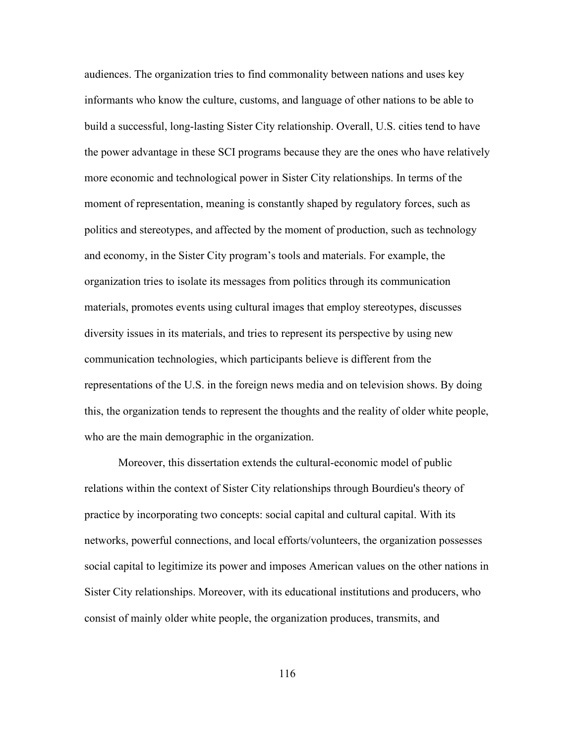audiences. The organization tries to find commonality between nations and uses key informants who know the culture, customs, and language of other nations to be able to build a successful, long-lasting Sister City relationship. Overall, U.S. cities tend to have the power advantage in these SCI programs because they are the ones who have relatively more economic and technological power in Sister City relationships. In terms of the moment of representation, meaning is constantly shaped by regulatory forces, such as politics and stereotypes, and affected by the moment of production, such as technology and economy, in the Sister City program's tools and materials. For example, the organization tries to isolate its messages from politics through its communication materials, promotes events using cultural images that employ stereotypes, discusses diversity issues in its materials, and tries to represent its perspective by using new communication technologies, which participants believe is different from the representations of the U.S. in the foreign news media and on television shows. By doing this, the organization tends to represent the thoughts and the reality of older white people, who are the main demographic in the organization.

Moreover, this dissertation extends the cultural-economic model of public relations within the context of Sister City relationships through Bourdieu's theory of practice by incorporating two concepts: social capital and cultural capital. With its networks, powerful connections, and local efforts/volunteers, the organization possesses social capital to legitimize its power and imposes American values on the other nations in Sister City relationships. Moreover, with its educational institutions and producers, who consist of mainly older white people, the organization produces, transmits, and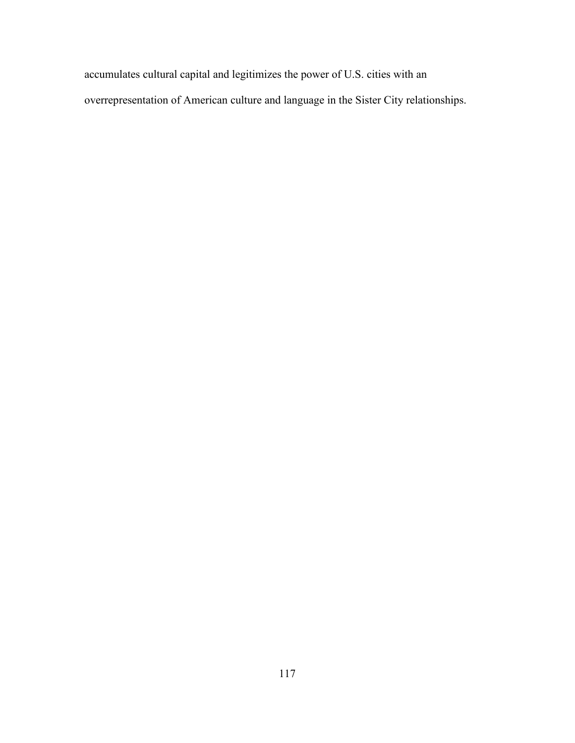accumulates cultural capital and legitimizes the power of U.S. cities with an overrepresentation of American culture and language in the Sister City relationships.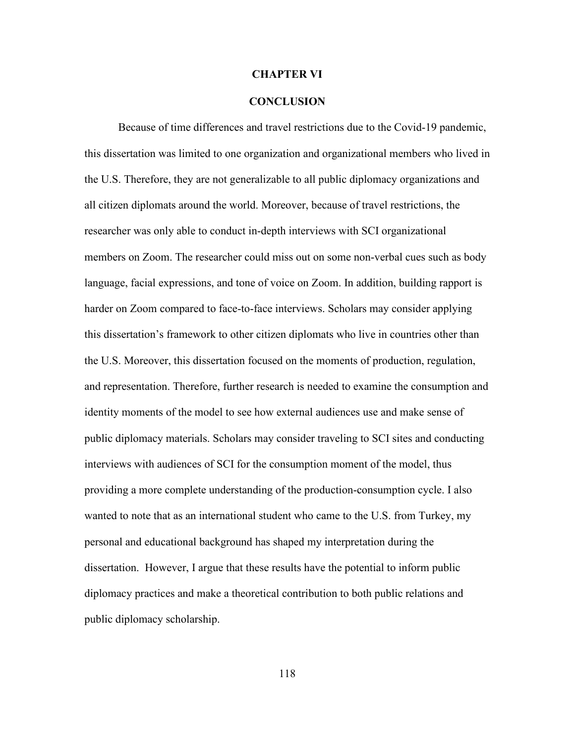#### **CHAPTER VI**

#### **CONCLUSION**

Because of time differences and travel restrictions due to the Covid-19 pandemic, this dissertation was limited to one organization and organizational members who lived in the U.S. Therefore, they are not generalizable to all public diplomacy organizations and all citizen diplomats around the world. Moreover, because of travel restrictions, the researcher was only able to conduct in-depth interviews with SCI organizational members on Zoom. The researcher could miss out on some non-verbal cues such as body language, facial expressions, and tone of voice on Zoom. In addition, building rapport is harder on Zoom compared to face-to-face interviews. Scholars may consider applying this dissertation's framework to other citizen diplomats who live in countries other than the U.S. Moreover, this dissertation focused on the moments of production, regulation, and representation. Therefore, further research is needed to examine the consumption and identity moments of the model to see how external audiences use and make sense of public diplomacy materials. Scholars may consider traveling to SCI sites and conducting interviews with audiences of SCI for the consumption moment of the model, thus providing a more complete understanding of the production-consumption cycle. I also wanted to note that as an international student who came to the U.S. from Turkey, my personal and educational background has shaped my interpretation during the dissertation. However, I argue that these results have the potential to inform public diplomacy practices and make a theoretical contribution to both public relations and public diplomacy scholarship.

118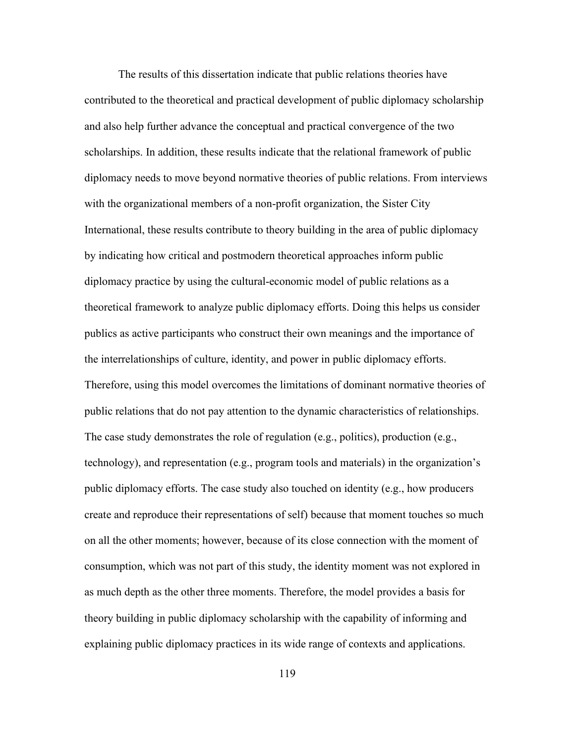The results of this dissertation indicate that public relations theories have contributed to the theoretical and practical development of public diplomacy scholarship and also help further advance the conceptual and practical convergence of the two scholarships. In addition, these results indicate that the relational framework of public diplomacy needs to move beyond normative theories of public relations. From interviews with the organizational members of a non-profit organization, the Sister City International, these results contribute to theory building in the area of public diplomacy by indicating how critical and postmodern theoretical approaches inform public diplomacy practice by using the cultural-economic model of public relations as a theoretical framework to analyze public diplomacy efforts. Doing this helps us consider publics as active participants who construct their own meanings and the importance of the interrelationships of culture, identity, and power in public diplomacy efforts. Therefore, using this model overcomes the limitations of dominant normative theories of public relations that do not pay attention to the dynamic characteristics of relationships. The case study demonstrates the role of regulation (e.g., politics), production (e.g., technology), and representation (e.g., program tools and materials) in the organization's public diplomacy efforts. The case study also touched on identity (e.g., how producers create and reproduce their representations of self) because that moment touches so much on all the other moments; however, because of its close connection with the moment of consumption, which was not part of this study, the identity moment was not explored in as much depth as the other three moments. Therefore, the model provides a basis for theory building in public diplomacy scholarship with the capability of informing and explaining public diplomacy practices in its wide range of contexts and applications.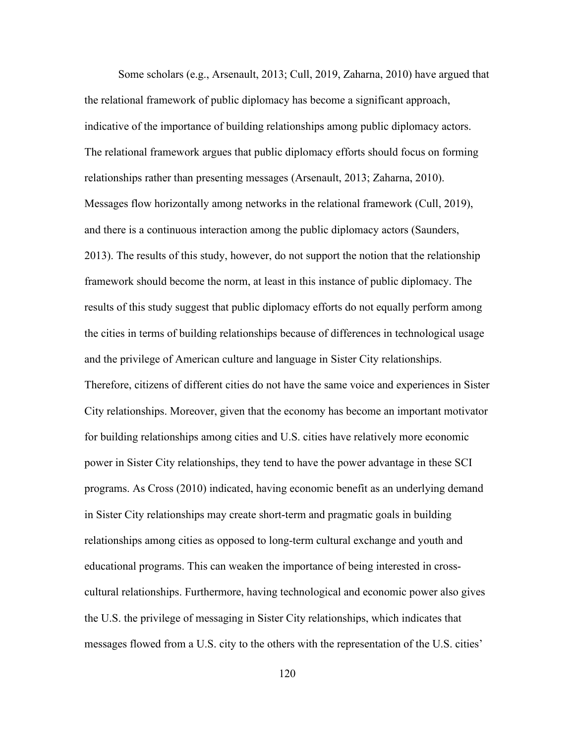Some scholars (e.g., Arsenault, 2013; Cull, 2019, Zaharna, 2010) have argued that the relational framework of public diplomacy has become a significant approach, indicative of the importance of building relationships among public diplomacy actors. The relational framework argues that public diplomacy efforts should focus on forming relationships rather than presenting messages (Arsenault, 2013; Zaharna, 2010). Messages flow horizontally among networks in the relational framework (Cull, 2019), and there is a continuous interaction among the public diplomacy actors (Saunders, 2013). The results of this study, however, do not support the notion that the relationship framework should become the norm, at least in this instance of public diplomacy. The results of this study suggest that public diplomacy efforts do not equally perform among the cities in terms of building relationships because of differences in technological usage and the privilege of American culture and language in Sister City relationships. Therefore, citizens of different cities do not have the same voice and experiences in Sister City relationships. Moreover, given that the economy has become an important motivator for building relationships among cities and U.S. cities have relatively more economic power in Sister City relationships, they tend to have the power advantage in these SCI programs. As Cross (2010) indicated, having economic benefit as an underlying demand in Sister City relationships may create short-term and pragmatic goals in building relationships among cities as opposed to long-term cultural exchange and youth and educational programs. This can weaken the importance of being interested in crosscultural relationships. Furthermore, having technological and economic power also gives the U.S. the privilege of messaging in Sister City relationships, which indicates that messages flowed from a U.S. city to the others with the representation of the U.S. cities'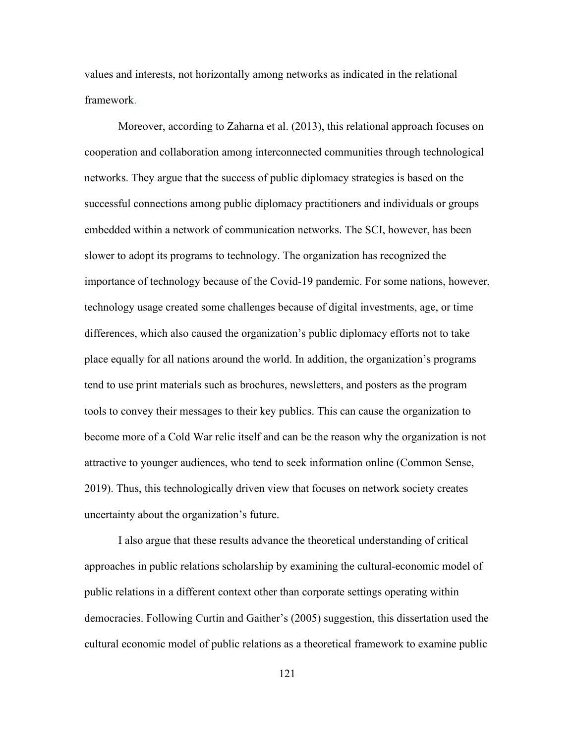values and interests, not horizontally among networks as indicated in the relational framework.

Moreover, according to Zaharna et al. (2013), this relational approach focuses on cooperation and collaboration among interconnected communities through technological networks. They argue that the success of public diplomacy strategies is based on the successful connections among public diplomacy practitioners and individuals or groups embedded within a network of communication networks. The SCI, however, has been slower to adopt its programs to technology. The organization has recognized the importance of technology because of the Covid-19 pandemic. For some nations, however, technology usage created some challenges because of digital investments, age, or time differences, which also caused the organization's public diplomacy efforts not to take place equally for all nations around the world. In addition, the organization's programs tend to use print materials such as brochures, newsletters, and posters as the program tools to convey their messages to their key publics. This can cause the organization to become more of a Cold War relic itself and can be the reason why the organization is not attractive to younger audiences, who tend to seek information online (Common Sense, 2019). Thus, this technologically driven view that focuses on network society creates uncertainty about the organization's future.

I also argue that these results advance the theoretical understanding of critical approaches in public relations scholarship by examining the cultural-economic model of public relations in a different context other than corporate settings operating within democracies. Following Curtin and Gaither's (2005) suggestion, this dissertation used the cultural economic model of public relations as a theoretical framework to examine public

121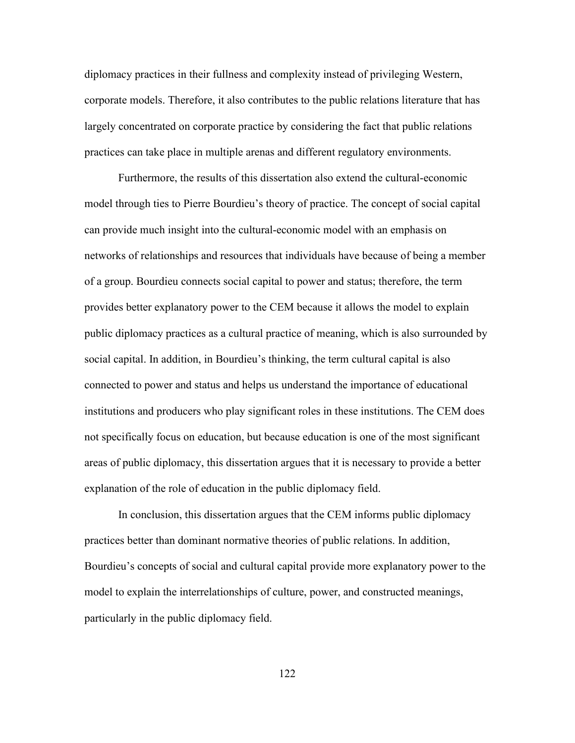diplomacy practices in their fullness and complexity instead of privileging Western, corporate models. Therefore, it also contributes to the public relations literature that has largely concentrated on corporate practice by considering the fact that public relations practices can take place in multiple arenas and different regulatory environments.

Furthermore, the results of this dissertation also extend the cultural-economic model through ties to Pierre Bourdieu's theory of practice. The concept of social capital can provide much insight into the cultural-economic model with an emphasis on networks of relationships and resources that individuals have because of being a member of a group. Bourdieu connects social capital to power and status; therefore, the term provides better explanatory power to the CEM because it allows the model to explain public diplomacy practices as a cultural practice of meaning, which is also surrounded by social capital. In addition, in Bourdieu's thinking, the term cultural capital is also connected to power and status and helps us understand the importance of educational institutions and producers who play significant roles in these institutions. The CEM does not specifically focus on education, but because education is one of the most significant areas of public diplomacy, this dissertation argues that it is necessary to provide a better explanation of the role of education in the public diplomacy field.

In conclusion, this dissertation argues that the CEM informs public diplomacy practices better than dominant normative theories of public relations. In addition, Bourdieu's concepts of social and cultural capital provide more explanatory power to the model to explain the interrelationships of culture, power, and constructed meanings, particularly in the public diplomacy field.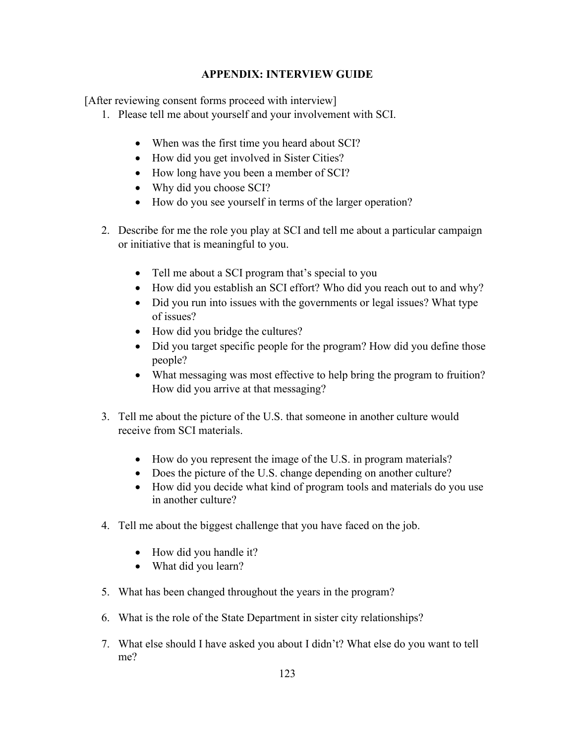# **APPENDIX: INTERVIEW GUIDE**

[After reviewing consent forms proceed with interview]

- 1. Please tell me about yourself and your involvement with SCI.
	- When was the first time you heard about SCI?
	- How did you get involved in Sister Cities?
	- How long have you been a member of SCI?
	- Why did you choose SCI?
	- How do you see yourself in terms of the larger operation?
- 2. Describe for me the role you play at SCI and tell me about a particular campaign or initiative that is meaningful to you.
	- Tell me about a SCI program that's special to you
	- How did you establish an SCI effort? Who did you reach out to and why?
	- Did you run into issues with the governments or legal issues? What type of issues?
	- How did you bridge the cultures?
	- Did you target specific people for the program? How did you define those people?
	- What messaging was most effective to help bring the program to fruition? How did you arrive at that messaging?
- 3. Tell me about the picture of the U.S. that someone in another culture would receive from SCI materials.
	- How do you represent the image of the U.S. in program materials?
	- Does the picture of the U.S. change depending on another culture?
	- How did you decide what kind of program tools and materials do you use in another culture?
- 4. Tell me about the biggest challenge that you have faced on the job.
	- How did you handle it?
	- What did you learn?
- 5. What has been changed throughout the years in the program?
- 6. What is the role of the State Department in sister city relationships?
- 7. What else should I have asked you about I didn't? What else do you want to tell me?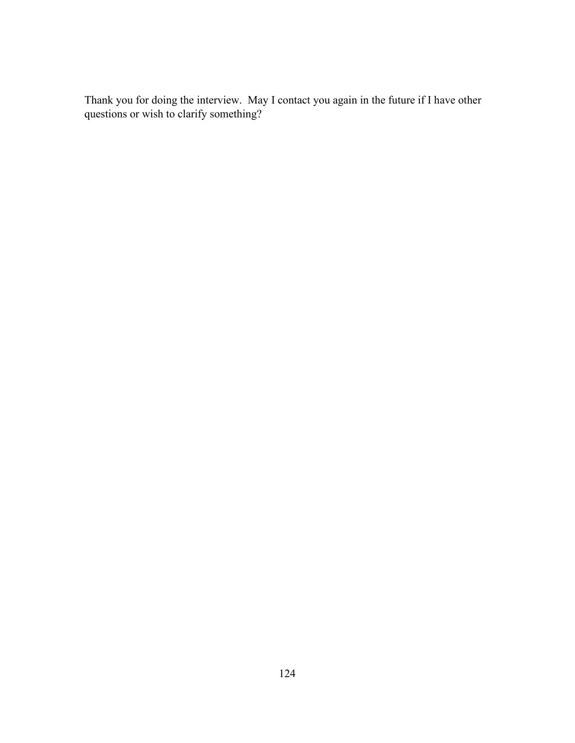Thank you for doing the interview. May I contact you again in the future if I have other questions or wish to clarify something?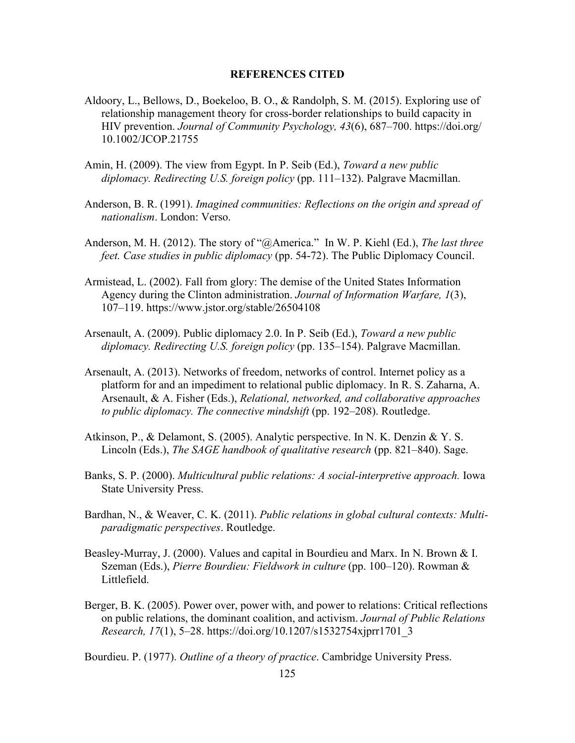#### **REFERENCES CITED**

- Aldoory, L., Bellows, D., Boekeloo, B. O., & Randolph, S. M. (2015). Exploring use of relationship management theory for cross-border relationships to build capacity in HIV prevention. *Journal of Community Psychology, 43*(6), 687–700. https://doi.org/ 10.1002/JCOP.21755
- Amin, H. (2009). The view from Egypt. In P. Seib (Ed.), *Toward a new public diplomacy. Redirecting U.S. foreign policy* (pp. 111–132). Palgrave Macmillan.
- Anderson, B. R. (1991). *Imagined communities: Reflections on the origin and spread of nationalism*. London: Verso.
- Anderson, M. H. (2012). The story of "@America." In W. P. Kiehl (Ed.), *The last three feet. Case studies in public diplomacy* (pp. 54-72). The Public Diplomacy Council.
- Armistead, L. (2002). Fall from glory: The demise of the United States Information Agency during the Clinton administration. *Journal of Information Warfare, 1*(3), 107–119. https://www.jstor.org/stable/26504108
- Arsenault, A. (2009). Public diplomacy 2.0. In P. Seib (Ed.), *Toward a new public diplomacy. Redirecting U.S. foreign policy* (pp. 135–154). Palgrave Macmillan.
- Arsenault, A. (2013). Networks of freedom, networks of control. Internet policy as a platform for and an impediment to relational public diplomacy. In R. S. Zaharna, A. Arsenault, & A. Fisher (Eds.), *Relational, networked, and collaborative approaches to public diplomacy. The connective mindshift* (pp. 192–208). Routledge.
- Atkinson, P., & Delamont, S. (2005). Analytic perspective. In N. K. Denzin & Y. S. Lincoln (Eds.), *The SAGE handbook of qualitative research* (pp. 821–840). Sage.
- Banks, S. P. (2000). *Multicultural public relations: A social-interpretive approach.* Iowa State University Press.
- Bardhan, N., & Weaver, C. K. (2011). *Public relations in global cultural contexts: Multiparadigmatic perspectives*. Routledge.
- Beasley-Murray, J. (2000). Values and capital in Bourdieu and Marx. In N. Brown & I. Szeman (Eds.), *Pierre Bourdieu: Fieldwork in culture* (pp. 100–120). Rowman & Littlefield.
- Berger, B. K. (2005). Power over, power with, and power to relations: Critical reflections on public relations, the dominant coalition, and activism. *Journal of Public Relations Research, 17*(1), 5–28. https://doi.org/10.1207/s1532754xjprr1701\_3

Bourdieu. P. (1977). *Outline of a theory of practice*. Cambridge University Press.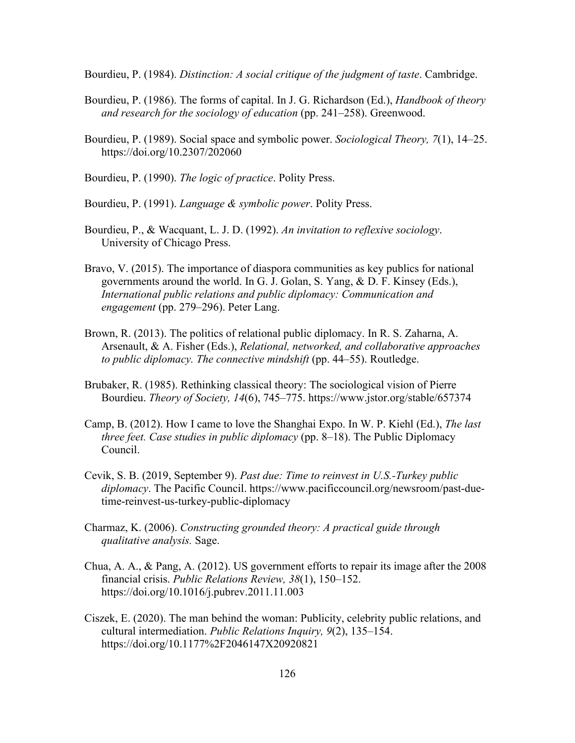Bourdieu, P. (1984). *Distinction: A social critique of the judgment of taste*. Cambridge.

- Bourdieu, P. (1986). The forms of capital. In J. G. Richardson (Ed.), *Handbook of theory and research for the sociology of education* (pp. 241–258). Greenwood.
- Bourdieu, P. (1989). Social space and symbolic power. *Sociological Theory, 7*(1), 14–25. https://doi.org/10.2307/202060
- Bourdieu, P. (1990). *The logic of practice*. Polity Press.
- Bourdieu, P. (1991). *Language & symbolic power*. Polity Press.
- Bourdieu, P., & Wacquant, L. J. D. (1992). *An invitation to reflexive sociology*. University of Chicago Press.
- Bravo, V. (2015). The importance of diaspora communities as key publics for national governments around the world. In G. J. Golan, S. Yang, & D. F. Kinsey (Eds.), *International public relations and public diplomacy: Communication and engagement* (pp. 279–296). Peter Lang.
- Brown, R. (2013). The politics of relational public diplomacy. In R. S. Zaharna, A. Arsenault, & A. Fisher (Eds.), *Relational, networked, and collaborative approaches to public diplomacy. The connective mindshift* (pp. 44–55). Routledge.
- Brubaker, R. (1985). Rethinking classical theory: The sociological vision of Pierre Bourdieu. *Theory of Society, 14*(6), 745–775. https://www.jstor.org/stable/657374
- Camp, B. (2012). How I came to love the Shanghai Expo. In W. P. Kiehl (Ed.), *The last three feet. Case studies in public diplomacy* (pp. 8–18). The Public Diplomacy Council.
- Cevik, S. B. (2019, September 9). *Past due: Time to reinvest in U.S.-Turkey public diplomacy*. The Pacific Council. https://www.pacificcouncil.org/newsroom/past-duetime-reinvest-us-turkey-public-diplomacy
- Charmaz, K. (2006). *Constructing grounded theory: A practical guide through qualitative analysis.* Sage.
- Chua, A. A., & Pang, A. (2012). US government efforts to repair its image after the 2008 financial crisis. *Public Relations Review, 38*(1), 150–152. https://doi.org/10.1016/j.pubrev.2011.11.003
- Ciszek, E. (2020). The man behind the woman: Publicity, celebrity public relations, and cultural intermediation. *Public Relations Inquiry, 9*(2), 135–154. https://doi.org/10.1177%2F2046147X20920821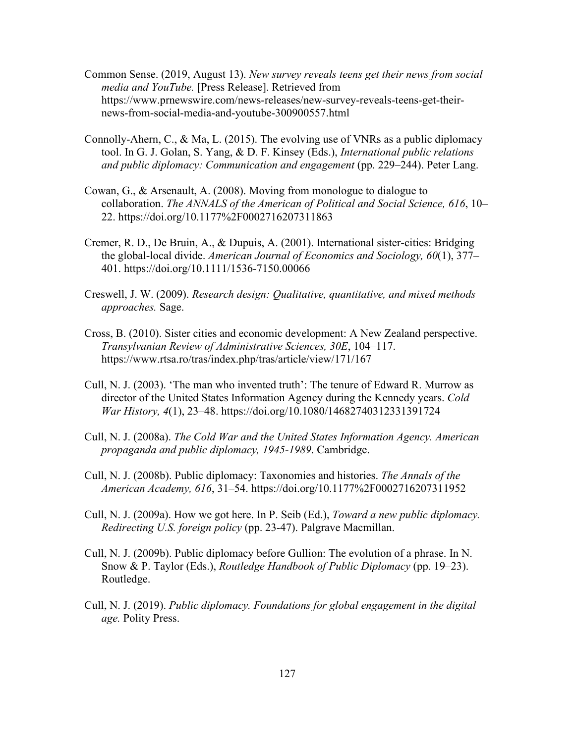- Common Sense. (2019, August 13). *New survey reveals teens get their news from social media and YouTube.* [Press Release]. Retrieved from https://www.prnewswire.com/news-releases/new-survey-reveals-teens-get-theirnews-from-social-media-and-youtube-300900557.html
- Connolly-Ahern, C., & Ma, L. (2015). The evolving use of VNRs as a public diplomacy tool. In G. J. Golan, S. Yang, & D. F. Kinsey (Eds.), *International public relations and public diplomacy: Communication and engagement* (pp. 229–244). Peter Lang.
- Cowan, G., & Arsenault, A. (2008). Moving from monologue to dialogue to collaboration. *The ANNALS of the American of Political and Social Science, 616*, 10– 22. https://doi.org/10.1177%2F0002716207311863
- Cremer, R. D., De Bruin, A., & Dupuis, A. (2001). International sister-cities: Bridging the global-local divide. *American Journal of Economics and Sociology, 60*(1), 377– 401. https://doi.org/10.1111/1536-7150.00066
- Creswell, J. W. (2009). *Research design: Qualitative, quantitative, and mixed methods approaches.* Sage.
- Cross, B. (2010). Sister cities and economic development: A New Zealand perspective. *Transylvanian Review of Administrative Sciences, 30E*, 104–117. https://www.rtsa.ro/tras/index.php/tras/article/view/171/167
- Cull, N. J. (2003). 'The man who invented truth': The tenure of Edward R. Murrow as director of the United States Information Agency during the Kennedy years. *Cold War History, 4*(1), 23–48. https://doi.org/10.1080/14682740312331391724
- Cull, N. J. (2008a). *The Cold War and the United States Information Agency. American propaganda and public diplomacy, 1945-1989*. Cambridge.
- Cull, N. J. (2008b). Public diplomacy: Taxonomies and histories. *The Annals of the American Academy, 616*, 31–54. https://doi.org/10.1177%2F0002716207311952
- Cull, N. J. (2009a). How we got here. In P. Seib (Ed.), *Toward a new public diplomacy. Redirecting U.S. foreign policy* (pp. 23-47). Palgrave Macmillan.
- Cull, N. J. (2009b). Public diplomacy before Gullion: The evolution of a phrase. In N. Snow & P. Taylor (Eds.), *Routledge Handbook of Public Diplomacy* (pp. 19–23). Routledge.
- Cull, N. J. (2019). *Public diplomacy. Foundations for global engagement in the digital age.* Polity Press.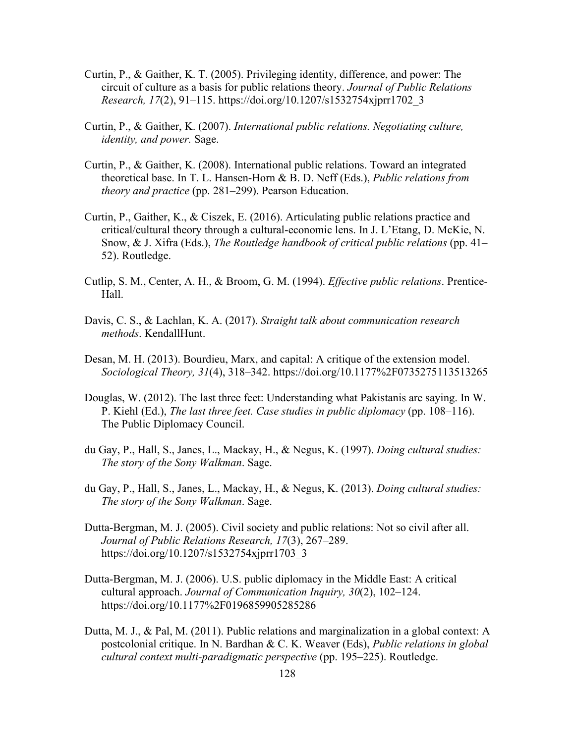- Curtin, P., & Gaither, K. T. (2005). Privileging identity, difference, and power: The circuit of culture as a basis for public relations theory. *Journal of Public Relations Research, 17*(2), 91–115. https://doi.org/10.1207/s1532754xjprr1702\_3
- Curtin, P., & Gaither, K. (2007). *International public relations. Negotiating culture, identity, and power.* Sage.
- Curtin, P., & Gaither, K. (2008). International public relations. Toward an integrated theoretical base. In T. L. Hansen-Horn & B. D. Neff (Eds.), *Public relations from theory and practice* (pp. 281–299). Pearson Education.
- Curtin, P., Gaither, K., & Ciszek, E. (2016). Articulating public relations practice and critical/cultural theory through a cultural-economic lens. In J. L'Etang, D. McKie, N. Snow, & J. Xifra (Eds.), *The Routledge handbook of critical public relations* (pp. 41– 52). Routledge.
- Cutlip, S. M., Center, A. H., & Broom, G. M. (1994). *Effective public relations*. Prentice-Hall.
- Davis, C. S., & Lachlan, K. A. (2017). *Straight talk about communication research methods*. KendallHunt.
- Desan, M. H. (2013). Bourdieu, Marx, and capital: A critique of the extension model. *Sociological Theory, 31*(4), 318–342. https://doi.org/10.1177%2F0735275113513265
- Douglas, W. (2012). The last three feet: Understanding what Pakistanis are saying. In W. P. Kiehl (Ed.), *The last three feet. Case studies in public diplomacy* (pp. 108–116). The Public Diplomacy Council.
- du Gay, P., Hall, S., Janes, L., Mackay, H., & Negus, K. (1997). *Doing cultural studies: The story of the Sony Walkman*. Sage.
- du Gay, P., Hall, S., Janes, L., Mackay, H., & Negus, K. (2013). *Doing cultural studies: The story of the Sony Walkman*. Sage.
- Dutta-Bergman, M. J. (2005). Civil society and public relations: Not so civil after all. *Journal of Public Relations Research, 17*(3), 267–289. https://doi.org/10.1207/s1532754xjprr1703\_3
- Dutta-Bergman, M. J. (2006). U.S. public diplomacy in the Middle East: A critical cultural approach. *Journal of Communication Inquiry, 30*(2), 102–124. https://doi.org/10.1177%2F0196859905285286
- Dutta, M. J., & Pal, M. (2011). Public relations and marginalization in a global context: A postcolonial critique. In N. Bardhan & C. K. Weaver (Eds), *Public relations in global cultural context multi-paradigmatic perspective* (pp. 195–225). Routledge.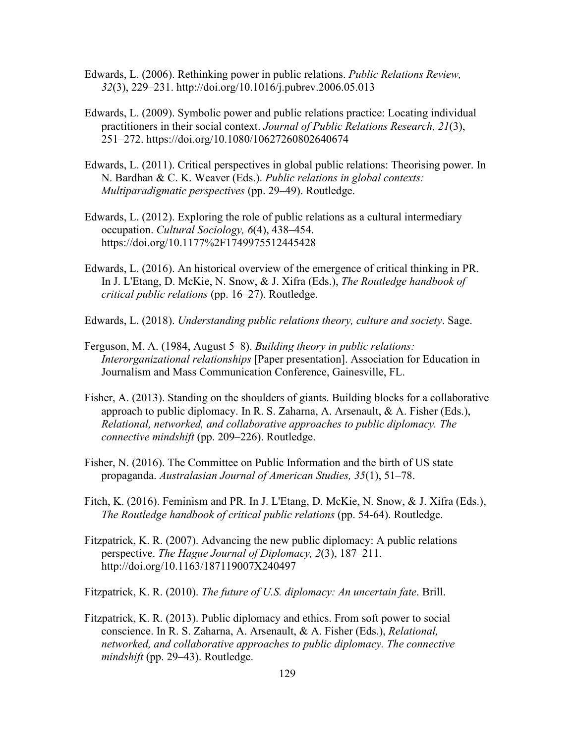- Edwards, L. (2006). Rethinking power in public relations. *Public Relations Review, 32*(3), 229–231. http://doi.org/10.1016/j.pubrev.2006.05.013
- Edwards, L. (2009). Symbolic power and public relations practice: Locating individual practitioners in their social context. *Journal of Public Relations Research, 21*(3), 251–272. https://doi.org/10.1080/10627260802640674
- Edwards, L. (2011). Critical perspectives in global public relations: Theorising power. In N. Bardhan & C. K. Weaver (Eds.). *Public relations in global contexts: Multiparadigmatic perspectives* (pp. 29–49). Routledge.
- Edwards, L. (2012). Exploring the role of public relations as a cultural intermediary occupation. *Cultural Sociology, 6*(4), 438–454. https://doi.org/10.1177%2F1749975512445428
- Edwards, L. (2016). An historical overview of the emergence of critical thinking in PR. In J. L'Etang, D. McKie, N. Snow, & J. Xifra (Eds.), *The Routledge handbook of critical public relations* (pp. 16–27). Routledge.
- Edwards, L. (2018). *Understanding public relations theory, culture and society*. Sage.
- Ferguson, M. A. (1984, August 5–8). *Building theory in public relations: Interorganizational relationships* [Paper presentation]. Association for Education in Journalism and Mass Communication Conference, Gainesville, FL.
- Fisher, A. (2013). Standing on the shoulders of giants. Building blocks for a collaborative approach to public diplomacy. In R. S. Zaharna, A. Arsenault, & A. Fisher (Eds.), *Relational, networked, and collaborative approaches to public diplomacy. The connective mindshift* (pp. 209–226). Routledge.
- Fisher, N. (2016). The Committee on Public Information and the birth of US state propaganda. *Australasian Journal of American Studies, 35*(1), 51–78.
- Fitch, K. (2016). Feminism and PR. In J. L'Etang, D. McKie, N. Snow, & J. Xifra (Eds.), *The Routledge handbook of critical public relations* (pp. 54-64). Routledge.
- Fitzpatrick, K. R. (2007). Advancing the new public diplomacy: A public relations perspective. *The Hague Journal of Diplomacy, 2*(3), 187–211. http://doi.org/10.1163/187119007X240497

Fitzpatrick, K. R. (2010). *The future of U.S. diplomacy: An uncertain fate*. Brill.

Fitzpatrick, K. R. (2013). Public diplomacy and ethics. From soft power to social conscience. In R. S. Zaharna, A. Arsenault, & A. Fisher (Eds.), *Relational, networked, and collaborative approaches to public diplomacy. The connective mindshift* (pp. 29–43). Routledge.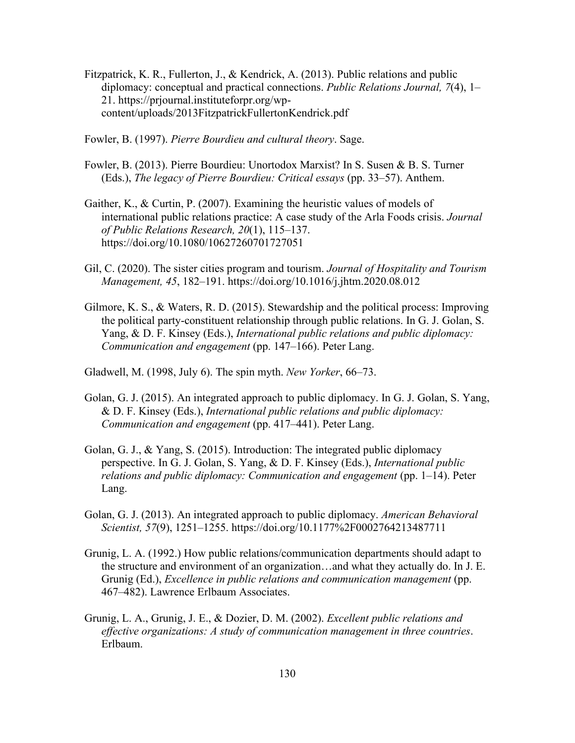- Fitzpatrick, K. R., Fullerton, J., & Kendrick, A. (2013). Public relations and public diplomacy: conceptual and practical connections. *Public Relations Journal, 7*(4), 1– 21. https://prjournal.instituteforpr.org/wpcontent/uploads/2013FitzpatrickFullertonKendrick.pdf
- Fowler, B. (1997). *Pierre Bourdieu and cultural theory*. Sage.
- Fowler, B. (2013). Pierre Bourdieu: Unortodox Marxist? In S. Susen & B. S. Turner (Eds.), *The legacy of Pierre Bourdieu: Critical essays* (pp. 33–57). Anthem.
- Gaither, K., & Curtin, P. (2007). Examining the heuristic values of models of international public relations practice: A case study of the Arla Foods crisis. *Journal of Public Relations Research, 20*(1), 115–137. https://doi.org/10.1080/10627260701727051
- Gil, C. (2020). The sister cities program and tourism. *Journal of Hospitality and Tourism Management, 45*, 182–191. https://doi.org/10.1016/j.jhtm.2020.08.012
- Gilmore, K. S., & Waters, R. D. (2015). Stewardship and the political process: Improving the political party-constituent relationship through public relations. In G. J. Golan, S. Yang, & D. F. Kinsey (Eds.), *International public relations and public diplomacy: Communication and engagement* (pp. 147–166). Peter Lang.

Gladwell, M. (1998, July 6). The spin myth. *New Yorker*, 66–73.

- Golan, G. J. (2015). An integrated approach to public diplomacy. In G. J. Golan, S. Yang, & D. F. Kinsey (Eds.), *International public relations and public diplomacy: Communication and engagement* (pp. 417–441). Peter Lang.
- Golan, G. J., & Yang, S. (2015). Introduction: The integrated public diplomacy perspective. In G. J. Golan, S. Yang, & D. F. Kinsey (Eds.), *International public relations and public diplomacy: Communication and engagement* (pp. 1–14). Peter Lang.
- Golan, G. J. (2013). An integrated approach to public diplomacy. *American Behavioral Scientist, 57*(9), 1251–1255. https://doi.org/10.1177%2F0002764213487711
- Grunig, L. A. (1992.) How public relations/communication departments should adapt to the structure and environment of an organization…and what they actually do. In J. E. Grunig (Ed.), *Excellence in public relations and communication management* (pp. 467–482). Lawrence Erlbaum Associates.
- Grunig, L. A., Grunig, J. E., & Dozier, D. M. (2002). *Excellent public relations and effective organizations: A study of communication management in three countries*. Erlbaum.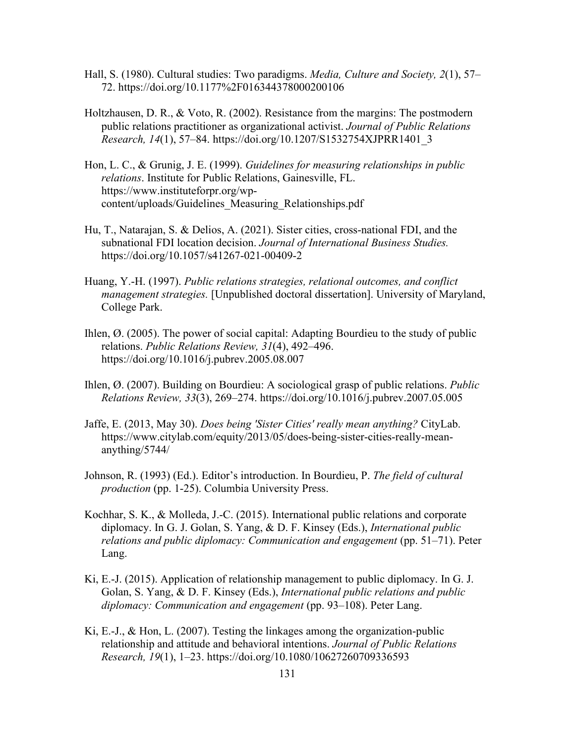- Hall, S. (1980). Cultural studies: Two paradigms. *Media, Culture and Society, 2*(1), 57– 72. https://doi.org/10.1177%2F016344378000200106
- Holtzhausen, D. R., & Voto, R. (2002). Resistance from the margins: The postmodern public relations practitioner as organizational activist. *Journal of Public Relations Research, 14*(1), 57–84. https://doi.org/10.1207/S1532754XJPRR1401\_3
- Hon, L. C., & Grunig, J. E. (1999). *Guidelines for measuring relationships in public relations*. Institute for Public Relations, Gainesville, FL. https://www.instituteforpr.org/wpcontent/uploads/Guidelines\_Measuring\_Relationships.pdf
- Hu, T., Natarajan, S. & Delios, A. (2021). Sister cities, cross-national FDI, and the subnational FDI location decision. *Journal of International Business Studies.* https://doi.org/10.1057/s41267-021-00409-2
- Huang, Y.-H. (1997). *Public relations strategies, relational outcomes, and conflict management strategies.* [Unpublished doctoral dissertation]. University of Maryland, College Park.
- Ihlen, Ø. (2005). The power of social capital: Adapting Bourdieu to the study of public relations. *Public Relations Review, 31*(4), 492–496. https://doi.org/10.1016/j.pubrev.2005.08.007
- Ihlen, Ø. (2007). Building on Bourdieu: A sociological grasp of public relations. *Public Relations Review, 33*(3), 269–274. https://doi.org/10.1016/j.pubrev.2007.05.005
- Jaffe, E. (2013, May 30). *Does being 'Sister Cities' really mean anything?* CityLab. https://www.citylab.com/equity/2013/05/does-being-sister-cities-really-meananything/5744/
- Johnson, R. (1993) (Ed.). Editor's introduction. In Bourdieu, P. *The field of cultural production* (pp. 1-25). Columbia University Press.
- Kochhar, S. K., & Molleda, J.-C. (2015). International public relations and corporate diplomacy. In G. J. Golan, S. Yang, & D. F. Kinsey (Eds.), *International public relations and public diplomacy: Communication and engagement* (pp. 51–71). Peter Lang.
- Ki, E.-J. (2015). Application of relationship management to public diplomacy. In G. J. Golan, S. Yang, & D. F. Kinsey (Eds.), *International public relations and public diplomacy: Communication and engagement* (pp. 93–108). Peter Lang.
- Ki, E.-J., & Hon, L. (2007). Testing the linkages among the organization-public relationship and attitude and behavioral intentions. *Journal of Public Relations Research, 19*(1), 1–23. https://doi.org/10.1080/10627260709336593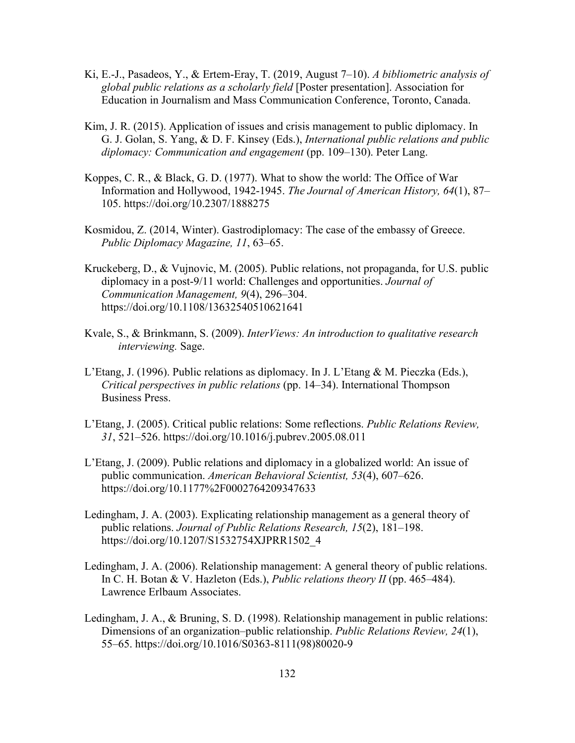- Ki, E.-J., Pasadeos, Y., & Ertem-Eray, T. (2019, August 7–10). *A bibliometric analysis of global public relations as a scholarly field* [Poster presentation]. Association for Education in Journalism and Mass Communication Conference, Toronto, Canada.
- Kim, J. R. (2015). Application of issues and crisis management to public diplomacy. In G. J. Golan, S. Yang, & D. F. Kinsey (Eds.), *International public relations and public diplomacy: Communication and engagement* (pp. 109–130). Peter Lang.
- Koppes, C. R., & Black, G. D. (1977). What to show the world: The Office of War Information and Hollywood, 1942-1945. *The Journal of American History, 64*(1), 87– 105. https://doi.org/10.2307/1888275
- Kosmidou, Z. (2014, Winter). Gastrodiplomacy: The case of the embassy of Greece. *Public Diplomacy Magazine, 11*, 63–65.
- Kruckeberg, D., & Vujnovic, M. (2005). Public relations, not propaganda, for U.S. public diplomacy in a post-9/11 world: Challenges and opportunities. *Journal of Communication Management, 9*(4), 296–304. https://doi.org/10.1108/13632540510621641
- Kvale, S., & Brinkmann, S. (2009). *InterViews: An introduction to qualitative research interviewing.* Sage.
- L'Etang, J. (1996). Public relations as diplomacy. In J. L'Etang & M. Pieczka (Eds.), *Critical perspectives in public relations* (pp. 14–34). International Thompson Business Press.
- L'Etang, J. (2005). Critical public relations: Some reflections. *Public Relations Review, 31*, 521–526. https://doi.org/10.1016/j.pubrev.2005.08.011
- L'Etang, J. (2009). Public relations and diplomacy in a globalized world: An issue of public communication. *American Behavioral Scientist, 53*(4), 607–626. https://doi.org/10.1177%2F0002764209347633
- Ledingham, J. A. (2003). Explicating relationship management as a general theory of public relations. *Journal of Public Relations Research, 15*(2), 181–198. https://doi.org/10.1207/S1532754XJPRR1502\_4
- Ledingham, J. A. (2006). Relationship management: A general theory of public relations. In C. H. Botan & V. Hazleton (Eds.), *Public relations theory II* (pp. 465–484). Lawrence Erlbaum Associates.
- Ledingham, J. A., & Bruning, S. D. (1998). Relationship management in public relations: Dimensions of an organization–public relationship. *Public Relations Review, 24*(1), 55–65. https://doi.org/10.1016/S0363-8111(98)80020-9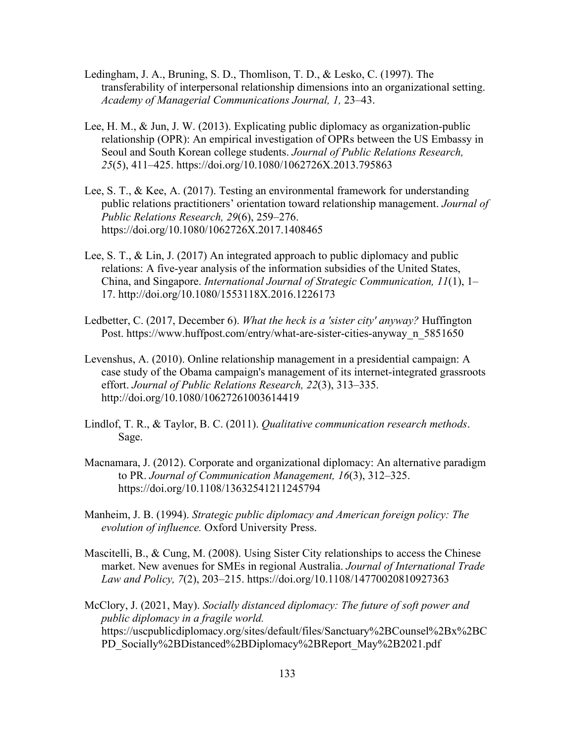- Ledingham, J. A., Bruning, S. D., Thomlison, T. D., & Lesko, C. (1997). The transferability of interpersonal relationship dimensions into an organizational setting. *Academy of Managerial Communications Journal, 1,* 23–43.
- Lee, H. M., & Jun, J. W. (2013). Explicating public diplomacy as organization-public relationship (OPR): An empirical investigation of OPRs between the US Embassy in Seoul and South Korean college students. *Journal of Public Relations Research, 25*(5), 411–425. https://doi.org/10.1080/1062726X.2013.795863
- Lee, S. T., & Kee, A. (2017). Testing an environmental framework for understanding public relations practitioners' orientation toward relationship management. *Journal of Public Relations Research, 29*(6), 259–276. https://doi.org/10.1080/1062726X.2017.1408465
- Lee, S. T., & Lin, J. (2017) An integrated approach to public diplomacy and public relations: A five-year analysis of the information subsidies of the United States, China, and Singapore. *International Journal of Strategic Communication, 11*(1), 1– 17. http://doi.org/10.1080/1553118X.2016.1226173
- Ledbetter, C. (2017, December 6). *What the heck is a 'sister city' anyway?* Huffington Post. https://www.huffpost.com/entry/what-are-sister-cities-anyway\_n\_5851650
- Levenshus, A. (2010). Online relationship management in a presidential campaign: A case study of the Obama campaign's management of its internet-integrated grassroots effort. *Journal of Public Relations Research, 22*(3), 313–335. http://doi.org/10.1080/10627261003614419
- Lindlof, T. R., & Taylor, B. C. (2011). *Qualitative communication research methods*. Sage.
- Macnamara, J. (2012). Corporate and organizational diplomacy: An alternative paradigm to PR. *Journal of Communication Management, 16*(3), 312–325. https://doi.org/10.1108/13632541211245794
- Manheim, J. B. (1994). *Strategic public diplomacy and American foreign policy: The evolution of influence.* Oxford University Press.
- Mascitelli, B., & Cung, M. (2008). Using Sister City relationships to access the Chinese market. New avenues for SMEs in regional Australia. *Journal of International Trade Law and Policy, 7*(2), 203–215. https://doi.org/10.1108/14770020810927363
- McClory, J. (2021, May). *Socially distanced diplomacy: The future of soft power and public diplomacy in a fragile world.* https://uscpublicdiplomacy.org/sites/default/files/Sanctuary%2BCounsel%2Bx%2BC PD\_Socially%2BDistanced%2BDiplomacy%2BReport\_May%2B2021.pdf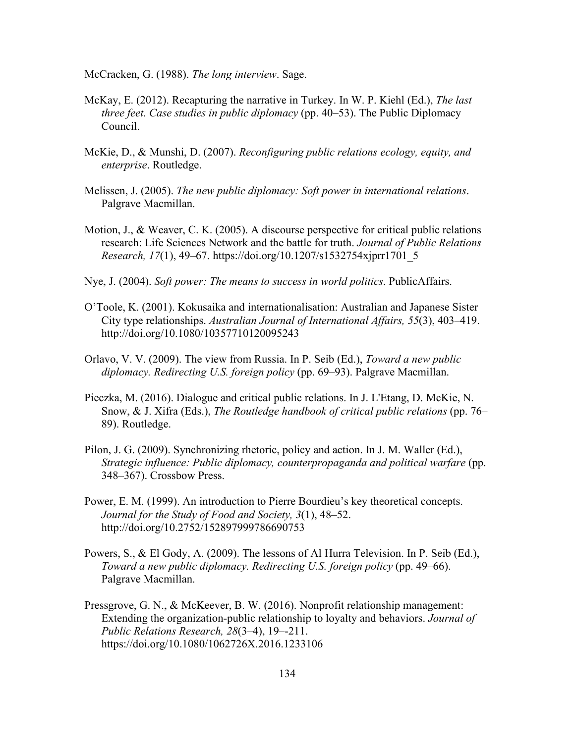McCracken, G. (1988). *The long interview*. Sage.

- McKay, E. (2012). Recapturing the narrative in Turkey. In W. P. Kiehl (Ed.), *The last three feet. Case studies in public diplomacy* (pp. 40–53). The Public Diplomacy Council.
- McKie, D., & Munshi, D. (2007). *Reconfiguring public relations ecology, equity, and enterprise*. Routledge.
- Melissen, J. (2005). *The new public diplomacy: Soft power in international relations*. Palgrave Macmillan.
- Motion, J., & Weaver, C. K. (2005). A discourse perspective for critical public relations research: Life Sciences Network and the battle for truth. *Journal of Public Relations Research, 17*(1), 49–67. https://doi.org/10.1207/s1532754xjprr1701\_5
- Nye, J. (2004). *Soft power: The means to success in world politics*. PublicAffairs.
- O'Toole, K. (2001). Kokusaika and internationalisation: Australian and Japanese Sister City type relationships. *Australian Journal of International Affairs, 55*(3), 403–419. http://doi.org/10.1080/10357710120095243
- Orlavo, V. V. (2009). The view from Russia. In P. Seib (Ed.), *Toward a new public diplomacy. Redirecting U.S. foreign policy* (pp. 69–93). Palgrave Macmillan.
- Pieczka, M. (2016). Dialogue and critical public relations. In J. L'Etang, D. McKie, N. Snow, & J. Xifra (Eds.), *The Routledge handbook of critical public relations* (pp. 76– 89). Routledge.
- Pilon, J. G. (2009). Synchronizing rhetoric, policy and action. In J. M. Waller (Ed.), *Strategic influence: Public diplomacy, counterpropaganda and political warfare* (pp. 348–367). Crossbow Press.
- Power, E. M. (1999). An introduction to Pierre Bourdieu's key theoretical concepts. *Journal for the Study of Food and Society, 3*(1), 48–52. http://doi.org/10.2752/152897999786690753
- Powers, S., & El Gody, A. (2009). The lessons of Al Hurra Television. In P. Seib (Ed.), *Toward a new public diplomacy. Redirecting U.S. foreign policy* (pp. 49–66). Palgrave Macmillan.
- Pressgrove, G. N., & McKeever, B. W. (2016). Nonprofit relationship management: Extending the organization-public relationship to loyalty and behaviors. *Journal of Public Relations Research, 28*(3–4), 19–-211. https://doi.org/10.1080/1062726X.2016.1233106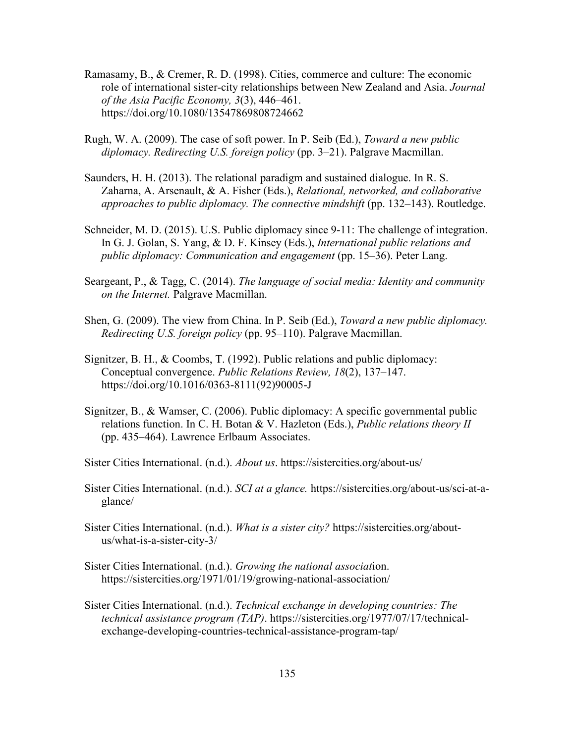- Ramasamy, B., & Cremer, R. D. (1998). Cities, commerce and culture: The economic role of international sister-city relationships between New Zealand and Asia. *Journal of the Asia Pacific Economy, 3*(3), 446–461. https://doi.org/10.1080/13547869808724662
- Rugh, W. A. (2009). The case of soft power. In P. Seib (Ed.), *Toward a new public diplomacy. Redirecting U.S. foreign policy* (pp. 3–21). Palgrave Macmillan.
- Saunders, H. H. (2013). The relational paradigm and sustained dialogue. In R. S. Zaharna, A. Arsenault, & A. Fisher (Eds.), *Relational, networked, and collaborative approaches to public diplomacy. The connective mindshift* (pp. 132–143). Routledge.
- Schneider, M. D. (2015). U.S. Public diplomacy since 9-11: The challenge of integration. In G. J. Golan, S. Yang, & D. F. Kinsey (Eds.), *International public relations and public diplomacy: Communication and engagement* (pp. 15–36). Peter Lang.
- Seargeant, P., & Tagg, C. (2014). *The language of social media: Identity and community on the Internet.* Palgrave Macmillan.
- Shen, G. (2009). The view from China. In P. Seib (Ed.), *Toward a new public diplomacy. Redirecting U.S. foreign policy* (pp. 95–110). Palgrave Macmillan.
- Signitzer, B. H., & Coombs, T. (1992). Public relations and public diplomacy: Conceptual convergence. *Public Relations Review, 18*(2), 137–147. https://doi.org/10.1016/0363-8111(92)90005-J
- Signitzer, B., & Wamser, C. (2006). Public diplomacy: A specific governmental public relations function. In C. H. Botan & V. Hazleton (Eds.), *Public relations theory II* (pp. 435–464). Lawrence Erlbaum Associates.

Sister Cities International. (n.d.). *About us*. https://sistercities.org/about-us/

- Sister Cities International. (n.d.). *SCI at a glance.* https://sistercities.org/about-us/sci-at-aglance/
- Sister Cities International. (n.d.). *What is a sister city?* https://sistercities.org/aboutus/what-is-a-sister-city-3/
- Sister Cities International. (n.d.). *Growing the national associat*ion. https://sistercities.org/1971/01/19/growing-national-association/
- Sister Cities International. (n.d.). *Technical exchange in developing countries: The technical assistance program (TAP)*. https://sistercities.org/1977/07/17/technicalexchange-developing-countries-technical-assistance-program-tap/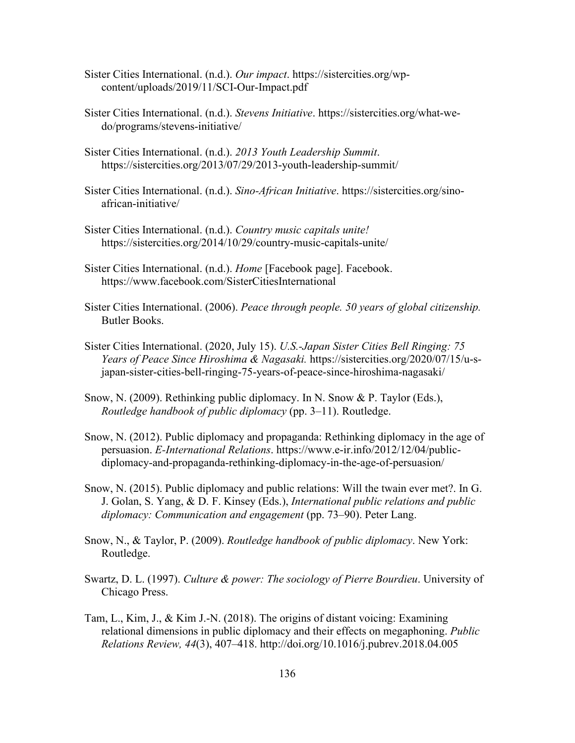- Sister Cities International. (n.d.). *Our impact*. https://sistercities.org/wpcontent/uploads/2019/11/SCI-Our-Impact.pdf
- Sister Cities International. (n.d.). *Stevens Initiative*. https://sistercities.org/what-wedo/programs/stevens-initiative/
- Sister Cities International. (n.d.). *2013 Youth Leadership Summit*. https://sistercities.org/2013/07/29/2013-youth-leadership-summit/
- Sister Cities International. (n.d.). *Sino-African Initiative*. https://sistercities.org/sinoafrican-initiative/
- Sister Cities International. (n.d.). *Country music capitals unite!* https://sistercities.org/2014/10/29/country-music-capitals-unite/
- Sister Cities International. (n.d.). *Home* [Facebook page]. Facebook. https://www.facebook.com/SisterCitiesInternational
- Sister Cities International. (2006). *Peace through people. 50 years of global citizenship.* Butler Books.
- Sister Cities International. (2020, July 15). *U.S.-Japan Sister Cities Bell Ringing: 75 Years of Peace Since Hiroshima & Nagasaki.* https://sistercities.org/2020/07/15/u-sjapan-sister-cities-bell-ringing-75-years-of-peace-since-hiroshima-nagasaki/
- Snow, N. (2009). Rethinking public diplomacy. In N. Snow & P. Taylor (Eds.), *Routledge handbook of public diplomacy* (pp. 3–11). Routledge.
- Snow, N. (2012). Public diplomacy and propaganda: Rethinking diplomacy in the age of persuasion. *E-International Relations*. https://www.e-ir.info/2012/12/04/publicdiplomacy-and-propaganda-rethinking-diplomacy-in-the-age-of-persuasion/
- Snow, N. (2015). Public diplomacy and public relations: Will the twain ever met?. In G. J. Golan, S. Yang, & D. F. Kinsey (Eds.), *International public relations and public diplomacy: Communication and engagement* (pp. 73–90). Peter Lang.
- Snow, N., & Taylor, P. (2009). *Routledge handbook of public diplomacy*. New York: Routledge.
- Swartz, D. L. (1997). *Culture & power: The sociology of Pierre Bourdieu*. University of Chicago Press.
- Tam, L., Kim, J., & Kim J.-N. (2018). The origins of distant voicing: Examining relational dimensions in public diplomacy and their effects on megaphoning. *Public Relations Review, 44*(3), 407–418. http://doi.org/10.1016/j.pubrev.2018.04.005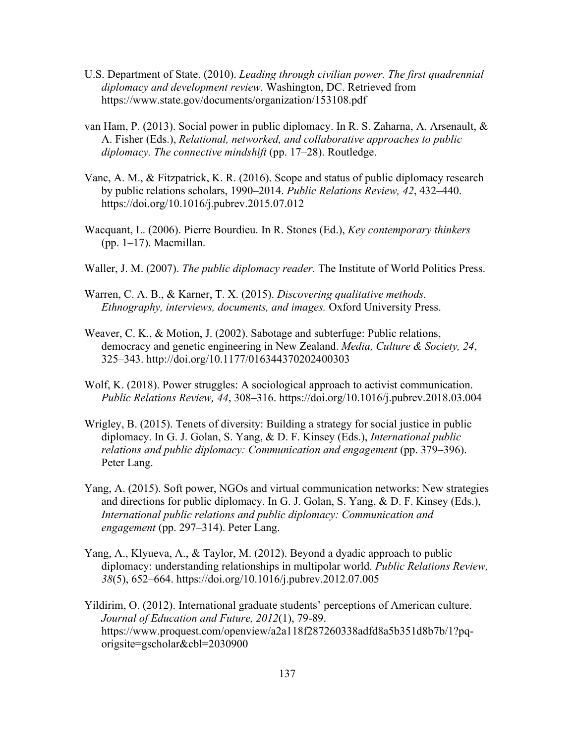- U.S. Department of State. (2010). *Leading through civilian power. The first quadrennial diplomacy and development review.* Washington, DC. Retrieved from https://www.state.gov/documents/organization/153108.pdf
- van Ham, P. (2013). Social power in public diplomacy. In R. S. Zaharna, A. Arsenault, & A. Fisher (Eds.), *Relational, networked, and collaborative approaches to public diplomacy. The connective mindshift* (pp. 17–28). Routledge.
- Vanc, A. M., & Fitzpatrick, K. R. (2016). Scope and status of public diplomacy research by public relations scholars, 1990–2014. *Public Relations Review, 42*, 432–440. https://doi.org/10.1016/j.pubrev.2015.07.012
- Wacquant, L. (2006). Pierre Bourdieu. In R. Stones (Ed.), *Key contemporary thinkers* (pp. 1–17). Macmillan.
- Waller, J. M. (2007). *The public diplomacy reader.* The Institute of World Politics Press.
- Warren, C. A. B., & Karner, T. X. (2015). *Discovering qualitative methods. Ethnography, interviews, documents, and images.* Oxford University Press.
- Weaver, C. K., & Motion, J. (2002). Sabotage and subterfuge: Public relations, democracy and genetic engineering in New Zealand. *Media, Culture & Society, 24*, 325–343. http://doi.org/10.1177/016344370202400303
- Wolf, K. (2018). Power struggles: A sociological approach to activist communication. *Public Relations Review, 44*, 308–316. https://doi.org/10.1016/j.pubrev.2018.03.004
- Wrigley, B. (2015). Tenets of diversity: Building a strategy for social justice in public diplomacy. In G. J. Golan, S. Yang, & D. F. Kinsey (Eds.), *International public relations and public diplomacy: Communication and engagement* (pp. 379–396). Peter Lang.
- Yang, A. (2015). Soft power, NGOs and virtual communication networks: New strategies and directions for public diplomacy. In G. J. Golan, S. Yang, & D. F. Kinsey (Eds.), *International public relations and public diplomacy: Communication and engagement* (pp. 297–314). Peter Lang.
- Yang, A., Klyueva, A., & Taylor, M. (2012). Beyond a dyadic approach to public diplomacy: understanding relationships in multipolar world. *Public Relations Review, 38*(5), 652–664. https://doi.org/10.1016/j.pubrev.2012.07.005
- Yildirim, O. (2012). International graduate students' perceptions of American culture. *Journal of Education and Future, 2012*(1), 79-89. https://www.proquest.com/openview/a2a118f287260338adfd8a5b351d8b7b/1?pqorigsite=gscholar&cbl=2030900